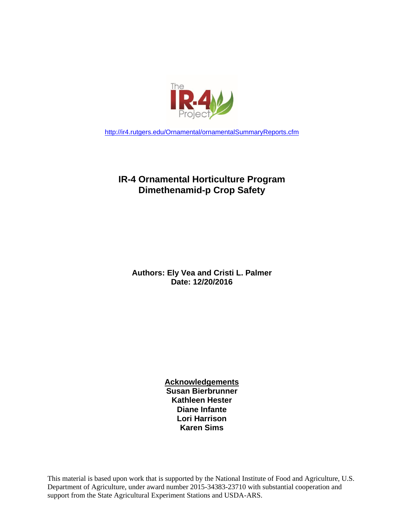

<http://ir4.rutgers.edu/Ornamental/ornamentalSummaryReports.cfm>

## **IR-4 Ornamental Horticulture Program Dimethenamid-p Crop Safety**

**Authors: Ely Vea and Cristi L. Palmer Date: 12/20/2016**

> **Acknowledgements Susan Bierbrunner Kathleen Hester Diane Infante Lori Harrison Karen Sims**

This material is based upon work that is supported by the National Institute of Food and Agriculture, U.S. Department of Agriculture, under award number 2015-34383-23710 with substantial cooperation and support from the State Agricultural Experiment Stations and USDA-ARS.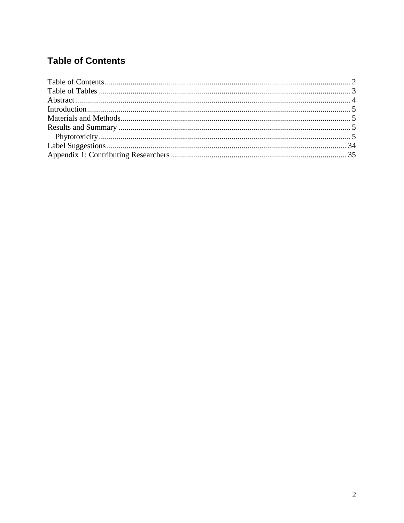## <span id="page-1-0"></span>**Table of Contents**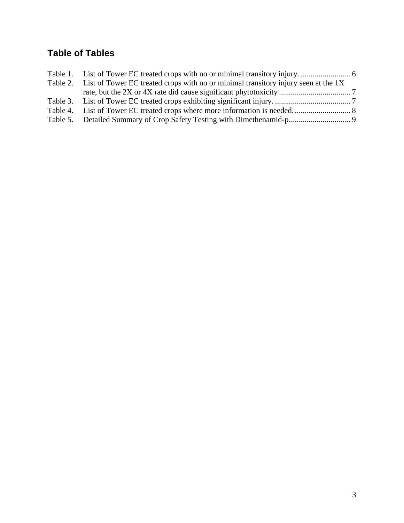## <span id="page-2-0"></span>**Table of Tables**

| Table 2. List of Tower EC treated crops with no or minimal transitory injury seen at the 1X |  |
|---------------------------------------------------------------------------------------------|--|
|                                                                                             |  |
|                                                                                             |  |
|                                                                                             |  |
|                                                                                             |  |
|                                                                                             |  |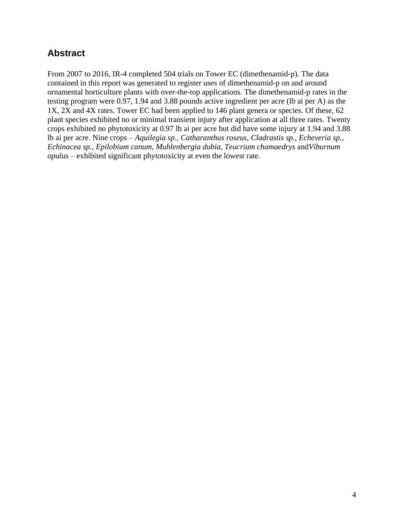## <span id="page-3-0"></span>**Abstract**

From 2007 to 2016, IR-4 completed 504 trials on Tower EC (dimethenamid-p). The data contained in this report was generated to register uses of dimethenamid-p on and around ornamental horticulture plants with over-the-top applications. The dimethenamid-p rates in the testing program were 0.97, 1.94 and 3.88 pounds active ingredient per acre (lb ai per A) as the 1X, 2X and 4X rates. Tower EC had been applied to 146 plant genera or species. Of these, 62 plant species exhibited no or minimal transient injury after application at all three rates. Twenty crops exhibited no phytotoxicity at 0.97 lb ai per acre but did have some injury at 1.94 and 3.88 lb ai per acre. Nine crops – *Aquilegia sp., Catharanthus roseus, Cladrastis sp.*, *Echeveria sp.*, *Echinacea sp.*, *Epilobium canum, Muhlenbergia dubia, Teucrium chamaedrys* and*Viburnum opulus* – exhibited significant phytotoxicity at even the lowest rate.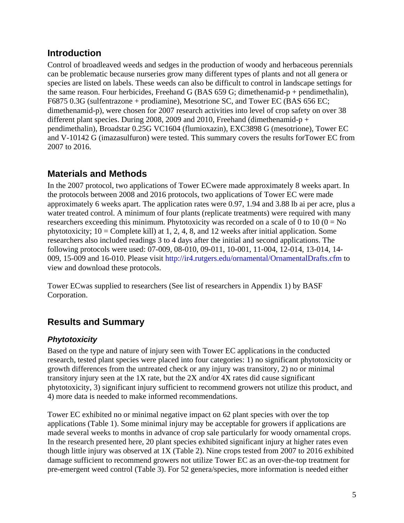## <span id="page-4-0"></span>**Introduction**

Control of broadleaved weeds and sedges in the production of woody and herbaceous perennials can be problematic because nurseries grow many different types of plants and not all genera or species are listed on labels. These weeds can also be difficult to control in landscape settings for the same reason. Four herbicides, Freehand G (BAS 659 G; dimethenamid-p + pendimethalin), F6875 0.3G (sulfentrazone + prodiamine), Mesotrione SC, and Tower EC (BAS 656 EC; dimethenamid-p), were chosen for 2007 research activities into level of crop safety on over 38 different plant species. During 2008, 2009 and 2010, Freehand (dimethenamid-p + pendimethalin), Broadstar 0.25G VC1604 (flumioxazin), EXC3898 G (mesotrione), Tower EC and V-10142 G (imazasulfuron) were tested. This summary covers the results forTower EC from 2007 to 2016.

## <span id="page-4-1"></span>**Materials and Methods**

In the 2007 protocol, two applications of Tower ECwere made approximately 8 weeks apart. In the protocols between 2008 and 2016 protocols, two applications of Tower EC were made approximately 6 weeks apart. The application rates were 0.97, 1.94 and 3.88 lb ai per acre, plus a water treated control. A minimum of four plants (replicate treatments) were required with many researchers exceeding this minimum. Phytotoxicity was recorded on a scale of 0 to 10 ( $0 = No$ ) phytotoxicity;  $10 =$  Complete kill) at 1, 2, 4, 8, and 12 weeks after initial application. Some researchers also included readings 3 to 4 days after the initial and second applications. The following protocols were used: 07-009, 08-010, 09-011, 10-001, 11-004, 12-014, 13-014, 14- 009, 15-009 and 16-010. Please visit http://ir4.rutgers.edu/ornamental/OrnamentalDrafts.cfm to view and download these protocols.

Tower ECwas supplied to researchers (See list of researchers in Appendix 1) by BASF Corporation.

## <span id="page-4-2"></span>**Results and Summary**

### <span id="page-4-3"></span>*Phytotoxicity*

Based on the type and nature of injury seen with Tower EC applications in the conducted research, tested plant species were placed into four categories: 1) no significant phytotoxicity or growth differences from the untreated check or any injury was transitory, 2) no or minimal transitory injury seen at the 1X rate, but the 2X and/or 4X rates did cause significant phytotoxicity, 3) significant injury sufficient to recommend growers not utilize this product, and 4) more data is needed to make informed recommendations.

Tower EC exhibited no or minimal negative impact on 62 plant species with over the top applications (Table 1). Some minimal injury may be acceptable for growers if applications are made several weeks to months in advance of crop sale particularly for woody ornamental crops. In the research presented here, 20 plant species exhibited significant injury at higher rates even though little injury was observed at 1X (Table 2). Nine crops tested from 2007 to 2016 exhibited damage sufficient to recommend growers not utilize Tower EC as an over-the-top treatment for pre-emergent weed control (Table 3). For 52 genera/species, more information is needed either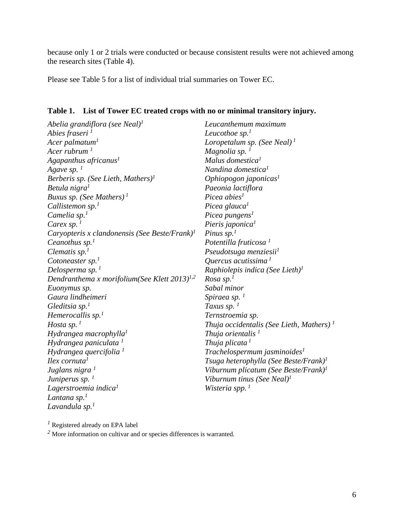because only 1 or 2 trials were conducted or because consistent results were not achieved among the research sites (Table 4).

Please see Table 5 for a list of individual trial summaries on Tower EC.

# <span id="page-5-0"></span>**Table 1. List of Tower EC treated crops with no or minimal transitory injury.**

*Abelia grandiflora (see Neal)<sup>1</sup> Abies fraseri <sup>1</sup> Acer palmatum<sup>1</sup> Acer rubrum <sup>1</sup> Agapanthus africanus<sup>1</sup> Agave sp.*<sup> $1$ </sup> *Berberis sp. (See Lieth, Mathers) 1 Betula nigra<sup>1</sup> Buxus sp. (See Mathers) <sup>1</sup> Callistemon sp.<sup>1</sup> Camelia sp.<sup>1</sup> Carex sp. <sup>1</sup> Caryopteris x clandonensis (See Beste/Frank)<sup>1</sup> Ceanothus sp.<sup>1</sup> Clematis sp.<sup>1</sup> Cotoneaster sp.<sup>1</sup> Delosperma sp. <sup>1</sup> Dendranthema x morifolium(See Klett 2013)1,2 Euonymus sp. Gaura lindheimeri Gleditsia sp.<sup>1</sup> Hemerocallis sp.<sup>1</sup> Hosta sp. <sup>1</sup> Hydrangea macrophylla<sup>1</sup> Hydrangea paniculata <sup>1</sup> Hydrangea quercifolia <sup>1</sup> Ilex cornuta<sup>1</sup> Juglans nigra <sup>1</sup> Juniperus sp. <sup>1</sup> Lagerstroemia indica<sup>1</sup> Lantana sp.<sup>1</sup> Lavandula sp.<sup>1</sup> Leucanthemum maximum Leucothoe sp.<sup>1</sup> Loropetalum sp. (See Neal) <sup>1</sup> Magnolia sp. <sup>1</sup> Malus domestica<sup>1</sup> Nandina domestica<sup>1</sup> Ophiopogon japonicas<sup>1</sup> Paeonia lactiflora Picea abies<sup>1</sup> Picea glauca<sup>1</sup> Picea pungens<sup>1</sup> Pieris japonica<sup>1</sup> Pinus sp.<sup>1</sup> Potentilla fruticosa <sup>1</sup> Pseudotsuga menziesii<sup>1</sup> Quercus acutissima <sup>1</sup> Raphiolepis indica (See Lieth)<sup>1</sup> Rosa sp.<sup>1</sup> Sabal minor Spiraea sp. <sup>1</sup> Taxus sp.*<sup> $1$ </sup> *Ternstroemia sp. Thuja occidentalis (See Lieth, Mathers) <sup>1</sup> Thuja orientalis <sup>1</sup> Thuja plicata 1 Trachelospermum jasminoides<sup>1</sup> Tsuga heterophylla (See Beste/Frank)<sup>1</sup> Viburnum plicatum (See Beste/Frank)<sup>1</sup> Viburnum tinus (See Neal)<sup>1</sup> Wisteria spp. <sup>1</sup>*

*<sup>1</sup>* Registered already on EPA label

*<sup>2</sup>* More information on cultivar and or species differences is warranted.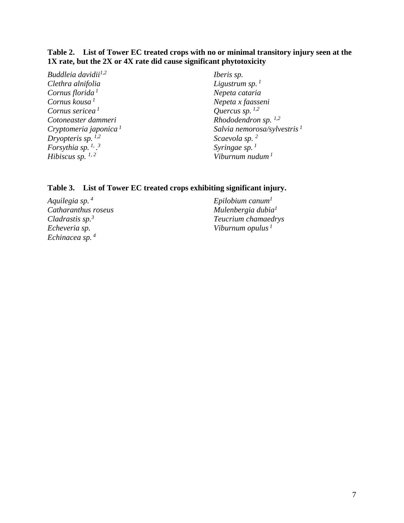### <span id="page-6-0"></span>**Table 2. List of Tower EC treated crops with no or minimal transitory injury seen at the 1X rate, but the 2X or 4X rate did cause significant phytotoxicity**

*Buddleia davidii1,2 Clethra alnifolia Cornus florida <sup>1</sup> Cornus kousa <sup>1</sup> Cornus sericea <sup>1</sup> Cotoneaster dammeri Cryptomeria japonica <sup>1</sup> Dryopteris sp. 1,2 Forsythia sp. 1, . 3 Hibiscus sp. 1, 2*

*Iberis sp. Ligustrum sp. <sup>1</sup> Nepeta cataria Nepeta x faasseni Quercus sp. 1,2 Rhododendron sp. 1,2 Salvia nemorosa/sylvestris <sup>1</sup> Scaevola sp. <sup>2</sup> Syringae sp. <sup>1</sup> Viburnum nudum <sup>1</sup>*

### **Table 3. List of Tower EC treated crops exhibiting significant injury.**

<span id="page-6-1"></span>*Aquilegia sp. <sup>4</sup> Catharanthus roseus Cladrastis sp.<sup>3</sup> Echeveria sp. Echinacea sp. <sup>4</sup>*

*Epilobium canum<sup>1</sup> Mulenbergia dubia<sup>1</sup> Teucrium chamaedrys Viburnum opulus <sup>1</sup>*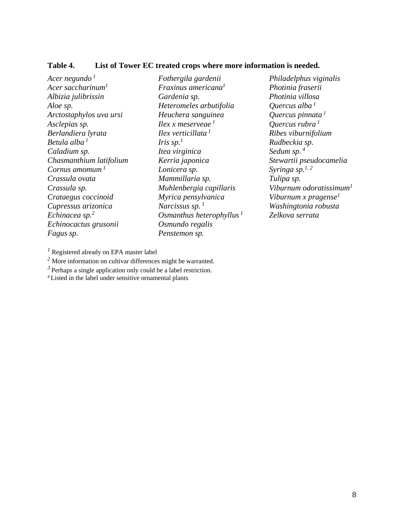#### **Table 4. List of Tower EC treated crops where more information is needed.**

*Acer negundo <sup>1</sup> Acer saccharinum<sup>1</sup> Albizia julibrissin Aloe sp. Arctostaphylos uva ursi Asclepias sp. Berlandiera lyrata Betula alba <sup>1</sup> Caladium sp. Chasmanthium latifolium Cornus amomum <sup>1</sup> Crassula ovata Crassula sp. Crataegus coccinoid Cupressus arizonica Echinacea sp.<sup>2</sup> Echinocactus grusonii Fagus sp.*

*Fothergila gardenii Fraxinus americana<sup>1</sup> Gardenia sp. Heteromeles arbutifolia Heuchera sanguinea Ilex x meserveae <sup>1</sup> Ilex verticillata <sup>1</sup> Iris sp.*<sup>1</sup> *Itea virginica Kerria japonica Lonicera sp. Mammillaria sp. Muhlenbergia capillaris Myrica pensylvanica Narcissus sp. <sup>1</sup> Osmanthus heterophyllus <sup>1</sup> Osmundo regalis Penstemon sp.*

*Philadelphus viginalis Photinia fraserii Photinia villosa Quercus alba <sup>1</sup> Quercus pinnata <sup>1</sup> Quercus rubra <sup>1</sup> Ribes viburnifolium Rudbeckia sp. Sedum sp. <sup>4</sup> Stewartii pseudocamelia Syringa sp.1, 2 Tulipa sp. Viburnum odoratissimum<sup>1</sup> Viburnum x pragense<sup>1</sup> Washingtonia robusta Zelkova serrata*

*<sup>1</sup>* Registered already on EPA master label

*<sup>2</sup>* More information on cultivar differences might be warranted.

 $3$  Perhaps a single application only could be a label restriction.

*4* Listed in the label under sensitive ornamental plants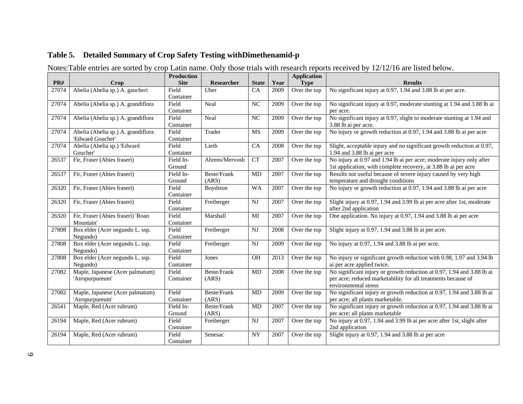### **Table 5. Detailed Summary of Crop Safety Testing withDimethenamid-p**

Notes:Table entries are sorted by crop Latin name. Only those trials with research reports received by 12/12/16 are listed below.

<span id="page-8-0"></span>

|       |                                    | <b>Production</b> |                    |                        |      | <b>Application</b> |                                                                                   |
|-------|------------------------------------|-------------------|--------------------|------------------------|------|--------------------|-----------------------------------------------------------------------------------|
| PR#   | Crop                               | <b>Site</b>       | Researcher         | <b>State</b>           | Year | <b>Type</b>        | <b>Results</b>                                                                    |
| 27074 | Abelia (Abelia sp.) A. gaucheri    | Field             | <b>U</b> ber       | CA                     | 2009 | Over the top       | No significant injury at 0.97, 1.94 and 3.88 lb ai per acre.                      |
|       |                                    | Container         |                    |                        |      |                    |                                                                                   |
| 27074 | Abelia (Abelia sp.) A. grandiflora | Field             | Neal               | NC                     | 2009 | Over the top       | No significant injury at 0.97, moderate stunting at 1.94 and 3.88 lb ai           |
|       |                                    | Container         |                    |                        |      |                    | per acre.                                                                         |
| 27074 | Abelia (Abelia sp.) A. grandiflora | Field             | Neal               | NC                     | 2009 | Over the top       | No significant injury at 0.97, slight to moderate stunting at 1.94 and            |
|       |                                    | Container         |                    |                        |      |                    | 3.88 lb ai per acre.                                                              |
| 27074 | Abelia (Abelia sp.) A. grandiflora | Field             | Trader             | MS                     | 2009 | Over the top       | No injury or growth reduction at 0.97, 1.94 and 3.88 lb ai per acre               |
|       | 'Edward Goucher'                   | Container         |                    |                        |      |                    |                                                                                   |
| 27074 | Abelia (Abelia sp.) 'Edward        | Field             | Lieth              | CA                     | 2008 | Over the top       | Slight, acceptable injury and no significant growth reduction at 0.97,            |
|       | Goucher'                           | Container         |                    |                        |      |                    | 1.94 and 3.88 lb ai per acre                                                      |
| 26537 | Fir, Fraser (Abies fraseri)        | Field In-         | Ahrens/Mervosh     | <b>CT</b>              | 2007 | Over the top       | No injury at 0.97 and 1.94 lb ai per acre; moderate injury only after             |
|       |                                    | Ground            |                    |                        |      |                    | 1st application, with complete recovery, at 3.88 lb ai per acre                   |
| 26537 | Fir, Fraser (Abies fraseri)        | Field In-         | <b>Beste/Frank</b> | MD                     | 2007 | Over the top       | Results not useful because of severe injury caused by very high                   |
|       |                                    | Ground            | (ARS)              |                        |      |                    | temperature and drought conditions                                                |
| 26320 | Fir, Fraser (Abies fraseri)        | Field             | Boydston           | <b>WA</b>              | 2007 | Over the top       | No injury or growth reduction at $\overline{0.97}$ , 1.94 and 3.88 lb ai per acre |
|       |                                    | Container         |                    |                        |      |                    |                                                                                   |
| 26320 | Fir, Fraser (Abies fraseri)        | Field             | Freiberger         | $_{\rm NJ}$            | 2007 | Over the top       | Slight injury at 0.97, 1.94 and 3.99 lb ai per acre after 1st, moderate           |
|       |                                    | Container         |                    |                        |      |                    | after 2nd application                                                             |
| 26320 | Fir, Fraser (Abies fraseri) 'Roan  | Field             | Marshall           | MI                     | 2007 | Over the top       | One application. No injury at 0.97, 1.94 and 3.88 lb ai per acre                  |
|       | Mountain'                          | Container         |                    |                        |      |                    |                                                                                   |
| 27808 | Box elder (Acer negundo L. ssp.    | Field             | Freiberger         | $\overline{\text{NJ}}$ | 2008 | Over the top       | Slight injury at 0.97, 1.94 and 3.88 lb ai per acre.                              |
|       | Negundo)                           | Container         |                    |                        |      |                    |                                                                                   |
| 27808 | Box elder (Acer negundo L. ssp.    | Field             | Freiberger         | $\mathbf{N}\mathbf{J}$ | 2009 | Over the top       | No injury at 0.97, 1.94 and 3.88 lb ai per acre.                                  |
|       | Negundo)                           | Container         |                    |                        |      |                    |                                                                                   |
| 27808 | Box elder (Acer negundo L. ssp.    | Field             | Jones              | OH                     | 2013 | Over the top       | No injury or significant growth reduction with 0.98, 1.97 and 3.94 lb             |
|       | Negundo)                           | Container         |                    |                        |      |                    | ai per acre applied twice.                                                        |
| 27082 | Maple, Japanese (Acer palmatum)    | Field             | <b>Beste/Frank</b> | MD                     | 2008 | Over the top       | No significant injury or growth reduction at 0.97, 1.94 and 3.88 lb ai            |
|       | 'Atropurpureum'                    | Container         | (ARS)              |                        |      |                    | per acre; reduced marketability for all treatments because of                     |
|       |                                    |                   |                    |                        |      |                    | environmental stress                                                              |
| 27082 | Maple, Japanese (Acer palmatum)    | Field             | Beste/Frank        | <b>MD</b>              | 2009 | Over the top       | No significant injury or growth reduction at 0.97, 1.94 and 3.88 lb ai            |
|       | 'Atropurpureum'                    | Container         | (ARS)              |                        |      |                    | per acre; all plants marketable.                                                  |
| 26541 | Maple, Red (Acer rubrum)           | Field In-         | Beste/Frank        | MD                     | 2007 | Over the top       | No significant injury or growth reduction at 0.97, 1.94 and 3.88 lb ai            |
|       |                                    | Ground            | (ARS)              |                        |      |                    | per acre; all plants marketable                                                   |
| 26194 | Maple, Red (Acer rubrum)           | Field             | Freiberger         | <b>NJ</b>              | 2007 | Over the top       | No injury at 0.97, 1.94 and 3.99 lb ai per acre after 1st, slight after           |
|       |                                    | Container         |                    |                        |      |                    | 2nd application                                                                   |
| 26194 | Maple, Red (Acer rubrum)           | Field             | Senesac            | <b>NY</b>              | 2007 | Over the top       | Slight injury at 0.97, 1.94 and 3.88 lb ai per acre                               |
|       |                                    | Container         |                    |                        |      |                    |                                                                                   |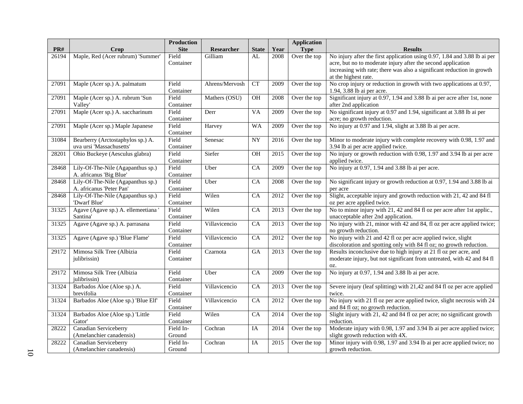|       |                                           | <b>Production</b>  |                |                 |                   | <b>Application</b> |                                                                                                                                             |
|-------|-------------------------------------------|--------------------|----------------|-----------------|-------------------|--------------------|---------------------------------------------------------------------------------------------------------------------------------------------|
| PR#   | Crop                                      | <b>Site</b>        | Researcher     | <b>State</b>    | Year              | <b>Type</b>        | <b>Results</b>                                                                                                                              |
| 26194 | Maple, Red (Acer rubrum) 'Summer'         | Field<br>Container | Gilliam        | AL              | 2008              | Over the top       | No injury after the first application using 0.97, 1.84 and 3.88 lb ai per<br>acre, but no to moderate injury after the second application   |
|       |                                           |                    |                |                 |                   |                    | increasing with rate; there was also a significant reduction in growth                                                                      |
|       |                                           |                    |                |                 |                   |                    | at the highest rate.                                                                                                                        |
| 27091 | Maple (Acer sp.) A. palmatum              | Field              | Ahrens/Mervosh | CT              | 2009              | Over the top       | No crop injury or reduction in growth with two applications at 0.97,                                                                        |
|       |                                           | Container          |                |                 |                   |                    | 1.94, 3.88 lb ai per acre.                                                                                                                  |
| 27091 | Maple (Acer sp.) A. rubrum 'Sun           | Field              | Mathers (OSU)  | $\rm OH$        | 2008              | Over the top       | Significant injury at 0.97, 1.94 and 3.88 lb ai per acre after 1st, none                                                                    |
|       | Valley'                                   | Container          |                |                 |                   |                    | after 2nd application                                                                                                                       |
| 27091 | Maple (Acer sp.) A. saccharinum           | Field              | Derr           | <b>VA</b>       | 2009              | Over the top       | No significant injury at 0.97 and 1.94, significant at 3.88 lb ai per                                                                       |
|       |                                           | Container          |                |                 |                   |                    | acre; no growth reduction.                                                                                                                  |
| 27091 | Maple (Acer sp.) Maple Japanese           | Field<br>Container | Harvey         | <b>WA</b>       | 2009              | Over the top       | No injury at 0.97 and 1.94, slight at 3.88 lb ai per acre.                                                                                  |
| 31084 | Bearberry (Arctostaphylos sp.) A.         | Field              | Senesac        | ${\rm NY}$      | 2016              | Over the top       | Minor to moderate injury with complete recovery with 0.98, 1.97 and                                                                         |
|       | uva ursi 'Massachusetts'                  | Container          |                |                 |                   |                    | 3.94 lb ai per acre applied twice.                                                                                                          |
| 28201 | Ohio Buckeye (Aesculus glabra)            | Field              | Siefer         | OH              | 2015              | Over the top       | No injury or growth reduction with 0.98, 1.97 and 3.94 lb ai per acre                                                                       |
|       |                                           | Container          |                |                 |                   |                    | applied twice.                                                                                                                              |
| 28468 | Lily-Of-The-Nile (Agapanthus sp.)         | Field              | Uber           | CA              | 2009              | Over the top       | No injury at 0.97, 1.94 and 3.88 lb ai per acre.                                                                                            |
|       | A. africanus 'Big Blue'                   | Container          |                |                 |                   |                    |                                                                                                                                             |
| 28468 | Lily-Of-The-Nile (Agapanthus sp.)         | Field              | Uber           | CA              | 2008              | Over the top       | No significant injury or growth reduction at 0.97, 1.94 and 3.88 lb ai                                                                      |
|       | A. africanus 'Peter Pan'                  | Container          |                |                 |                   |                    | per acre                                                                                                                                    |
| 28468 | Lily-Of-The-Nile (Agapanthus sp.)         | Field              | Wilen          | CA              | 2012              | Over the top       | Slight, acceptable injury and growth reduction with 21, 42 and 84 fl                                                                        |
|       | 'Dwarf Blue'                              | Container          |                |                 |                   |                    | oz per acre applied twice.                                                                                                                  |
| 31325 | Agave (Agave sp.) A. ellemeetiana         | Field              | Wilen          | $\overline{CA}$ | $\overline{2013}$ | Over the top       | No to minor injury with 21, 42 and 84 fl oz per acre after 1st applic.,                                                                     |
|       | Santina'                                  | Container          |                |                 |                   |                    | unacceptable after 2nd application.                                                                                                         |
| 31325 | Agave (Agave sp.) A. parrasana            | Field              | Villavicencio  | CA              | 2013              | Over the top       | No injury with 21, minor with 42 and 84, fl oz per acre applied twice;                                                                      |
|       |                                           | Container          |                |                 |                   |                    | no growth reduction.                                                                                                                        |
| 31325 | Agave (Agave sp.) 'Blue Flame'            | Field              | Villavicencio  | CA              | 2012              | Over the top       | No injury with 21 and 42 fl oz per acre applied twice, slight                                                                               |
|       |                                           | Container          |                |                 |                   |                    | discoloration and spotting only with 84 fl oz; no growth reduction.                                                                         |
| 29172 | Mimosa Silk Tree (Albizia<br>julibrissin) | Field<br>Container | Czarnota       | <b>GA</b>       | 2013              | Over the top       | Results inconclusive due to high injury at 21 fl oz per acre, and<br>moderate injury, but not significant from untreated, with 42 and 84 fl |
|       |                                           |                    |                |                 |                   |                    | OZ.                                                                                                                                         |
| 29172 | Mimosa Silk Tree (Albizia                 | Field              | Uber           | CA              | 2009              | Over the top       | No injury at 0.97, 1.94 and 3.88 lb ai per acre.                                                                                            |
|       | julibrissin)                              | Container          |                |                 |                   |                    |                                                                                                                                             |
| 31324 | Barbados Aloe (Aloe sp.) A.               | Field              | Villavicencio  | CA              | 2013              | Over the top       | Severe injury (leaf splitting) with 21,42 and 84 fl oz per acre applied                                                                     |
|       | brevifolia                                | Container          |                |                 |                   |                    | twice.                                                                                                                                      |
| 31324 | Barbados Aloe (Aloe sp.) 'Blue Elf'       | Field              | Villavicencio  | $\overline{CA}$ | 2012              | Over the top       | No injury with 21 fl oz per acre applied twice, slight necrosis with 24                                                                     |
|       |                                           | Container          |                |                 |                   |                    | and 84 fl oz; no growth reduction.                                                                                                          |
| 31324 | Barbados Aloe (Aloe sp.) 'Little          | Field              | Wilen          | CA              | 2014              | Over the top       | Slight injury with 21, 42 and 84 fl oz per acre; no significant growth                                                                      |
|       | Gator'                                    | Container          |                |                 |                   |                    | reduction.                                                                                                                                  |
| 28222 | <b>Canadian Serviceberry</b>              | Field In-          | Cochran        | IA              | 2014              | Over the top       | Moderate injury with 0.98, 1.97 and 3.94 lb ai per acre applied twice;                                                                      |
|       | (Amelanchier canadensis)                  | Ground             |                |                 |                   |                    | slight growth reduction with 4X.                                                                                                            |
| 28222 | Canadian Serviceberry                     | Field In-          | Cochran        | IA              | 2015              | Over the top       | Minor injury with 0.98, 1.97 and 3.94 lb ai per acre applied twice; no                                                                      |
|       | (Amelanchier canadensis)                  | Ground             |                |                 |                   |                    | growth reduction.                                                                                                                           |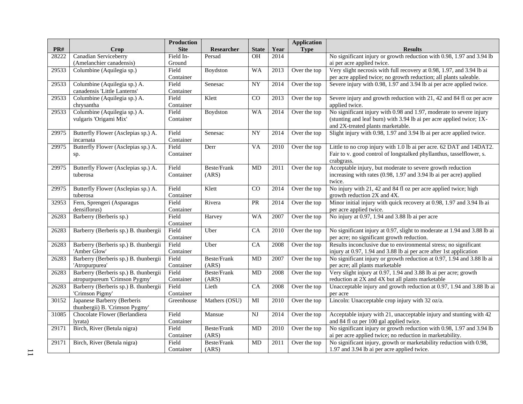|       |                                       | Production         |               |                 |      | <b>Application</b> |                                                                          |
|-------|---------------------------------------|--------------------|---------------|-----------------|------|--------------------|--------------------------------------------------------------------------|
| PR#   | Crop                                  | <b>Site</b>        | Researcher    | <b>State</b>    | Year | <b>Type</b>        | <b>Results</b>                                                           |
| 28222 | <b>Canadian Serviceberry</b>          | Field In-          | Persad        | <b>OH</b>       | 2014 |                    | No significant injury or growth reduction with 0.98, 1.97 and 3.94 lb    |
|       | (Amelanchier canadensis)              | Ground             |               |                 |      |                    | ai per acre applied twice.                                               |
| 29533 | Columbine (Aquilegia sp.)             | Field              | Boydston      | <b>WA</b>       | 2013 | Over the top       | Very slight necrosis with full recovery at 0.98, 1.97, and 3.94 lb ai    |
|       |                                       | Container          |               |                 |      |                    | per acre applied twice; no growth reduction; all plants saleable.        |
| 29533 | Columbine (Aquilegia sp.) A.          | Field              | Senesac       | ${\rm NY}$      | 2014 | Over the top       | Severe injury with 0.98, 1.97 and 3.94 lb ai per acre applied twice.     |
|       | canadensis 'Little Lanterns'          | Container          |               |                 |      |                    |                                                                          |
| 29533 | Columbine (Aquilegia sp.) A.          | Field              | Klett         | $\overline{CO}$ | 2013 | Over the top       | Severe injury and growth reduction with 21, 42 and 84 fl oz per acre     |
|       | chrysantha                            | Container          |               |                 |      |                    | applied twice.                                                           |
| 29533 | Columbine (Aquilegia sp.) A.          | Field              | Boydston      | <b>WA</b>       | 2014 | Over the top       | No significant injury with 0.98 and 1.97, moderate to severe injury      |
|       | vulgaris 'Origami Mix'                | Container          |               |                 |      |                    | (stunting and leaf burn) with 3.94 lb ai per acre applied twice; 1X-     |
|       |                                       |                    |               |                 |      |                    | and 2X-treated plants marketable.                                        |
| 29975 | Butterfly Flower (Asclepias sp.) A.   | Field              | Senesac       | <b>NY</b>       | 2014 | Over the top       | Slight injury with 0.98, 1.97 and 3.94 lb ai per acre applied twice.     |
|       | incarnata                             | Container          |               |                 |      |                    |                                                                          |
| 29975 | Butterfly Flower (Asclepias sp.) A.   | Field              | Derr          | $\overline{VA}$ | 2010 | Over the top       | Little to no crop injury with 1.0 lb ai per acre. 62 DAT and 14DAT2.     |
|       | sp.                                   | Container          |               |                 |      |                    | Fair to v. good control of longstalked phyllanthus, tasselflower, s.     |
|       |                                       |                    |               |                 |      |                    | crabgrass.                                                               |
| 29975 | Butterfly Flower (Asclepias sp.) A.   | Field              | Beste/Frank   | <b>MD</b>       | 2011 | Over the top       | Acceptable injury, but moderate to severe growth reduction               |
|       | tuberosa                              | Container          | (ARS)         |                 |      |                    | increasing with rates (0.98, 1.97 and 3.94 lb ai per acre) applied       |
|       |                                       |                    |               |                 |      |                    | twice.                                                                   |
| 29975 | Butterfly Flower (Asclepias sp.) A.   | Field              | Klett         | $\rm CO$        | 2014 | Over the top       | No injury with 21, 42 and 84 fl oz per acre applied twice; high          |
|       | tuberosa                              | Container          |               |                 |      |                    | growth reduction 2X and 4X.                                              |
| 32953 | Fern, Sprengeri (Asparagus            | Field              | Rivera        | PR              | 2014 | Over the top       | Minor initial injury with quick recovery at 0.98, 1.97 and 3.94 lb ai    |
|       | densiflorus)                          | Container<br>Field |               |                 |      |                    | per acre applied twice.                                                  |
| 26283 | Barberry (Berberis sp.)               |                    | Harvey        | <b>WA</b>       | 2007 | Over the top       | No injury at 0.97, 1.94 and 3.88 lb ai per acre                          |
| 26283 | Barberry (Berberis sp.) B. thunbergii | Container<br>Field | Uber          | $\overline{CA}$ |      | Over the top       | No significant injury at 0.97, slight to moderate at 1.94 and 3.88 lb ai |
|       |                                       | Container          |               |                 | 2010 |                    | per acre; no significant growth reduction.                               |
| 26283 | Barberry (Berberis sp.) B. thunbergii | Field              | Uber          | CA              | 2008 | Over the top       | Results inconclusive due to environmental stress; no significant         |
|       | 'Amber Glow'                          | Container          |               |                 |      |                    | injury at 0.97, 1.94 and 3.88 lb ai per acre after 1st application       |
| 26283 | Barberry (Berberis sp.) B. thunbergii | Field              | Beste/Frank   | MD              | 2007 | Over the top       | No significant injury or growth reduction at 0.97, 1.94 and 3.88 lb ai   |
|       | 'Atropurpurea'                        | Container          | (ARS)         |                 |      |                    | per acre; all plants marketable                                          |
| 26283 | Barberry (Berberis sp.) B. thunbergii | Field              | Beste/Frank   | MD              | 2008 | Over the top       | Very slight injury at 0.97, 1.94 and 3.88 lb ai per acre; growth         |
|       | atropurpureum 'Crimson Pygmy'         | Container          | (ARS)         |                 |      |                    | reduction at 2X and 4X but all plants marketable                         |
| 26283 | Barberry (Berberis sp.) B. thunbergii | Field              | Lieth         | CA              | 2008 | Over the top       | Unacceptable injury and growth reduction at 0.97, 1.94 and 3.88 lb ai    |
|       | 'Crimson Pigmy'                       | Container          |               |                 |      |                    | per acre                                                                 |
| 30152 | Japanese Barberry (Berberis           | Greenhouse         | Mathers (OSU) | MI              | 2010 | Over the top       | Lincoln: Unacceptable crop injury with 32 oz/a.                          |
|       | thunbergii) B. 'Crimson Pygmy'        |                    |               |                 |      |                    |                                                                          |
| 31085 | Chocolate Flower (Berlandiera         | Field              | Mansue        | NJ              | 2014 | Over the top       | Acceptable injury with 21, unacceptable injury and stunting with 42      |
|       | lyrata)                               | Container          |               |                 |      |                    | and 84 fl oz per 100 gal applied twice.                                  |
| 29171 | Birch, River (Betula nigra)           | Field              | Beste/Frank   | <b>MD</b>       | 2010 | Over the top       | No significant injury or growth reduction with 0.98, 1.97 and 3.94 lb    |
|       |                                       | Container          | (ARS)         |                 |      |                    | ai per acre applied twice; no reduction in marketability.                |
| 29171 | Birch, River (Betula nigra)           | Field              | Beste/Frank   | <b>MD</b>       | 2011 | Over the top       | No significant injury, growth or marketability reduction with 0.98,      |
|       |                                       | Container          | (ARS)         |                 |      |                    | 1.97 and 3.94 lb ai per acre applied twice.                              |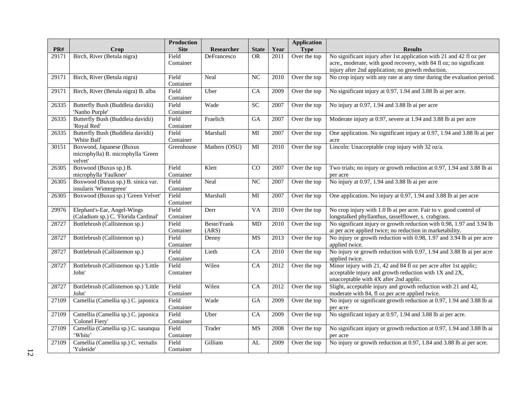|       |                                                                           | <b>Production</b>  |                      |                 |                   | <b>Application</b> |                                                                                                                                                                                                  |
|-------|---------------------------------------------------------------------------|--------------------|----------------------|-----------------|-------------------|--------------------|--------------------------------------------------------------------------------------------------------------------------------------------------------------------------------------------------|
| PR#   | Crop                                                                      | <b>Site</b>        | Researcher           | <b>State</b>    | Year              | <b>Type</b>        | <b>Results</b>                                                                                                                                                                                   |
| 29171 | Birch, River (Betula nigra)                                               | Field<br>Container | DeFrancesco          | OR.             | 2011              | Over the top       | No significant injury after 1st application with 21 and 42 fl oz per<br>acre,, moderate, with good recovery, with 84 fl oz; no significant<br>injury after 2nd application; no growth reduction. |
| 29171 | Birch, River (Betula nigra)                                               | Field<br>Container | Neal                 | NC              | 2010              | Over the top       | No crop injury with any rate at any time during the evaluation period.                                                                                                                           |
| 29171 | Birch, River (Betula nigra) B. alba                                       | Field<br>Container | Uber                 | CA              | 2009              | Over the top       | No significant injury at 0.97, 1.94 and 3.88 lb ai per acre.                                                                                                                                     |
| 26335 | Butterfly Bush (Buddleia davidii)<br>'Nanho Purple'                       | Field<br>Container | Wade                 | <b>SC</b>       | 2007              | Over the top       | No injury at 0.97, 1.94 and 3.88 lb ai per acre                                                                                                                                                  |
| 26335 | Butterfly Bush (Buddleia davidii)<br>'Royal Red'                          | Field<br>Container | Fraelich             | GA              | 2007              | Over the top       | Moderate injury at 0.97, severe at 1.94 and 3.88 lb ai per acre                                                                                                                                  |
| 26335 | Butterfly Bush (Buddleia davidii)<br>'White Ball'                         | Field<br>Container | Marshall             | MI              | 2007              | Over the top       | One application. No significant injury at 0.97, 1.94 and 3.88 lb ai per<br>acre                                                                                                                  |
| 30151 | Boxwood, Japanese (Buxus<br>microphylla) B. microphylla 'Green<br>velvet' | Greenhouse         | Mathers (OSU)        | MI              | 2010              | Over the top       | Lincoln: Unacceptable crop injury with 32 oz/a.                                                                                                                                                  |
| 26305 | Boxwood (Buxus sp.) B.<br>microphylla 'Faulkner'                          | Field<br>Container | Klett                | $\overline{CO}$ | 2007              | Over the top       | Two trials; no injury or growth reduction at 0.97, 1.94 and 3.88 lb ai<br>per acre                                                                                                               |
| 26305 | Boxwood (Buxus sp.) B. sinica var.<br>insularis 'Wintergreen'             | Field<br>Container | Neal                 | NC              | 2007              | Over the top       | No injury at 0.97, 1.94 and 3.88 lb ai per acre                                                                                                                                                  |
| 26305 | Boxwood (Buxus sp.) 'Green Velvet'                                        | Field<br>Container | Marshall             | MI              | 2007              | Over the top       | One application. No injury at 0.97, 1.94 and 3.88 lb ai per acre                                                                                                                                 |
| 29976 | Elephant's-Ear, Angel-Wings<br>(Caladium sp.) C. 'Florida Cardinal'       | Field<br>Container | Derr                 | VA              | 2010              | Over the top       | No crop injury with 1.0 lb ai per acre. Fair to v. good control of<br>longstalked phyllanthus, tasselflower, s. crabgrass.                                                                       |
| 28727 | Bottlebrush (Callistemon sp.)                                             | Field<br>Container | Beste/Frank<br>(ARS) | MD              | 2010              | Over the top       | No significant injury or growth reduction with 0.98, 1.97 and 3.94 lb<br>ai per acre applied twice; no reduction in marketability.                                                               |
| 28727 | Bottlebrush (Callistemon sp.)                                             | Field<br>Container | Denny                | MS              | 2013              | Over the top       | No injury or growth reduction with 0.98, 1.97 and 3.94 lb ai per acre<br>applied twice.                                                                                                          |
| 28727 | Bottlebrush (Callistemon sp.)                                             | Field<br>Container | Lieth                | CA              | 2010              | Over the top       | No injury or growth reduction with 0.97, 1.94 and 3.88 lb ai per acre<br>applied twice.                                                                                                          |
| 28727 | Bottlebrush (Callistemon sp.) 'Little<br>John'                            | Field<br>Container | Wilen                | $\overline{CA}$ | $\overline{2012}$ | Over the top       | Minor injury with 21, 42 and 84 fl oz per acre after 1st applic;<br>acceptable injury and growth reduction with 1X and 2X,<br>unacceptable with 4X after 2nd applic.                             |
| 28727 | Bottlebrush (Callistemon sp.) 'Little<br>John'                            | Field<br>Container | Wilen                | CA              | 2012              | Over the top       | Slight, acceptable injury and growth reduction with 21 and 42,<br>moderate with 84, fl oz per acre applied twice.                                                                                |
| 27109 | Camellia (Camellia sp.) C. japonica                                       | Field<br>Container | Wade                 | G A             | 2009              | Over the top       | No injury or significant growth reduction at 0.97, 1.94 and 3.88 lb ai<br>per acre                                                                                                               |
| 27109 | Camellia (Camellia sp.) C. japonica<br>'Colonel Fiery'                    | Field<br>Container | Uber                 | CA              | 2009              | Over the top       | No significant injury at 0.97, 1.94 and 3.88 lb ai per acre.                                                                                                                                     |
| 27109 | Camellia (Camellia sp.) C. sasanqua<br>'White'                            | Field<br>Container | Trader               | <b>MS</b>       | 2008              | Over the top       | No significant injury or growth reduction at 0.97, 1.94 and 3.88 lb ai<br>per acre                                                                                                               |
| 27109 | Camellia (Camellia sp.) C. vernalis<br>'Yuletide'                         | Field<br>Container | Gilliam              | AL              | 2009              | Over the top       | No injury or growth reduction at 0.97, 1.84 and 3.88 lb ai per acre.                                                                                                                             |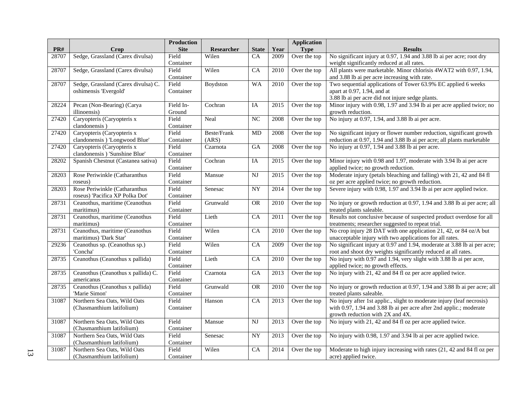|       |                                     | <b>Production</b> |                   |                 |      | <b>Application</b> |                                                                          |
|-------|-------------------------------------|-------------------|-------------------|-----------------|------|--------------------|--------------------------------------------------------------------------|
| PR#   | Crop                                | <b>Site</b>       | <b>Researcher</b> | <b>State</b>    | Year | <b>Type</b>        | <b>Results</b>                                                           |
| 28707 | Sedge, Grassland (Carex divulsa)    | Field             | Wilen             | CA              | 2009 | Over the top       | No significant injury at 0.97, 1.94 and 3.88 lb ai per acre; root dry    |
|       |                                     | Container         |                   |                 |      |                    | weight significantly reduced at all rates.                               |
| 28707 | Sedge, Grassland (Carex divulsa)    | Field             | Wilen             | $\overline{CA}$ | 2010 | Over the top       | All plants were marketable. Minor chlorisis 4WAT2 with 0.97, 1.94,       |
|       |                                     | Container         |                   |                 |      |                    | and 3.88 lb ai per acre increasing with rate.                            |
| 28707 | Sedge, Grassland (Carex divulsa) C. | Field             | Boydston          | <b>WA</b>       | 2010 | Over the top       | Two sequential applications of Tower 63.9% EC applied 6 weeks            |
|       | oshimensis 'Evergold'               | Container         |                   |                 |      |                    | apart at 0.97, 1.94, and at                                              |
|       |                                     |                   |                   |                 |      |                    | 3.88 lb ai per acre did not injure sedge plants.                         |
| 28224 | Pecan (Non-Bearing) (Carya          | Field In-         | Cochran           | IA              | 2015 | Over the top       | Minor injury with 0.98, 1.97 and 3.94 lb ai per acre applied twice; no   |
|       | illinoensis)                        | Ground            |                   |                 |      |                    | growth reduction.                                                        |
| 27420 | Caryopteris (Caryopteris x          | Field             | Neal              | $\overline{NC}$ | 2008 | Over the top       | No injury at 0.97, 1.94, and 3.88 lb ai per acre.                        |
|       | clandonensis)                       | Container         |                   |                 |      |                    |                                                                          |
| 27420 | Caryopteris (Caryopteris x          | Field             | Beste/Frank       | MD              | 2008 | Over the top       | No significant injury or flower number reduction, significant growth     |
|       | clandonensis) 'Longwood Blue'       | Container         | (ARS)             |                 |      |                    | reduction at 0.97, 1.94 and 3.88 lb ai per acre; all plants marketable   |
| 27420 | Caryopteris (Caryopteris x          | Field             | Czarnota          | $\overline{GA}$ | 2008 | Over the top       | No injury at 0.97, 1.94 and 3.88 lb ai per acre.                         |
|       | clandonensis) 'Sunshine Blue'       | Container         |                   |                 |      |                    |                                                                          |
| 28202 | Spanish Chestnut (Castanea sativa)  | Field             | Cochran           | IA              | 2015 | Over the top       | Minor injury with 0.98 and 1.97, moderate with 3.94 lb ai per acre       |
|       |                                     | Container         |                   |                 |      |                    | applied twice; no growth reduction.                                      |
| 28203 | Rose Periwinkle (Catharanthus       | Field             | Mansue            | NJ              | 2015 | Over the top       | Moderate injury (petals bleaching and falling) with 21, 42 and 84 fl     |
|       | roseus)                             | Container         |                   |                 |      |                    | oz per acre applied twice; no growth reduction.                          |
| 28203 | Rose Periwinkle (Catharanthus       | Field             | Senesac           | <b>NY</b>       | 2014 | Over the top       | Severe injury with 0.98, 1.97 and 3.94 lb ai per acre applied twice.     |
|       | roseus) 'Pacifica XP Polka Dot'     | Container         |                   |                 |      |                    |                                                                          |
| 28731 | Ceanothus, maritime (Ceanothus      | Field             | Grunwald          | <b>OR</b>       | 2010 | Over the top       | No injury or growth reduction at 0.97, 1.94 and 3.88 lb ai per acre; all |
|       | maritimus)                          | Container         |                   |                 |      |                    | treated plants saleable.                                                 |
| 28731 | Ceanothus, maritime (Ceanothus      | Field             | Lieth             | CA              | 2011 | Over the top       | Results not conclusive because of suspected product overdose for all     |
|       | maritimus)                          | Container         |                   |                 |      |                    | treatments; researcher suggested to repeat trial.                        |
| 28731 | Ceanothus, maritime (Ceanothus      | Field             | Wilen             | CA              | 2010 | Over the top       | No crop injury 28 DAT with one application 21, 42, or 84 oz/A but        |
|       | maritimus) 'Dark Star'              | Container         |                   |                 |      |                    | unacceptable injury with two applications for all rates.                 |
| 29236 | Ceanothus sp. (Ceanothus sp.)       | Field             | Wilen             | CA              | 2009 | Over the top       | No significant injury at 0.97 and 1.94, moderate at 3.88 lb ai per acre; |
|       | 'Concha'                            | Container         |                   |                 |      |                    | root and shoot dry weights significantly reduced at all rates.           |
| 28735 | Ceanothus (Ceanothus x pallida)     | Field             | Lieth             | CA              | 2010 | Over the top       | No injury with 0.97 and 1.94, very slight with 3.88 lb ai per acre,      |
|       |                                     | Container         |                   |                 |      |                    | applied twice; no growth effects.                                        |
| 28735 | Ceanothus (Ceanothus x pallida) C.  | Field             | Czarnota          | GA              | 2013 | Over the top       | No injury with 21, 42 and 84 fl oz per acre applied twice.               |
|       | americanus                          | Container         |                   |                 |      |                    |                                                                          |
| 28735 | Ceanothus (Ceanothus x pallida)     | Field             | Grunwald          | <b>OR</b>       | 2010 | Over the top       | No injury or growth reduction at 0.97, 1.94 and 3.88 lb ai per acre; all |
|       | 'Marie Simon'                       | Container         |                   |                 |      |                    | treated plants saleable.                                                 |
| 31087 | Northern Sea Oats, Wild Oats        | Field             | Hanson            | CA              | 2013 | Over the top       | No injury after 1st applic., slight to moderate injury (leaf necrosis)   |
|       | (Chasmanthium latifolium)           | Container         |                   |                 |      |                    | with 0.97, 1.94 and 3.88 lb ai per acre after 2nd applic.; moderate      |
|       |                                     |                   |                   |                 |      |                    | growth reduction with 2X and 4X.                                         |
| 31087 | Northern Sea Oats, Wild Oats        | Field             | Mansue            | NJ              | 2013 | Over the top       | No injury with 21, 42 and 84 fl oz per acre applied twice.               |
|       | (Chasmanthium latifolium)           | Container         |                   |                 |      |                    |                                                                          |
| 31087 | Northern Sea Oats, Wild Oats        | Field             | Senesac           | <b>NY</b>       | 2013 | Over the top       | No injury with 0.98, 1.97 and 3.94 lb ai per acre applied twice.         |
|       | (Chasmanthium latifolium)           | Container         |                   |                 |      |                    |                                                                          |
| 31087 | Northern Sea Oats, Wild Oats        | Field             | Wilen             | $\overline{CA}$ | 2014 | Over the top       | Moderate to high injury increasing with rates (21, 42 and 84 fl oz per   |
|       | (Chasmanthium latifolium)           | Container         |                   |                 |      |                    | acre) applied twice.                                                     |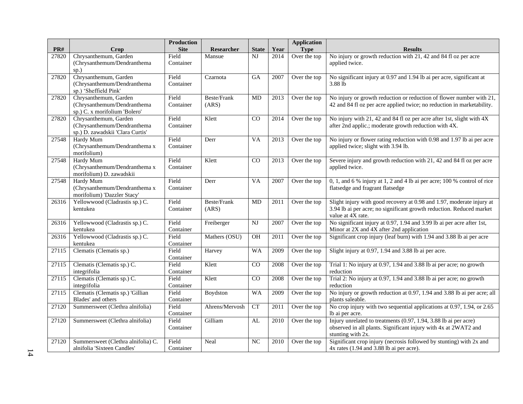|       |                                                                                          | <b>Production</b>  |                      |                        |      | <b>Application</b> |                                                                                                                                                                    |
|-------|------------------------------------------------------------------------------------------|--------------------|----------------------|------------------------|------|--------------------|--------------------------------------------------------------------------------------------------------------------------------------------------------------------|
| PR#   | Crop                                                                                     | <b>Site</b>        | Researcher           | <b>State</b>           | Year | <b>Type</b>        | <b>Results</b>                                                                                                                                                     |
| 27820 | Chrysanthemum, Garden<br>(Chrysanthemum/Dendranthema<br>$sp.$ )                          | Field<br>Container | Mansue               | NJ                     | 2014 | Over the top       | No injury or growth reduction with 21, 42 and 84 fl oz per acre<br>applied twice.                                                                                  |
| 27820 | Chrysanthemum, Garden<br>(Chrysanthemum/Dendranthema<br>sp.) 'Sheffield Pink'            | Field<br>Container | Czarnota             | <b>GA</b>              | 2007 | Over the top       | No significant injury at 0.97 and 1.94 lb ai per acre, significant at<br>3.88 lb                                                                                   |
| 27820 | Chrysanthemum, Garden<br>(Chrysanthemum/Dendranthema<br>sp.) C. x morifolium 'Bolero'    | Field<br>Container | Beste/Frank<br>(ARS) | MD                     | 2013 | Over the top       | No injury or growth reduction or reduction of flower number with 21,<br>42 and 84 fl oz per acre applied twice; no reduction in marketability.                     |
| 27820 | Chrysanthemum, Garden<br>(Chrysanthemum/Dendranthema<br>sp.) D. zawadskii 'Clara Curtis' | Field<br>Container | Klett                | CO                     | 2014 | Over the top       | No injury with 21, 42 and 84 fl oz per acre after 1st, slight with 4X<br>after 2nd applic.; moderate growth reduction with 4X.                                     |
| 27548 | Hardy Mum<br>(Chrysanthemum/Dendranthema x<br>morifolium)                                | Field<br>Container | Derr                 | <b>VA</b>              | 2013 | Over the top       | No injury or flower rating reduction with 0.98 and 1.97 lb ai per acre<br>applied twice; slight with 3.94 lb.                                                      |
| 27548 | Hardy Mum<br>(Chrysanthemum/Dendranthema x<br>morifolium) D. zawadskii                   | Field<br>Container | Klett                | CO                     | 2013 | Over the top       | Severe injury and growth reduction with 21, 42 and 84 fl oz per acre<br>applied twice.                                                                             |
| 27548 | Hardy Mum<br>(Chrysanthemum/Dendranthema x<br>morifolium) 'Dazzler Stacy'                | Field<br>Container | Derr                 | VA                     | 2007 | Over the top       | 0, 1, and 6 % injury at 1, 2 and 4 lb ai per acre; 100 % control of rice<br>flatsedge and fragrant flatsedge                                                       |
| 26316 | Yellowwood (Cladrastis sp.) C.<br>kentukea                                               | Field<br>Container | Beste/Frank<br>(ARS) | MD                     | 2011 | Over the top       | Slight injury with good recovery at 0.98 and 1.97, moderate injury at<br>3.94 lb ai per acre; no significant growth reduction. Reduced market<br>value at 4X rate. |
| 26316 | Yellowwood (Cladrastis sp.) C.<br>kentukea                                               | Field<br>Container | Freiberger           | $\mathbf{N}\mathbf{J}$ | 2007 | Over the top       | No significant injury at 0.97, 1.94 and 3.99 lb ai per acre after 1st,<br>Minor at 2X and 4X after 2nd application                                                 |
| 26316 | Yellowwood (Cladrastis sp.) C.<br>kentukea                                               | Field<br>Container | Mathers (OSU)        | $\overline{OH}$        | 2011 | Over the top       | Significant crop injury (leaf burn) with 1.94 and 3.88 lb ai per acre                                                                                              |
| 27115 | Clematis (Clematis sp.)                                                                  | Field<br>Container | Harvey               | <b>WA</b>              | 2009 | Over the top       | Slight injury at 0.97, 1.94 and 3.88 lb ai per acre.                                                                                                               |
| 27115 | Clematis (Clematis sp.) C.<br>integrifolia                                               | Field<br>Container | Klett                | CO                     | 2008 | Over the top       | Trial 1: No injury at 0.97, 1.94 and 3.88 lb ai per acre; no growth<br>reduction                                                                                   |
| 27115 | Clematis (Clematis sp.) C.<br>integrifolia                                               | Field<br>Container | Klett                | CO                     | 2008 | Over the top       | Trial 2: No injury at 0.97, 1.94 and 3.88 lb ai per acre; no growth<br>reduction                                                                                   |
| 27115 | Clematis (Clematis sp.) 'Gillian<br>Blades' and others                                   | Field<br>Container | Boydston             | <b>WA</b>              | 2009 | Over the top       | No injury or growth reduction at 0.97, 1.94 and 3.88 lb ai per acre; all<br>plants saleable.                                                                       |
| 27120 | Summersweet (Clethra alnifolia)                                                          | Field<br>Container | Ahrens/Mervosh       | <b>CT</b>              | 2011 | Over the top       | No crop injury with two sequential applications at 0.97, 1.94, or 2.65<br>lb ai per acre.                                                                          |
| 27120 | Summersweet (Clethra alnifolia)                                                          | Field<br>Container | Gilliam              | AL                     | 2010 | Over the top       | Injury unrelated to treatments (0.97, 1.94, 3.88 lb ai per acre)<br>observed in all plants. Significant injury with 4x at 2WAT2 and<br>stunting with 2x.           |
| 27120 | Summersweet (Clethra alnifolia) C.<br>alnifolia 'Sixteen Candles'                        | Field<br>Container | Neal                 | NC                     | 2010 | Over the top       | Significant crop injury (necrosis followed by stunting) with 2x and<br>$4x$ rates (1.94 and 3.88 lb ai per acre).                                                  |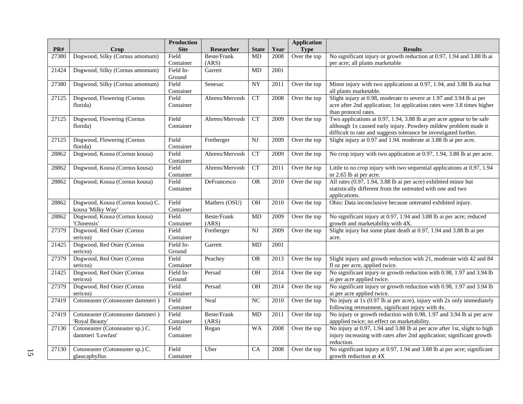|       |                                                       | <b>Production</b>  |                |                        |      | <b>Application</b> |                                                                                                                          |
|-------|-------------------------------------------------------|--------------------|----------------|------------------------|------|--------------------|--------------------------------------------------------------------------------------------------------------------------|
| PR#   | Crop                                                  | <b>Site</b>        | Researcher     | <b>State</b>           | Year | <b>Type</b>        | <b>Results</b>                                                                                                           |
| 27380 | Dogwood, Silky (Cornus amomum)                        | Field              | Beste/Frank    | MD                     | 2008 | Over the top       | No significant injury or growth reduction at 0.97, 1.94 and 3.88 lb ai                                                   |
|       |                                                       | Container          | (ARS)          |                        |      |                    | per acre; all plants marketable                                                                                          |
| 21424 | Dogwood, Silky (Cornus amomum)                        | Field In-          | Garrett        | MD                     | 2001 |                    |                                                                                                                          |
|       |                                                       | Ground             |                |                        |      |                    |                                                                                                                          |
| 27380 | Dogwood, Silky (Cornus amomum)                        | Field              | Senesac        | <b>NY</b>              | 2011 | Over the top       | Minor injury with two applications at 0.97, 1.94, and 3.88 lb aia but                                                    |
| 27125 |                                                       | Container<br>Field | Ahrens/Mervosh | <b>CT</b>              | 2008 |                    | all plants marketable.<br>Slight injury at 0.98, moderate to severe at 1.97 and 3.94 lb ai per                           |
|       | Dogwood, Flowering (Cornus<br>florida)                | Container          |                |                        |      | Over the top       | acre after 2nd application; 1st application rates were 3.8 times higher                                                  |
|       |                                                       |                    |                |                        |      |                    | than protocol rates.                                                                                                     |
| 27125 | Dogwood, Flowering (Cornus                            | Field              | Ahrens/Mervosh | CT                     | 2009 | Over the top       | Two applications at 0.97, 1.94, 3.88 lb ai per acre appear to be safe                                                    |
|       | florida)                                              | Container          |                |                        |      |                    | although 1x caused early injury. Powdery mildew problem made it                                                          |
|       |                                                       |                    |                |                        |      |                    | difficult to rate and suggests tolerance be investigated further.                                                        |
| 27125 | Dogwood, Flowering (Cornus                            | Field              | Freiberger     | $\overline{\text{NJ}}$ | 2009 | Over the top       | Slight injury at 0.97 and 1.94. moderate at 3.88 lb ai per acre.                                                         |
|       | florida)                                              | Container          |                |                        |      |                    |                                                                                                                          |
| 28862 | Dogwood, Kousa (Cornus kousa)                         | Field              | Ahrens/Mervosh | CT                     | 2009 | Over the top       | No crop injury with two application at 0.97, 1.94, 3.88 lb ai per acre.                                                  |
|       |                                                       | Container          |                |                        |      |                    |                                                                                                                          |
| 28862 | Dogwood, Kousa (Cornus kousa)                         | Field              | Ahrens/Mervosh | <b>CT</b>              | 2011 | Over the top       | Little to no crop injury with two sequential applications at 0.97, 1.94                                                  |
|       |                                                       | Container          |                |                        |      |                    | or 2.65 lb ai per acre.                                                                                                  |
| 28862 | Dogwood, Kousa (Cornus kousa)                         | Field              | DeFrancesco    | OR                     | 2010 | Over the top       | All rates (0.97, 1.94, 3.88 lb ai per acre) exhibited minor but                                                          |
|       |                                                       | Container          |                |                        |      |                    | statistically different from the untreated with one and two                                                              |
|       |                                                       |                    |                |                        |      |                    | applications.                                                                                                            |
| 28862 | Dogwood, Kousa (Cornus kousa) C.<br>kousa 'Milky Way' | Field<br>Container | Mathers (OSU)  | <b>OH</b>              | 2010 | Over the top       | Ohio: Data inconclusive because untreated exhibited injury.                                                              |
| 28862 | Dogwood, Kousa (Cornus kousa)                         | Field              | Beste/Frank    | MD                     | 2009 | Over the top       | No significant injury at 0.97, 1.94 and 3.88 lb ai per acre; reduced                                                     |
|       | 'Chinensis'                                           | Container          | (ARS)          |                        |      |                    | growth and marketability with 4X.                                                                                        |
| 27379 | Dogwood, Red Osier (Cornus                            | Field              | Freiberger     | NJ                     | 2009 | Over the top       | Slight injury but some plant death at 0.97, 1.94 and 3.88 lb ai per                                                      |
|       | sericea)                                              | Container          |                |                        |      |                    | acre.                                                                                                                    |
| 21425 | Dogwood, Red Osier (Cornus                            | Field In-          | Garrett        | MD                     | 2001 |                    |                                                                                                                          |
|       | sericea)                                              | Ground             |                |                        |      |                    |                                                                                                                          |
| 27379 | Dogwood, Red Osier (Cornus                            | Field              | Peachey        | <b>OR</b>              | 2013 | Over the top       | Slight injury and growth reduction with 21, moderate with 42 and 84                                                      |
|       | sericea)                                              | Container          |                |                        |      |                    | fl oz per acre, applied twice.                                                                                           |
| 21425 | Dogwood, Red Osier (Cornus                            | Field In-          | Persad         | OH                     | 2014 | Over the top       | No significant injury or growth reduction with 0.98, 1.97 and 3.94 lb                                                    |
|       | sericea)                                              | Ground             |                |                        |      |                    | ai per acre applied twice.                                                                                               |
| 27379 | Dogwood, Red Osier (Cornus                            | Field              | Persad         | OH                     | 2014 | Over the top       | No significant injury or growth reduction with 0.98, 1.97 and 3.94 lb                                                    |
|       | sericea)                                              | Container          |                |                        |      |                    | ai per acre applied twice.                                                                                               |
| 27419 | Cotoneaster (Cotoneaster dammeri)                     | Field              | Neal           | NC                     | 2010 | Over the top       | No injury at 1x (0.97 lb ai per acre), injury with 2x only immediately                                                   |
|       |                                                       | Container          |                |                        |      |                    | following retreatment, significant injury with 4x.                                                                       |
| 27419 | Cotoneaster (Cotoneaster dammeri)                     | Field              | Beste/Frank    | MD                     | 2011 | Over the top       | No injury or growth reduction with 0.98, 1.97 and 3.94 lb ai per acre                                                    |
| 27130 | 'Royal Beauty'<br>Cotoneaster (Cotoneaster sp.) C.    | Container<br>Field | (ARS)          | <b>WA</b>              | 2008 | Over the top       | appplied twice; no effect on marketability.<br>No injury at 0.97, 1.94 and 3.88 lb ai per acre after 1st, slight to high |
|       | dammeri 'Lowfast'                                     | Container          | Regan          |                        |      |                    | injury increasing with rates after 2nd application; significant growth                                                   |
|       |                                                       |                    |                |                        |      |                    | reduction.                                                                                                               |
| 27130 | Cotoneaster (Cotoneaster sp.) C.                      | Field              | Uber           | CA                     | 2008 | Over the top       | No significant injury at 0.97, 1.94 and 3.88 lb ai per acre; significant                                                 |
|       | glaucaphyllus                                         | Container          |                |                        |      |                    | growth reduction at 4X                                                                                                   |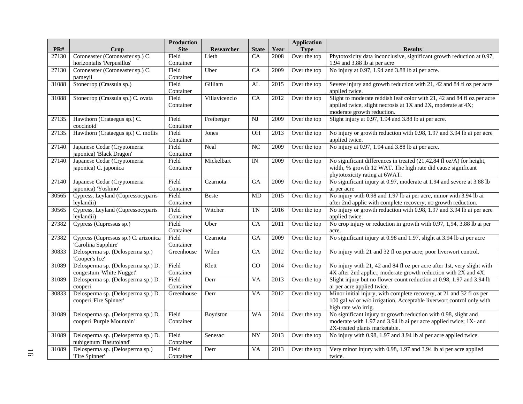|       |                                      | <b>Production</b>  |               |                 |                   | <b>Application</b> |                                                                                |
|-------|--------------------------------------|--------------------|---------------|-----------------|-------------------|--------------------|--------------------------------------------------------------------------------|
| PR#   | Crop                                 | <b>Site</b>        | Researcher    | <b>State</b>    | Year              | <b>Type</b>        | <b>Results</b>                                                                 |
| 27130 | Cotoneaster (Cotoneaster sp.) C.     | Field              | Lieth         | CA              | 2008              | Over the top       | Phytotoxicity data inconclusive, significant growth reduction at 0.97,         |
|       | horizontalis 'Perpusillus'           | Container          |               |                 |                   |                    | 1.94 and 3.88 lb ai per acre                                                   |
| 27130 | Cotoneaster (Cotoneaster sp.) C.     | Field              | Uber          | CA              | 2009              | Over the top       | No injury at 0.97, 1.94 and 3.88 lb ai per acre.                               |
|       | pameyii                              | Container          |               |                 |                   |                    |                                                                                |
| 31088 | Stonecrop (Crassula sp.)             | Field              | Gilliam       | AL              | 2015              | Over the top       | Severe injury and growth reduction with 21, 42 and 84 fl oz per acre           |
|       |                                      | Container          |               |                 |                   |                    | applied twice.                                                                 |
| 31088 | Stonecrop (Crassula sp.) C. ovata    | Field              | Villavicencio | CA              | 2012              | Over the top       | Slight to moderate reddish leaf color with 21, 42 and 84 fl oz per acre        |
|       |                                      | Container          |               |                 |                   |                    | applied twice, slight necrosis at 1X and 2X, moderate at 4X;                   |
|       |                                      |                    |               |                 |                   |                    | moderate growth reduction.                                                     |
| 27135 | Hawthorn (Crataegus sp.) C.          | Field              | Freiberger    | <b>NJ</b>       | 2009              | Over the top       | Slight injury at 0.97, 1.94 and 3.88 lb ai per acre.                           |
|       | coccinoid                            | Container          |               |                 |                   |                    |                                                                                |
| 27135 | Hawthorn (Crataegus sp.) C. mollis   | Field              | Jones         | <b>OH</b>       | 2013              | Over the top       | No injury or growth reduction with 0.98, 1.97 and 3.94 lb ai per acre          |
|       |                                      | Container          |               |                 |                   |                    | applied twice.                                                                 |
| 27140 | Japanese Cedar (Cryptomeria          | Field              | Neal          | $\overline{NC}$ | 2009              | Over the top       | No injury at 0.97, 1.94 and 3.88 lb ai per acre.                               |
|       | japonica) 'Black Dragon'             | Container          |               |                 |                   |                    |                                                                                |
| 27140 | Japanese Cedar (Cryptomeria          | Field              | Mickelbart    | $\overline{I}$  | 2009              | Over the top       | No significant differences in treated (21,42,84 fl oz/A) for height,           |
|       | japonica) C. japonica                | Container          |               |                 |                   |                    | width, % growth 12 WAT. The high rate did cause significant                    |
|       |                                      |                    |               |                 |                   |                    | phytotoxicity rating at 6WAT.                                                  |
| 27140 | Japanese Cedar (Cryptomeria          | Field              | Czarnota      | <b>GA</b>       | 2009              | Over the top       | No significant injury at 0.97, moderate at 1.94 and severe at 3.88 lb          |
|       | japonica) 'Yoshino'                  | Container          |               |                 |                   |                    | ai per acre                                                                    |
| 30565 | Cypress, Leyland (Cupressocyparis    | Field              | <b>Beste</b>  | MD              | 2015              | Over the top       | No injury with 0.98 and 1.97 lb ai per acre, minor with 3.94 lb ai             |
|       | leylandii)                           | Container          |               |                 |                   |                    | after 2nd applic with complete recovery; no growth reduction.                  |
| 30565 | Cypress, Leyland (Cupressocyparis    | Field              | Witcher       | <b>TN</b>       | 2016              | Over the top       | No injury or growth reduction with 0.98, 1.97 and 3.94 lb ai per acre          |
|       | leylandii)                           | Container<br>Field |               |                 |                   |                    | applied twice.                                                                 |
| 27382 | Cypress (Cupressus sp.)              | Container          | Uber          | CA              | 2011              | Over the top       | No crop injury or reduction in growth with 0.97, 1,94, 3.88 lb ai per          |
| 27382 | Cypress (Cupressus sp.) C. arizonica | Field              | Czarnota      | GA              | 2009              | Over the top       | acre.<br>No significant injury at 0.98 and 1.97, slight at 3.94 lb ai per acre |
|       | 'Carolina Sapphire'                  | Container          |               |                 |                   |                    |                                                                                |
| 30833 | Delosperma sp. (Delosperma sp.)      | Greenhouse         | Wilen         | CA              | 2012              | Over the top       | No injury with 21 and 32 fl oz per acre; poor liverwort control.               |
|       | 'Cooper's Ice'                       |                    |               |                 |                   |                    |                                                                                |
| 31089 | Delosperma sp. (Delosperma sp.) D.   | Field              | Klett         | CO              | 2014              | Over the top       | No injury with 21, 42 and 84 fl oz per acre after 1st, very slight with        |
|       | congestum 'White Nugget'             | Container          |               |                 |                   |                    | 4X after 2nd applic.; moderate growth reduction with 2X and 4X.                |
| 31089 | Delosperma sp. (Delosperma sp.) D.   | Field              | Derr          | <b>VA</b>       | 2013              | Over the top       | Slight injury but no flower count reduction at 0.98, 1.97 and 3.94 lb          |
|       | cooperi                              | Container          |               |                 |                   |                    | ai per acre applied twice.                                                     |
| 30833 | Delosperma sp. (Delosperma sp.) D.   | Greenhouse         | Derr          | <b>VA</b>       | 2012              | Over the top       | Minor initial injury, with complete recovery, at 21 and 32 fl oz per           |
|       | cooperi 'Fire Spinner'               |                    |               |                 |                   |                    | 100 gal w/ or w/o irrigation. Acceptable liverwort control only with           |
|       |                                      |                    |               |                 |                   |                    | high rate w/o irrig.                                                           |
| 31089 | Delosperma sp. (Delosperma sp.) D.   | Field              | Boydston      | <b>WA</b>       | 2014              | Over the top       | No significant injury or growth reduction with 0.98, slight and                |
|       | cooperi 'Purple Mountain'            | Container          |               |                 |                   |                    | moderate with 1.97 and 3.94 lb ai per acre applied twice; 1X- and              |
|       |                                      |                    |               |                 |                   |                    | 2X-treated plants marketable.                                                  |
| 31089 | Delosperma sp. (Delosperma sp.) D.   | Field              | Senesac       | <b>NY</b>       | 2013              | Over the top       | No injury with 0.98, 1.97 and 3.94 lb ai per acre applied twice.               |
|       | nubigenum 'Basutoland'               | Container          |               |                 |                   |                    |                                                                                |
| 31089 | Delosperma sp. (Delosperma sp.)      | Field              | Derr          | <b>VA</b>       | $\overline{2013}$ | Over the top       | Very minor injury with 0.98, 1.97 and 3.94 lb ai per acre applied              |
|       | 'Fire Spinner'                       | Container          |               |                 |                   |                    | twice.                                                                         |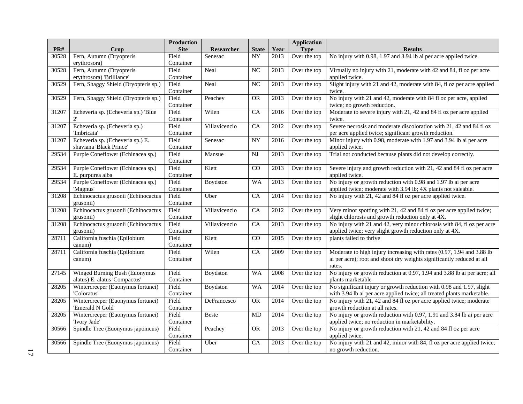| PR#   |                                                 | <b>Production</b><br><b>Site</b> | Researcher    | <b>State</b>    |      | <b>Application</b><br><b>Type</b> | <b>Results</b>                                                           |
|-------|-------------------------------------------------|----------------------------------|---------------|-----------------|------|-----------------------------------|--------------------------------------------------------------------------|
| 30528 | Crop<br>Fern, Autumn (Dryopteris                | Field                            |               | NY              | Year |                                   | No injury with 0.98, 1.97 and 3.94 lb ai per acre applied twice.         |
|       | erythrosora)                                    | Container                        | Senesac       |                 | 2013 | Over the top                      |                                                                          |
| 30528 | Fern, Autumn (Dryopteris                        | Field                            | Neal          | NC              | 2013 | Over the top                      | Virtually no injury with 21, moderate with 42 and 84, fl oz per acre     |
|       | erythrosora) 'Brilliance'                       | Container                        |               |                 |      |                                   | applied twice.                                                           |
| 30529 | Fern, Shaggy Shield (Dryopteris sp.)            | Field                            | Neal          | NC              | 2013 | Over the top                      | Slight injury with 21 and 42, moderate with 84, fl oz per acre applied   |
|       |                                                 | Container                        |               |                 |      |                                   | twice.                                                                   |
| 30529 | Fern, Shaggy Shield (Dryopteris sp.)            | Field                            | Peachey       | <b>OR</b>       | 2013 | Over the top                      | No injury with 21 and 42, moderate with 84 fl oz per acre, applied       |
|       |                                                 | Container                        |               |                 |      |                                   | twice; no growth reduction.                                              |
| 31207 | Echeveria sp. (Echeveria sp.) 'Blue             | Field                            | Wilen         | $\overline{CA}$ | 2016 | Over the top                      | Moderate to severe injury with 21, 42 and 84 fl oz per acre applied      |
|       | $2^{\prime}$                                    | Container                        |               |                 |      |                                   | twice.                                                                   |
| 31207 | Echeveria sp. (Echeveria sp.)                   | Field                            | Villavicencio | CA              | 2012 | Over the top                      | Severe necrosis and moderate discoloration with 21, 42 and 84 fl oz      |
|       | 'Imbricata'                                     | Container                        |               |                 |      |                                   | per acre applied twice; significant growth reduction.                    |
| 31207 | Echeveria sp. (Echeveria sp.) E.                | Field                            | Senesac       | NY              | 2016 | Over the top                      | Minor injury with 0.98, moderate with 1.97 and 3.94 lb ai per acre       |
|       | shaviana 'Black Prince'                         | Container                        |               |                 |      |                                   | applied twice.                                                           |
| 29534 | Purple Coneflower (Echinacea sp.)               | Field                            | Mansue        | NJ              | 2013 | Over the top                      | Trial not conducted because plants did not develop correctly.            |
|       |                                                 | Container                        |               |                 |      |                                   |                                                                          |
| 29534 | Purple Coneflower (Echinacea sp.)               | Field                            | Klett         | CO              | 2013 | Over the top                      | Severe injury and growth reduction with 21, 42 and 84 fl oz per acre     |
|       | E. purpurea alba                                | Container                        |               |                 |      |                                   | applied twice.                                                           |
| 29534 | Purple Coneflower (Echinacea sp.)               | Field                            | Boydston      | <b>WA</b>       | 2013 | Over the top                      | No injury or growth reduction with 0.98 and 1.97 lb ai per acre          |
| 31208 | 'Magnus'<br>Echinocactus grusonii (Echinocactus | Container<br>Field               |               | $\overline{CA}$ |      |                                   | applied twice; moderate with 3.94 lb; 4X plants not saleable.            |
|       | grusonii)                                       |                                  | Uber          |                 | 2014 | Over the top                      | No injury with 21, 42 and 84 fl oz per acre applied twice.               |
| 31208 | Echinocactus grusonii (Echinocactus             | Container<br>Field               | Villavicencio | CA              | 2012 | Over the top                      | Very minor spotting with 21, 42 and 84 fl oz per acre applied twice;     |
|       | grusonii)                                       | Container                        |               |                 |      |                                   | slight chlorosis and growth reduction only at 4X.                        |
| 31208 | Echinocactus grusonii (Echinocactus             | Field                            | Villavicencio | $\overline{CA}$ | 2013 | Over the top                      | No injury with 21 and 42, very minor chlorosis with 84, fl oz per acre   |
|       | grusonii)                                       | Container                        |               |                 |      |                                   | applied twice; very slight growth reduction only at 4X.                  |
| 28711 | California fuschia (Epilobium                   | Field                            | Klett         | CO              | 2015 | Over the top                      | plants failed to thrive                                                  |
|       | canum)                                          | Container                        |               |                 |      |                                   |                                                                          |
| 28711 | California fuschia (Epilobium                   | Field                            | Wilen         | $\overline{CA}$ | 2009 | Over the top                      | Moderate to high injury increasing with rates (0.97, 1.94 and 3.88 lb    |
|       | canum)                                          | Container                        |               |                 |      |                                   | ai per acre); root and shoot dry weights significantly reduced at all    |
|       |                                                 |                                  |               |                 |      |                                   | rates.                                                                   |
| 27145 | Winged Burning Bush (Euonymus                   | Field                            | Boydston      | <b>WA</b>       | 2008 | Over the top                      | No injury or growth reduction at 0.97, 1.94 and 3.88 lb ai per acre; all |
|       | alatus) E. alatus 'Compactus'                   | Container                        |               |                 |      |                                   | plants marketable                                                        |
| 28205 | Wintercreeper (Euonymus fortunei)               | Field                            | Boydston      | WA              | 2014 | Over the top                      | No significant injury or growth reduction with 0.98 and 1.97, slight     |
|       | 'Coloratus'                                     | Container                        |               |                 |      |                                   | with 3.94 lb ai per acre applied twice; all treated plants marketable.   |
| 28205 | Wintercreeper (Euonymus fortunei)               | Field                            | DeFrancesco   | <b>OR</b>       | 2014 | Over the top                      | No injury with 21, 42 and 84 fl oz per acre applied twice; moderate      |
|       | 'Emerald N Gold'                                | Container                        |               |                 |      |                                   | growth reduction at all rates.                                           |
| 28205 | Wintercreeper (Euonymus fortunei)               | Field                            | <b>Beste</b>  | <b>MD</b>       | 2014 | Over the top                      | No injury or growth reduction with 0.97, 1.91 and 3.84 lb ai per acre    |
|       | 'Ivory Jade'                                    | Container                        |               |                 |      |                                   | applied twice; no reduction in marketability.                            |
| 30566 | Spindle Tree (Euonymus japonicus)               | Field                            | Peachey       | OR              | 2013 | Over the top                      | No injury or growth reduction with 21, 42 and 84 fl oz per acre          |
|       |                                                 | Container                        |               |                 |      |                                   | applied twice.                                                           |
| 30566 | Spindle Tree (Euonymus japonicus)               | Field                            | Uber          | CA              | 2013 | Over the top                      | No injury with 21 and 42, minor with 84, fl oz per acre applied twice;   |
|       |                                                 | Container                        |               |                 |      |                                   | no growth reduction.                                                     |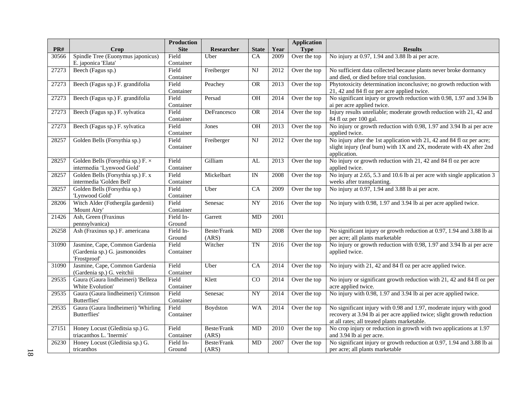|       |                                                                                 | <b>Production</b>   |                             |                          |      | <b>Application</b> |                                                                                                                                                                                               |
|-------|---------------------------------------------------------------------------------|---------------------|-----------------------------|--------------------------|------|--------------------|-----------------------------------------------------------------------------------------------------------------------------------------------------------------------------------------------|
| PR#   | Crop                                                                            | <b>Site</b>         | Researcher                  | <b>State</b>             | Year | <b>Type</b>        | <b>Results</b>                                                                                                                                                                                |
| 30566 | Spindle Tree (Euonymus japonicus)<br>E. japonica 'Elata'                        | Field<br>Container  | Uber                        | CA                       | 2009 | Over the top       | No injury at 0.97, 1.94 and 3.88 lb ai per acre.                                                                                                                                              |
| 27273 | Beech (Fagus sp.)                                                               | Field<br>Container  | Freiberger                  | $_{\rm NJ}$              | 2012 | Over the top       | No sufficient data collected because plants never broke dormancy<br>and died, or died before trial conclusion.                                                                                |
| 27273 | Beech (Fagus sp.) F. grandifolia                                                | Field<br>Container  | Peachey                     | <b>OR</b>                | 2013 | Over the top       | Phytotoxicity determination inconclusive; no growth reduction with<br>21, 42 and 84 fl oz per acre applied twice.                                                                             |
| 27273 | Beech (Fagus sp.) F. grandifolia                                                | Field<br>Container  | Persad                      | OH                       | 2014 | Over the top       | No significant injury or growth reduction with 0.98, 1.97 and 3.94 lb<br>ai per acre applied twice.                                                                                           |
| 27273 | Beech (Fagus sp.) F. sylvatica                                                  | Field<br>Container  | DeFrancesco                 | <b>OR</b>                | 2014 | Over the top       | Injury results unreliable; moderate growth reduction with 21, 42 and<br>84 fl oz per 100 gal.                                                                                                 |
| 27273 | Beech (Fagus sp.) F. sylvatica                                                  | Field<br>Container  | Jones                       | OH                       | 2013 | Over the top       | No injury or growth reduction with 0.98, 1.97 and 3.94 lb ai per acre<br>applied twice.                                                                                                       |
| 28257 | Golden Bells (Forsythia sp.)                                                    | Field<br>Container  | Freiberger                  | N <sub>J</sub>           | 2012 | Over the top       | No injury after the 1st application with 21, 42 and 84 fl oz per acre;<br>slight injury (leaf burn) with 1X and 2X, moderate with 4X after 2nd<br>application.                                |
| 28257 | Golden Bells (Forsythia sp.) $F \times$<br>intermedia 'Lynwood Gold'            | Field<br>Container  | Gilliam                     | AL                       | 2013 | Over the top       | No injury or growth reduction with 21, 42 and 84 fl oz per acre<br>applied twice.                                                                                                             |
| 28257 | Golden Bells (Forsythia sp.) F. x<br>intermedia 'Golden Bell'                   | Field<br>Container  | Mickelbart                  | $\ensuremath{\text{IN}}$ | 2008 | Over the top       | No injury at 2.65, 5.3 and 10.6 lb ai per acre with single application 3<br>weeks after transplanting.                                                                                        |
| 28257 | Golden Bells (Forsythia sp.)<br>'Lynwood Gold'                                  | Field<br>Container  | Uber                        | CA                       | 2009 | Over the top       | No injury at 0.97, 1.94 and 3.88 lb ai per acre.                                                                                                                                              |
| 28206 | Witch Alder (Fothergila gardenii)<br>'Mount Airy'                               | Field<br>Container  | Senesac                     | ${\rm NY}$               | 2016 | Over the top       | No injury with 0.98, 1.97 and 3.94 lb ai per acre applied twice.                                                                                                                              |
| 21426 | Ash, Green (Fraxinus<br>pennsylvanica)                                          | Field In-<br>Ground | Garrett                     | MD                       | 2001 |                    |                                                                                                                                                                                               |
| 26258 | Ash (Fraxinus sp.) F. americana                                                 | Field In-<br>Ground | <b>Beste/Frank</b><br>(ARS) | $\mbox{MD}$              | 2008 | Over the top       | No significant injury or growth reduction at 0.97, 1.94 and 3.88 lb ai<br>per acre; all plants marketable                                                                                     |
| 31090 | Jasmine, Cape, Common Gardenia<br>(Gardenia sp.) G. jasmonoides<br>'Frostproof' | Field<br>Container  | Witcher                     | TN                       | 2016 | Over the top       | No injury or growth reduction with 0.98, 1.97 and 3.94 lb ai per acre<br>applied twice.                                                                                                       |
| 31090 | Jasmine, Cape, Common Gardenia<br>(Gardenia sp.) G. veitchii                    | Field<br>Container  | Uber                        | $\overline{CA}$          | 2014 | Over the top       | No injury with 21, 42 and 84 fl oz per acre applied twice.                                                                                                                                    |
| 29535 | Gaura (Gaura lindheimeri) 'Belleza<br>White Evolution'                          | Field<br>Container  | Klett                       | CO                       | 2014 | Over the top       | No injury or significant growth reduction with 21, 42 and 84 fl oz per<br>acre applied twice.                                                                                                 |
| 29535 | Gaura (Gaura lindheimeri) 'Crimson<br><b>Butterflies'</b>                       | Field<br>Container  | Senesac                     | NY                       | 2014 | Over the top       | No injury with 0.98, 1.97 and 3.94 lb ai per acre applied twice.                                                                                                                              |
| 29535 | Gaura (Gaura lindheimeri) 'Whirling<br>Butterflies'                             | Field<br>Container  | Boydston                    | <b>WA</b>                | 2014 | Over the top       | No significant injury with 0.98 and 1.97, moderate injury with good<br>recovery at 3.94 lb ai per acre applied twice; slight growth reduction<br>at all rates; all treated plants marketable. |
| 27151 | Honey Locust (Gleditsia sp.) G.<br>triacanthos L. 'Inermis'                     | Field<br>Container  | <b>Beste/Frank</b><br>(ARS) | MD                       | 2010 | Over the top       | No crop injury or reduction in growth with two applications at 1.97<br>and 3.94 lb ai per acre.                                                                                               |
| 26230 | Honey Locust (Gleditsia sp.) G.<br>tricanthos                                   | Field In-<br>Ground | Beste/Frank<br>(ARS)        | $\rm MD$                 | 2007 | Over the top       | No significant injury or growth reduction at 0.97, 1.94 and 3.88 lb ai<br>per acre; all plants marketable                                                                                     |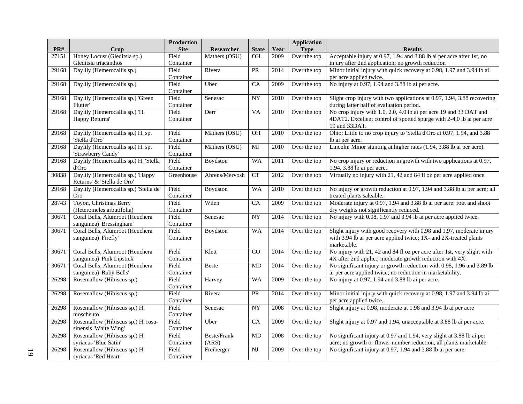|       |                                        | <b>Production</b> |                |                        |      | <b>Application</b> |                                                                          |
|-------|----------------------------------------|-------------------|----------------|------------------------|------|--------------------|--------------------------------------------------------------------------|
| PR#   | Crop                                   | <b>Site</b>       | Researcher     | <b>State</b>           | Year | <b>Type</b>        | <b>Results</b>                                                           |
| 27151 | Honey Locust (Gleditsia sp.)           | Field             | Mathers (OSU)  | OH                     | 2009 | Over the top       | Acceptable injury at 0.97, 1.94 and 3.88 lb ai per acre after 1st, no    |
|       | Gleditsia triacanthos                  | Container         |                |                        |      |                    | injury after 2nd application; no growth reduction                        |
| 29168 | Daylily (Hemerocallis sp.)             | Field             | Rivera         | PR                     | 2014 | Over the top       | Minor initial injury with quick recovery at 0.98, 1.97 and 3.94 lb ai    |
|       |                                        | Container         |                |                        |      |                    | per acre applied twice.                                                  |
| 29168 | Daylily (Hemerocallis sp.)             | Field             | Uber           | CA                     | 2009 | Over the top       | No injury at $0.97$ , $1.94$ and $3.88$ lb ai per acre.                  |
|       |                                        | Container         |                |                        |      |                    |                                                                          |
| 29168 | Daylily (Hemerocallis sp.) 'Green      | Field             | Senesac        | $\overline{NY}$        | 2010 | Over the top       | Slight crop injury with two applications at 0.97, 1.94, 3.88 recovering  |
|       | Flutter'                               | Container         |                |                        |      |                    | during latter half of evaluation period.                                 |
| 29168 | Daylily (Hemerocallis sp.) 'H.         | Field             | Derr           | VA                     | 2010 | Over the top       | No crop injury with 1.0, 2.0, 4.0 lb ai per acre 19 and 33 DAT and       |
|       | Happy Returns'                         | Container         |                |                        |      |                    | 4DAT2. Excellent control of spotted spurge with 2-4.0 lb ai per acre     |
|       |                                        |                   |                |                        |      |                    | 19 and 33DAT.                                                            |
| 29168 | Daylily (Hemerocallis sp.) H. sp.      | Field             | Mathers (OSU)  | <b>OH</b>              | 2010 | Over the top       | Ohio: Little to no crop injury to 'Stella d'Oro at 0.97, 1.94, and 3.88  |
|       | 'Stella d'Oro'                         | Container         |                |                        |      |                    | lb ai per acre.                                                          |
| 29168 | Daylily (Hemerocallis sp.) H. sp.      | Field             | Mathers (OSU)  | MI                     | 2010 | Over the top       | Lincoln: Minor stunting at higher rates (1.94, 3.88 lb ai per acre).     |
|       | 'Strawberry Candy'                     | Container         |                |                        |      |                    |                                                                          |
| 29168 | Daylily (Hemerocallis sp.) H. 'Stella  | Field             | Boydston       | WA                     | 2011 | Over the top       | No crop injury or reduction in growth with two applications at 0.97,     |
|       | d'Oro'                                 | Container         |                |                        |      |                    | 1.94, 3.88 lb ai per acre.                                               |
| 30838 | Daylily (Hemerocallis sp.) 'Happy      | $G$ reenhouse     | Ahrens/Mervosh | <b>CT</b>              | 2012 | Over the top       | Virtually no injury with 21, 42 and 84 fl oz per acre applied once.      |
|       | Returns' & 'Stella de Oro'             |                   |                |                        |      |                    |                                                                          |
| 29168 | Daylily (Hemerocallis sp.) 'Stella de' | Field             | Boydston       | <b>WA</b>              | 2010 | Over the top       | No injury or growth reduction at 0.97, 1.94 and 3.88 lb ai per acre; all |
|       | Oro'                                   | Container         |                |                        |      |                    | treated plants saleable.                                                 |
| 28743 | Toyon, Christmas Berry                 | Field             | Wilen          | $\overline{CA}$        | 2009 | Over the top       | Moderate injury at 0.97, 1.94 and 3.88 lb ai per acre; root and shoot    |
|       | (Heteromeles arbutifolia)              | Container         |                |                        |      |                    | dry weights not significantly reduced.                                   |
| 30671 | Coral Bells, Alumroot (Heuchera        | Field             | Senesac        | $\overline{NY}$        | 2014 | Over the top       | No injury with 0.98, 1.97 and 3.94 lb ai per acre applied twice.         |
|       | sanguinea) 'Bressingham'               | Container         |                |                        |      |                    |                                                                          |
| 30671 | Coral Bells, Alumroot (Heuchera        | Field             | Boydston       | <b>WA</b>              | 2014 | Over the top       | Slight injury with good recovery with 0.98 and 1.97, moderate injury     |
|       | sanguinea) 'Firefly'                   | Container         |                |                        |      |                    | with 3.94 lb ai per acre applied twice; 1X- and 2X-treated plants        |
|       |                                        |                   |                |                        |      |                    | marketable.                                                              |
| 30671 | Coral Bells, Alumroot (Heuchera        | Field             | Klett          | CO                     | 2014 | Over the top       | No injury with 21, 42 and 84 fl oz per acre after 1st, very slight with  |
|       | sanguinea) 'Pink Lipstick'             | Container         |                |                        |      |                    | 4X after 2nd applic.; moderate growth reduction with 4X.                 |
| 30671 | Coral Bells, Alumroot (Heuchera        | Field             | Beste          | MD                     | 2014 | Over the top       | No significant injury or growth reduction with 0.98, 1.96 and 3.89 lb    |
|       | sanguinea) 'Ruby Bells'                | Container         |                |                        |      |                    | ai per acre applied twice; no reduction in marketability.                |
| 26298 | Rosemallow (Hibiscus sp.)              | Field             | Harvey         | <b>WA</b>              | 2009 | Over the top       | No injury at 0.97, 1.94 and 3.88 lb ai per acre.                         |
|       |                                        | Container         |                |                        |      |                    |                                                                          |
| 26298 | Rosemallow (Hibiscus sp.)              | Field             | Rivera         | PR                     | 2014 | Over the top       | Minor initial injury with quick recovery at 0.98, 1.97 and 3.94 lb ai    |
|       |                                        | Container         |                |                        |      |                    | per acre applied twice.                                                  |
| 26298 | Rosemallow (Hibiscus sp.) H.           | Field             | Senesac        | <b>NY</b>              | 2008 | Over the top       | Slight injury at 0.98, moderate at 1.98 and 3.94 lb ai per acre          |
|       | moscheuto                              | Container         |                |                        |      |                    |                                                                          |
| 26298 | Rosemallow (Hibiscus sp.) H. rosa-     | Field             | Uber           | $\overline{CA}$        | 2009 | Over the top       | Slight injury at 0.97 and 1.94, unacceptable at 3.88 lb ai per acre.     |
|       | sinensis 'White Wing'                  | Container         |                |                        |      |                    |                                                                          |
| 26298 | Rosemallow (Hibiscus sp.) H.           | Field             | Beste/Frank    | MD                     | 2008 | Over the top       | No significant injury at 0.97 and 1.94, very slight at 3.88 lb ai per    |
|       | syriacus 'Blue Satin'                  | Container         | (ARS)          |                        |      |                    | acre; no growth or flower number reduction, all plants marketable        |
| 26298 | Rosemallow (Hibiscus sp.) H.           | Field             | Freiberger     | $\overline{\text{NJ}}$ | 2009 | Over the top       | No significant injury at 0.97, 1.94 and 3.88 lb ai per acre.             |
|       | syriacus 'Red Heart'                   | Container         |                |                        |      |                    |                                                                          |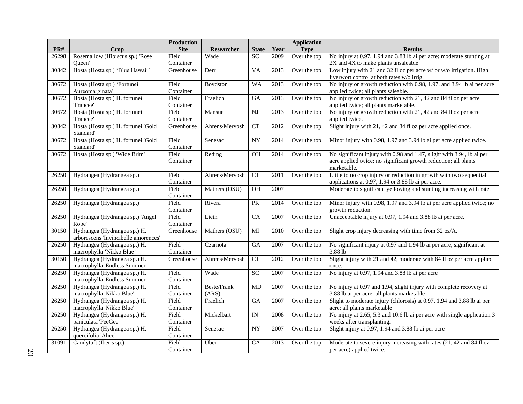|       |                                                              | <b>Production</b>  |                   |                          |      | <b>Application</b> |                                                                                                                                          |
|-------|--------------------------------------------------------------|--------------------|-------------------|--------------------------|------|--------------------|------------------------------------------------------------------------------------------------------------------------------------------|
| PR#   | Crop                                                         | <b>Site</b>        | <b>Researcher</b> | <b>State</b>             | Year | <b>Type</b>        | <b>Results</b>                                                                                                                           |
| 26298 | Rosemallow (Hibiscus sp.) 'Rose                              | Field              | Wade              | SC                       | 2009 | Over the top       | No injury at 0.97, 1.94 and 3.88 lb ai per acre; moderate stunting at                                                                    |
|       | Oueen'                                                       | Container          |                   |                          |      |                    | 2X and 4X to make plants unsaleable                                                                                                      |
| 30842 | Hosta (Hosta sp.) 'Blue Hawaii'                              | Greenhouse         | Derr              | <b>VA</b>                | 2013 | Over the top       | Low injury with 21 and 32 fl oz per acre w/ or w/o irrigation. High<br>liverwort control at both rates w/o irrig.                        |
| 30672 | Hosta (Hosta sp.) 'Fortunei                                  | Field              | Boydston          | <b>WA</b>                | 2013 | Over the top       | No injury or growth reduction with 0.98, 1.97, and 3.94 lb ai per acre                                                                   |
|       | Aureomarginata'                                              | Container          |                   |                          |      |                    | applied twice; all plants saleable.                                                                                                      |
| 30672 | Hosta (Hosta sp.) H. fortunei                                | Field              | Fraelich          | <b>GA</b>                | 2013 | Over the top       | No injury or growth reduction with 21, 42 and 84 fl oz per acre                                                                          |
|       | 'Francee'                                                    | Container          |                   |                          |      |                    | applied twice; all plants marketable.                                                                                                    |
| 30672 | Hosta (Hosta sp.) H. fortunei                                | Field              | Mansue            | NJ                       | 2013 | Over the top       | No injury or growth reduction with 21, 42 and 84 fl oz per acre                                                                          |
|       | 'Francee'                                                    | Container          |                   |                          |      |                    | applied twice.                                                                                                                           |
| 30842 | Hosta (Hosta sp.) H. fortunei 'Gold<br>Standard'             | Greenhouse         | Ahrens/Mervosh    | $\overline{\text{CT}}$   | 2012 | Over the top       | Slight injury with 21, 42 and 84 fl oz per acre applied once.                                                                            |
| 30672 | Hosta (Hosta sp.) H. fortunei 'Gold                          | Field              | Senesac           | <b>NY</b>                | 2014 | Over the top       | Minor injury with 0.98, 1.97 and 3.94 lb ai per acre applied twice.                                                                      |
|       | Standard'                                                    | Container          |                   |                          |      |                    |                                                                                                                                          |
| 30672 | Hosta (Hosta sp.) 'Wide Brim'                                | Field<br>Container | Reding            | $\overline{OH}$          | 2014 | Over the top       | No significant injury with 0.98 and 1.47, slight with 3.94, lb ai per<br>acre applied twice; no significant growth reduction; all plants |
|       |                                                              |                    |                   |                          |      |                    | marketable.                                                                                                                              |
| 26250 | Hydrangea (Hydrangea sp.)                                    | Field              | Ahrens/Mervosh    | <b>CT</b>                | 2011 | Over the top       | Little to no crop injury or reduction in growth with two sequential                                                                      |
|       |                                                              | Container          |                   |                          |      |                    | applications at 0.97, 1.94 or 3.88 lb ai per acre.                                                                                       |
| 26250 | Hydrangea (Hydrangea sp.)                                    | Field<br>Container | Mathers (OSU)     | <b>OH</b>                | 2007 |                    | Moderate to significant yellowing and stunting increasing with rate.                                                                     |
| 26250 | Hydrangea (Hydrangea sp.)                                    | Field              | Rivera            | <b>PR</b>                | 2014 | Over the top       | Minor injury with 0.98, 1.97 and 3.94 lb ai per acre applied twice; no                                                                   |
|       |                                                              | Container          |                   |                          |      |                    | growth reduction.                                                                                                                        |
| 26250 | Hydrangea (Hydrangea sp.) 'Angel<br>Robe'                    | Field<br>Container | Lieth             | $\overline{CA}$          | 2007 | Over the top       | Unacceptable injury at 0.97, 1.94 and 3.88 lb ai per acre.                                                                               |
| 30150 | Hydrangea (Hydrangea sp.) H.                                 | Greenhouse         | Mathers (OSU)     | MI                       | 2010 | Over the top       | Slight crop injury decreasing with time from 32 oz/A.                                                                                    |
|       | arborescens 'Invincibelle amorences'                         |                    |                   |                          |      |                    |                                                                                                                                          |
| 26250 | Hydrangea (Hydrangea sp.) H.                                 | Field              | Czarnota          | $\overline{GA}$          | 2007 | Over the top       | No significant injury at 0.97 and 1.94 lb ai per acre, significant at                                                                    |
|       | macrophylla 'Nikko Blue'                                     | Container          |                   |                          |      |                    | 3.88 lb                                                                                                                                  |
| 30150 | Hydrangea (Hydrangea sp.) H.                                 | Greenhouse         | Ahrens/Mervosh    | <b>CT</b>                | 2012 | Over the top       | Slight injury with 21 and 42, moderate with 84 fl oz per acre applied                                                                    |
|       | macrophylla 'Endless Summer'                                 |                    |                   |                          |      |                    | once.                                                                                                                                    |
| 26250 | Hydrangea (Hydrangea sp.) H.<br>macrophylla 'Endless Summer' | Field<br>Container | Wade              | SC                       | 2007 | Over the top       | No injury at 0.97, 1.94 and 3.88 lb ai per acre                                                                                          |
| 26250 | Hydrangea (Hydrangea sp.) H.                                 | Field              | Beste/Frank       | MD                       | 2007 | Over the top       | No injury at 0.97 and 1.94, slight injury with complete recovery at                                                                      |
|       | macrophylla 'Nikko Blue'                                     | Container          | (ARS)             |                          |      |                    | 3.88 lb ai per acre; all plants marketable                                                                                               |
| 26250 | Hydrangea (Hydrangea sp.) H.                                 | Field              | Fraelich          | $\overline{GA}$          | 2007 | Over the top       | Slight to moderate injury (chlorosis) at 0.97, 1.94 and 3.88 lb ai per                                                                   |
|       | macrophylla 'Nikko Blue'                                     | Container          |                   |                          |      |                    | acre; all plants marketable                                                                                                              |
| 26250 | Hydrangea (Hydrangea sp.) H.                                 | Field              | Mickelbart        | $\ensuremath{\text{IN}}$ | 2008 | Over the top       | No injury at 2.65, 5.3 and 10.6 lb ai per acre with single application 3                                                                 |
|       | paniculata 'PeeGee'                                          | Container          |                   |                          |      |                    | weeks after transplanting.                                                                                                               |
| 26250 | Hydrangea (Hydrangea sp.) H.                                 | Field              | Senesac           | $\overline{NY}$          | 2007 | Over the top       | Slight injury at 0.97, 1.94 and 3.88 lb ai per acre                                                                                      |
|       | quercifolia 'Alice'                                          | Container          |                   |                          |      |                    |                                                                                                                                          |
| 31091 | Candytuft (Iberis sp.)                                       | Field              | Uber              | CA                       | 2013 | Over the top       | Moderate to severe injury increasing with rates (21, 42 and 84 fl oz                                                                     |
|       |                                                              | Container          |                   |                          |      |                    | per acre) applied twice.                                                                                                                 |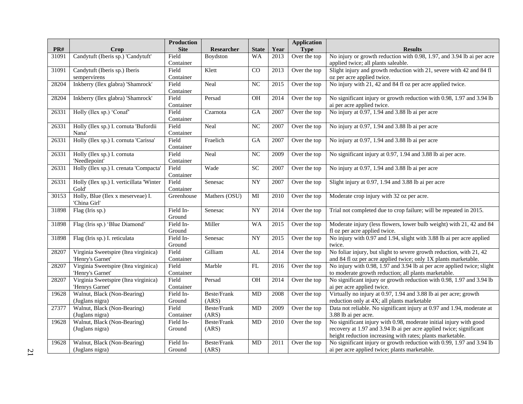| PR#   | Crop                                     | <b>Production</b><br><b>Site</b> | Researcher    | <b>State</b>           | Year              | <b>Application</b><br><b>Type</b> | <b>Results</b>                                                          |
|-------|------------------------------------------|----------------------------------|---------------|------------------------|-------------------|-----------------------------------|-------------------------------------------------------------------------|
| 31091 | Candytuft (Iberis sp.) 'Candytuft'       | Field                            | Boydston      | <b>WA</b>              | 2013              | Over the top                      | No injury or growth reduction with 0.98, 1.97, and 3.94 lb ai per acre  |
|       |                                          | Container                        |               |                        |                   |                                   | applied twice; all plants saleable.                                     |
| 31091 | Candytuft (Iberis sp.) Iberis            | Field                            | Klett         | CO                     | $\overline{2013}$ | Over the top                      | Slight injury and growth reduction with 21, severe with 42 and 84 fl    |
|       | sempervirens                             | Container                        |               |                        |                   |                                   | oz per acre applied twice.                                              |
| 28204 | Inkberry (Ilex glabra) 'Shamrock'        | Field                            | Neal          | $_{\rm NC}$            | 2015              | Over the top                      | No injury with 21, 42 and 84 fl oz per acre applied twice.              |
|       |                                          | Container                        |               |                        |                   |                                   |                                                                         |
| 28204 | Inkberry (Ilex glabra) 'Shamrock'        | Field                            | Persad        | OH                     | 2014              | Over the top                      | No significant injury or growth reduction with 0.98, 1.97 and 3.94 lb   |
|       |                                          | Container                        |               |                        |                   |                                   | ai per acre applied twice.                                              |
| 26331 | Holly (Ilex sp.) 'Conaf'                 | Field                            | Czarnota      | GA                     | 2007              | Over the top                      | No injury at 0.97, 1.94 and 3.88 lb ai per acre                         |
|       |                                          | Container                        |               |                        |                   |                                   |                                                                         |
| 26331 | Holly (Ilex sp.) I. cornuta 'Bufordii    | Field                            | Neal          | NC                     | 2007              | Over the top                      | No injury at 0.97, 1.94 and 3.88 lb ai per acre                         |
|       | Nana'                                    | Container                        |               |                        |                   |                                   |                                                                         |
| 26331 | Holly (Ilex sp.) I. cornuta 'Carissa'    | Field                            | Fraelich      | <b>GA</b>              | 2007              | Over the top                      | No injury at 0.97, 1.94 and 3.88 lb ai per acre                         |
|       |                                          | Container                        |               |                        |                   |                                   |                                                                         |
| 26331 | Holly (Ilex sp.) I. cornuta              | Field                            | Neal          | NC                     | 2009              | Over the top                      | No significant injury at 0.97, 1.94 and 3.88 lb ai per acre.            |
|       | 'Needlepoint'                            | Container                        |               |                        |                   |                                   |                                                                         |
| 26331 | Holly (Ilex sp.) I. crenata 'Compacta'   | Field                            | Wade          | <b>SC</b>              | 2007              | Over the top                      | No injury at 0.97, 1.94 and 3.88 lb ai per acre                         |
|       |                                          | Container                        |               |                        |                   |                                   |                                                                         |
| 26331 | Holly (Ilex sp.) I. verticillata 'Winter | Field                            | Senesac       | $\overline{NY}$        | 2007              | Over the top                      | Slight injury at 0.97, 1.94 and 3.88 lb ai per acre                     |
|       | Gold'                                    | Container                        |               |                        |                   |                                   |                                                                         |
| 30153 | Holly, Blue (Ilex x meserveae) I.        | Greenhouse                       | Mathers (OSU) | $\mathbf{M}\mathbf{I}$ | 2010              | Over the top                      | Moderate crop injury with 32 oz per acre.                               |
|       | 'China Girl'                             |                                  |               |                        |                   |                                   |                                                                         |
| 31898 | Flag (Iris sp.)                          | Field In-                        | Senesac       | $\overline{NY}$        | 2014              | Over the top                      | Trial not completed due to crop failure; will be repeated in 2015.      |
|       |                                          | Ground                           |               |                        |                   |                                   |                                                                         |
| 31898 | Flag (Iris sp.) 'Blue Diamond'           | Field In-                        | Miller        | <b>WA</b>              | 2015              | Over the top                      | Moderate injury (less flowers, lower bulb weight) with 21, 42 and 84    |
|       |                                          | Ground                           |               |                        |                   |                                   | fl oz per acre applied twice.                                           |
| 31898 | Flag (Iris sp.) I. reticulata            | Field In-                        | Senesac       | ${\rm NY}$             | 2015              | Over the top                      | No injury with 0.97 and 1.94, slight with 3.88 lb ai per acre applied   |
|       |                                          | Ground                           |               |                        |                   |                                   | twice.                                                                  |
| 28207 | Virginia Sweetspire (Itea virginica)     | Field                            | Gilliam       | AL                     | 2014              | Over the top                      | No foliar injury, but slight to severe growth reduction, with 21, 42    |
|       | 'Henry's Garnet'                         | Container                        |               |                        |                   |                                   | and 84 fl oz per acre applied twice; only 1X plants marketable.         |
| 28207 | Virginia Sweetspire (Itea virginica)     | Field                            | Marble        | FL                     | 2016              | Over the top                      | No injury with 0.98, 1.97 and 3.94 lb ai per acre applied twice; slight |
|       | 'Henry's Garnet'                         | Container                        |               |                        |                   |                                   | to moderate growth reduction; all plants marketable.                    |
| 28207 | Virginia Sweetspire (Itea virginica)     | Field                            | Persad        | OH                     | 2014              | Over the top                      | No significant injury or growth reduction with 0.98, 1.97 and 3.94 lb   |
|       | 'Henrys Garnet'                          | Container                        |               |                        |                   |                                   | ai per acre applied twice.                                              |
| 19628 | Walnut, Black (Non-Bearing)              | Field In-                        | Beste/Frank   | <b>MD</b>              | 2008              | Over the top                      | Virtually no injury at 0.97, 1.94 and 3.88 lb ai per acre; growth       |
|       | (Juglans nigra)                          | Ground                           | (ARS)         |                        |                   |                                   | reduction only at 4X; all plants marketable                             |
| 27377 | Walnut, Black (Non-Bearing)              | Field                            | Beste/Frank   | MD                     | 2009              | Over the top                      | Data not reliable. No significant injury at 0.97 and 1.94, moderate at  |
|       | (Juglans nigra)                          | Container                        | (ARS)         |                        |                   |                                   | 3.88 lb ai per acre.                                                    |
| 19628 | Walnut, Black (Non-Bearing)              | Field In-                        | Beste/Frank   | <b>MD</b>              | 2010              | Over the top                      | No significant injury with 0.98, moderate initial injury with good      |
|       | (Juglans nigra)                          | Ground                           | (ARS)         |                        |                   |                                   | recovery at 1.97 and 3.94 lb ai per acre applied twice; significant     |
|       |                                          |                                  |               |                        |                   |                                   | height reduction increasing with rates; plants marketable.              |
| 19628 | Walnut, Black (Non-Bearing)              | Field In-                        | Beste/Frank   | <b>MD</b>              | 2011              | Over the top                      | No significant injury or growth reduction with 0.99, 1.97 and 3.94 lb   |
|       | (Juglans nigra)                          | Ground                           | (ARS)         |                        |                   |                                   | ai per acre applied twice; plants marketable.                           |
|       |                                          |                                  |               |                        |                   |                                   |                                                                         |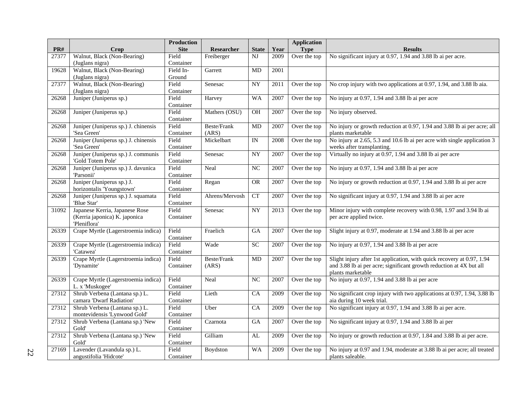|       |                                                                | <b>Production</b>  |                     |                 |      | <b>Application</b> |                                                                                               |
|-------|----------------------------------------------------------------|--------------------|---------------------|-----------------|------|--------------------|-----------------------------------------------------------------------------------------------|
| PR#   | Crop                                                           | <b>Site</b>        | Researcher          | <b>State</b>    | Year | <b>Type</b>        | <b>Results</b>                                                                                |
| 27377 | Walnut, Black (Non-Bearing)                                    | Field              | Freiberger          | NJ              | 2009 | Over the top       | No significant injury at 0.97, 1.94 and 3.88 lb ai per acre.                                  |
|       | (Juglans nigra)                                                | Container          |                     |                 |      |                    |                                                                                               |
| 19628 | Walnut, Black (Non-Bearing)                                    | Field In-          | Garrett             | MD              | 2001 |                    |                                                                                               |
|       | (Juglans nigra)                                                | Ground             |                     |                 |      |                    |                                                                                               |
| 27377 | Walnut, Black (Non-Bearing)                                    | Field              | Senesac             | <b>NY</b>       | 2011 | Over the top       | No crop injury with two applications at 0.97, 1.94, and 3.88 lb aia.                          |
|       | (Juglans nigra)                                                | Container          |                     |                 |      |                    |                                                                                               |
| 26268 | Juniper (Juniperus sp.)                                        | Field              | Harvey              | <b>WA</b>       | 2007 | Over the top       | No injury at 0.97, 1.94 and 3.88 lb ai per acre                                               |
|       |                                                                | Container          |                     |                 |      |                    |                                                                                               |
| 26268 | Juniper (Juniperus sp.)                                        | Field              | Mathers (OSU)       | <b>OH</b>       | 2007 | Over the top       | No injury observed.                                                                           |
|       |                                                                | Container          |                     |                 |      |                    |                                                                                               |
| 26268 | Juniper (Juniperus sp.) J. chinensis                           | Field              | <b>Beste/Frank</b>  | MD              | 2007 | Over the top       | No injury or growth reduction at 0.97, 1.94 and 3.88 lb ai per acre; all                      |
|       | 'Sea Green'<br>Juniper (Juniperus sp.) J. chinensis            | Container<br>Field | (ARS)<br>Mickelbart | $\overline{IN}$ |      |                    | plants marketable<br>No injury at 2.65, 5.3 and 10.6 lb ai per acre with single application 3 |
| 26268 | 'Sea Green'                                                    |                    |                     |                 | 2008 | Over the top       |                                                                                               |
| 26268 | Juniper (Juniperus sp.) J. communis                            | Container<br>Field | Senesac             | NY              | 2007 | Over the top       | weeks after transplanting.<br>Virtually no injury at 0.97, 1.94 and 3.88 lb ai per acre       |
|       | 'Gold Totem Pole'                                              | Container          |                     |                 |      |                    |                                                                                               |
| 26268 | Juniper (Juniperus sp.) J. davunica                            | Field              | Neal                | NC              | 2007 | Over the top       | No injury at 0.97, 1.94 and 3.88 lb ai per acre                                               |
|       | 'Parsonii'                                                     | Container          |                     |                 |      |                    |                                                                                               |
| 26268 | Juniper (Juniperus sp.) J.                                     | Field              | Regan               | <b>OR</b>       | 2007 | Over the top       | No injury or growth reduction at 0.97, 1.94 and 3.88 lb ai per acre                           |
|       | horizontalis 'Youngstown'                                      | Container          |                     |                 |      |                    |                                                                                               |
| 26268 | Juniper (Juniperus sp.) J. squamata                            | Field              | Ahrens/Mervosh      | CT              | 2007 | Over the top       | No significant injury at 0.97, 1.94 and 3.88 lb ai per acre                                   |
|       | 'Blue Star'                                                    | Container          |                     |                 |      |                    |                                                                                               |
| 31092 | Japanese Kerria, Japanese Rose                                 | Field              | Senesac             | <b>NY</b>       | 2013 | Over the top       | Minor injury with complete recovery with 0.98, 1.97 and 3.94 lb ai                            |
|       | (Kerria japonica) K. japonica                                  | Container          |                     |                 |      |                    | per acre applied twice.                                                                       |
|       | 'Pleniflora'                                                   |                    |                     |                 |      |                    |                                                                                               |
| 26339 | Crape Myrtle (Lagerstroemia indica)                            | Field              | Fraelich            | GA              | 2007 | Over the top       | Slight injury at 0.97, moderate at 1.94 and 3.88 lb ai per acre                               |
|       |                                                                | Container          |                     |                 |      |                    |                                                                                               |
| 26339 | Crape Myrtle (Lagerstroemia indica)                            | Field              | Wade                | $\overline{SC}$ | 2007 | Over the top       | No injury at 0.97, 1.94 and 3.88 lb ai per acre                                               |
|       | 'Catawea'                                                      | Container          |                     |                 |      |                    |                                                                                               |
| 26339 | Crape Myrtle (Lagerstroemia indica)                            | Field              | Beste/Frank         | <b>MD</b>       | 2007 | Over the top       | Slight injury after 1st application, with quick recovery at 0.97, 1.94                        |
|       | 'Dynamite'                                                     | Container          | (ARS)               |                 |      |                    | and 3.88 lb ai per acre; significant growth reduction at 4X but all                           |
|       |                                                                |                    |                     |                 |      |                    | plants marketable                                                                             |
| 26339 | Crape Myrtle (Lagerstroemia indica)                            | Field              | Neal                | NC              | 2007 | Over the top       | No injury at 0.97, 1.94 and 3.88 lb ai per acre                                               |
|       | L. x 'Muskogee'                                                | Container<br>Field |                     | CA              |      |                    |                                                                                               |
| 27312 | Shrub Verbena (Lantana sp.) L.                                 |                    | Lieth               |                 | 2009 | Over the top       | No significant crop injury with two applications at 0.97, 1.94, 3.88 lb                       |
| 27312 | camara 'Dwarf Radiation'                                       | Container<br>Field |                     |                 |      |                    | aia during 10 week trial.<br>No significant injury at 0.97, 1.94 and 3.88 lb ai per acre.     |
|       | Shrub Verbena (Lantana sp.) L.<br>montevidensis 'Lynwood Gold' | Container          | Uber                | <b>CA</b>       | 2009 | Over the top       |                                                                                               |
| 27312 | Shrub Verbena (Lantana sp.) 'New                               | Field              | Czarnota            | GA              | 2007 | Over the top       | No significant injury at 0.97, 1.94 and 3.88 lb ai per                                        |
|       | Gold'                                                          | Container          |                     |                 |      |                    |                                                                                               |
| 27312 | Shrub Verbena (Lantana sp.) 'New                               | Field              | Gilliam             | AL              | 2009 | Over the top       | No injury or growth reduction at 0.97, 1.84 and 3.88 lb ai per acre.                          |
|       | Gold'                                                          | Container          |                     |                 |      |                    |                                                                                               |
| 27169 | Lavender (Lavandula sp.) L.                                    | Field              | Boydston            | <b>WA</b>       | 2009 | Over the top       | No injury at 0.97 and 1.94, moderate at 3.88 lb ai per acre; all treated                      |
|       | angustifolia 'Hidcote'                                         | Container          |                     |                 |      |                    | plants saleable.                                                                              |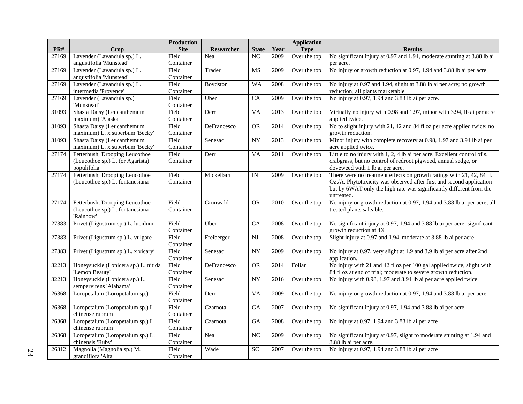|       |                                      | Production         |             |                        |      | <b>Application</b> |                                                                                                                                               |
|-------|--------------------------------------|--------------------|-------------|------------------------|------|--------------------|-----------------------------------------------------------------------------------------------------------------------------------------------|
| PR#   | Crop                                 | <b>Site</b>        | Researcher  | <b>State</b>           | Year | <b>Type</b>        | <b>Results</b>                                                                                                                                |
| 27169 | Lavender (Lavandula sp.) L.          | Field              | Neal        | N <sub>C</sub>         | 2009 | Over the top       | No significant injury at 0.97 and 1.94, moderate stunting at 3.88 lb ai                                                                       |
|       | angustifolia 'Munstead'              | Container          |             |                        |      |                    | per acre.                                                                                                                                     |
| 27169 | Lavender (Lavandula sp.) L.          | Field              | Trader      | MS                     | 2009 | Over the top       | No injury or growth reduction at 0.97, 1.94 and 3.88 lb ai per acre                                                                           |
|       | angustifolia 'Munstead'              | Container          |             |                        |      |                    |                                                                                                                                               |
| 27169 | Lavender (Lavandula sp.) L.          | Field              | Boydston    | <b>WA</b>              | 2008 | Over the top       | No injury at 0.97 and 1.94, slight at 3.88 lb ai per acre; no growth                                                                          |
|       | intermedia 'Provence'                | Container          |             |                        |      |                    | reduction; all plants marketable                                                                                                              |
| 27169 | Lavender (Lavandula sp.)             | Field              | Uber        | CA                     | 2009 | Over the top       | No injury at 0.97, 1.94 and 3.88 lb ai per acre.                                                                                              |
|       | 'Munstead'                           | Container          |             |                        |      |                    |                                                                                                                                               |
| 31093 | Shasta Daisy (Leucanthemum           | Field              | Derr        | <b>VA</b>              | 2013 | Over the top       | Virtually no injury with 0.98 and 1.97, minor with 3.94, lb ai per acre                                                                       |
|       | maximum) 'Alaska'                    | Container          |             |                        |      |                    | applied twice.                                                                                                                                |
| 31093 | Shasta Daisy (Leucanthemum           | Field              | DeFrancesco | <b>OR</b>              | 2014 | Over the top       | No to slight injury with 21, 42 and 84 fl oz per acre applied twice; no                                                                       |
|       | maximum) L. x superbum 'Becky'       | Container          |             |                        |      |                    | growth reduction.                                                                                                                             |
| 31093 | Shasta Daisy (Leucanthemum           | Field              | Senesac     | <b>NY</b>              | 2013 | Over the top       | Minor injury with complete recovery at 0.98, 1.97 and 3.94 lb ai per                                                                          |
|       | maximum) L. x superbum 'Becky'       | Container          |             |                        |      |                    | acre applied twice.                                                                                                                           |
| 27174 | Fetterbush, Drooping Leucothoe       | Field              | Derr        | <b>VA</b>              | 2011 | Over the top       | Little to no injury with 1, 2, 4 lb ai per acre. Excellent control of s.                                                                      |
|       | (Leucothoe sp.) L. (or Agarista)     | Container          |             |                        |      |                    | crabgrass, but no control of redroot pigweed, annual sedge, or                                                                                |
|       | populifolia                          |                    |             |                        |      |                    | doveweed with 1 lb ai per acre.                                                                                                               |
| 27174 | Fetterbush, Drooping Leucothoe       | Field<br>Container | Mickelbart  | IN                     | 2009 | Over the top       | There were no treatment effects on growth ratings with 21, 42, 84 fl.<br>Oz./A. Phytotoxicity was observed after first and second application |
|       | (Leucothoe sp.) L. fontanesiana      |                    |             |                        |      |                    | but by 6WAT only the high rate was significantly different from the                                                                           |
|       |                                      |                    |             |                        |      |                    | untreated.                                                                                                                                    |
| 27174 | Fetterbush, Drooping Leucothoe       | Field              | Grunwald    | <b>OR</b>              | 2010 | Over the top       | No injury or growth reduction at 0.97, 1.94 and 3.88 lb ai per acre; all                                                                      |
|       | (Leucothoe sp.) L. fontanesiana      | Container          |             |                        |      |                    | treated plants saleable.                                                                                                                      |
|       | 'Rainbow'                            |                    |             |                        |      |                    |                                                                                                                                               |
| 27383 | Privet (Ligustrum sp.) L. lucidum    | Field              | Uber        | $\overline{CA}$        | 2008 | Over the top       | No significant injury at 0.97, 1.94 and 3.88 lb ai per acre; significant                                                                      |
|       |                                      | Container          |             |                        |      |                    | growth reduction at 4X                                                                                                                        |
| 27383 | Privet (Ligustrum sp.) L. vulgare    | Field              | Freiberger  | $\overline{\text{NJ}}$ | 2008 | Over the top       | Slight injury at 0.97 and 1.94, moderate at 3.88 lb ai per acre                                                                               |
|       |                                      | Container          |             |                        |      |                    |                                                                                                                                               |
| 27383 | Privet (Ligustrum sp.) L. x vicaryi  | Field              | Senesac     | $\overline{NY}$        | 2009 | Over the top       | No injury at 0.97, very slight at 1.9 and 3.9 lb ai per acre after 2nd                                                                        |
|       |                                      | Container          |             |                        |      |                    | application.                                                                                                                                  |
| 32213 | Honeysuckle (Lonicera sp.) L. nitida | Field              | DeFrancesco | <b>OR</b>              | 2014 | Foliar             | No injury with 21 and 42 fl oz per 100 gal applied twice, slight with                                                                         |
|       | 'Lemon Beauty'                       | Container          |             |                        |      |                    | 84 fl oz at end of trial; moderate to severe growth reduction.                                                                                |
| 32213 | Honeysuckle (Lonicera sp.) L.        | Field              | Senesac     | <b>NY</b>              | 2016 | Over the top       | No injury with 0.98, 1.97 and 3.94 lb ai per acre applied twice.                                                                              |
|       | sempervirens 'Alabama'               | Container          |             |                        |      |                    |                                                                                                                                               |
| 26368 | Loropetalum (Loropetalum sp.)        | Field              | Derr        | $\overline{VA}$        | 2009 | Over the top       | No injury or growth reduction at 0.97, 1.94 and 3.88 lb ai per acre.                                                                          |
|       |                                      | Container          |             |                        |      |                    |                                                                                                                                               |
| 26368 | Loropetalum (Loropetalum sp.) L.     | Field              | Czarnota    | GA                     | 2007 | Over the top       | No significant injury at 0.97, 1.94 and 3.88 lb ai per acre                                                                                   |
|       | chinense rubrum                      | Container          |             |                        |      |                    |                                                                                                                                               |
| 26368 | Loropetalum (Loropetalum sp.) L.     | Field              | Czarnota    | $\overline{GA}$        | 2008 | Over the top       | No injury at 0.97, 1.94 and 3.88 lb ai per acre                                                                                               |
|       | chinense rubrum                      | Container          |             |                        |      |                    |                                                                                                                                               |
| 26368 | Loropetalum (Loropetalum sp.) L.     | Field              | Neal        | NC                     | 2009 | Over the top       | No significant injury at 0.97, slight to moderate stunting at 1.94 and                                                                        |
|       | chinensis 'Ruby'                     | Container          |             |                        |      |                    | 3.88 lb ai per acre.                                                                                                                          |
| 26312 | Magnolia (Magnolia sp.) M.           | Field              | Wade        | SC                     | 2007 | Over the top       | No injury at 0.97, 1.94 and 3.88 lb ai per acre                                                                                               |
|       | grandiflora 'Alta'                   | Container          |             |                        |      |                    |                                                                                                                                               |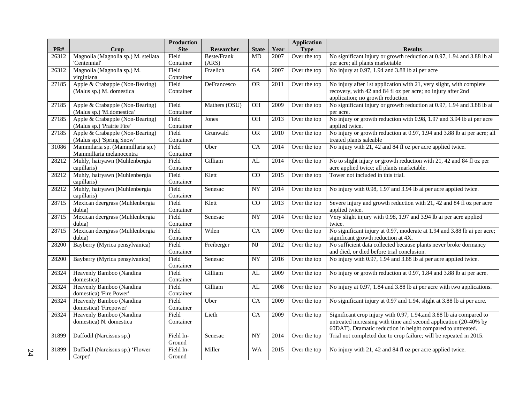|       |                                     | <b>Production</b> |               |                 |      | <b>Application</b> |                                                                          |
|-------|-------------------------------------|-------------------|---------------|-----------------|------|--------------------|--------------------------------------------------------------------------|
| PR#   | Crop                                | <b>Site</b>       | Researcher    | <b>State</b>    | Year | <b>Type</b>        | <b>Results</b>                                                           |
| 26312 | Magnolia (Magnolia sp.) M. stellata | Field             | Beste/Frank   | MD              | 2007 | Over the top       | No significant injury or growth reduction at 0.97, 1.94 and 3.88 lb ai   |
|       | 'Centennial'                        | Container         | (ARS)         |                 |      |                    | per acre; all plants marketable                                          |
| 26312 | Magnolia (Magnolia sp.) M.          | Field             | Fraelich      | $\overline{GA}$ | 2007 | Over the top       | No injury at 0.97, 1.94 and 3.88 lb ai per acre                          |
|       | virginiana                          | Container         |               |                 |      |                    |                                                                          |
| 27185 | Apple & Crabapple (Non-Bearing)     | Field             | DeFrancesco   | <b>OR</b>       | 2011 | Over the top       | No injury after 1st application with 21, very slight, with complete      |
|       | (Malus sp.) M. domestica            | Container         |               |                 |      |                    | recovery, with 42 and 84 fl oz per acre; no injury after 2nd             |
|       |                                     |                   |               |                 |      |                    | application; no growth reduction.                                        |
| 27185 | Apple & Crabapple (Non-Bearing)     | Field             | Mathers (OSU) | <b>OH</b>       | 2009 | Over the top       | No significant injury or growth reduction at 0.97, 1.94 and 3.88 lb ai   |
|       | (Malus sp.) 'M.domestica'           | Container         |               |                 |      |                    | per acre.                                                                |
| 27185 | Apple & Crabapple (Non-Bearing)     | Field             | Jones         | <b>OH</b>       | 2013 | Over the top       | No injury or growth reduction with 0.98, 1.97 and 3.94 lb ai per acre    |
|       | (Malus sp.) 'Prairie Fire'          | Container         |               |                 |      |                    | applied twice.                                                           |
| 27185 | Apple & Crabapple (Non-Bearing)     | Field             | Grunwald      | <b>OR</b>       | 2010 | Over the top       | No injury or growth reduction at 0.97, 1.94 and 3.88 lb ai per acre; all |
|       | (Malus sp.) 'Spring Snow'           | Container         |               |                 |      |                    | treated plants saleable                                                  |
| 31086 | Mammilaria sp. (Mammillaria sp.)    | Field             | Uber          | CA              | 2014 | Over the top       | No injury with 21, 42 and 84 fl oz per acre applied twice.               |
|       | Mammillaria melanocentra            | Container         |               |                 |      |                    |                                                                          |
| 28212 | Muhly, hairyawn (Muhlenbergia       | Field             | Gilliam       | $\overline{AL}$ | 2014 | Over the top       | No to slight injury or growth reduction with 21, 42 and 84 fl oz per     |
|       | capillaris)                         | Container         |               |                 |      |                    | acre applied twice; all plants marketable.                               |
| 28212 | Muhly, hairyawn (Muhlenbergia       | Field             | Klett         | $\rm CO$        | 2015 | Over the top       | Tower not included in this trial.                                        |
|       | capillaris)                         | Container         |               |                 |      |                    |                                                                          |
| 28212 | Muhly, hairyawn (Muhlenbergia       | Field             | Senesac       | <b>NY</b>       | 2014 | Over the top       | No injury with 0.98, 1.97 and 3.94 lb ai per acre applied twice.         |
|       | capillaris)                         | Container         |               |                 |      |                    |                                                                          |
| 28715 | Mexican deergrass (Muhlenbergia     | Field             | Klett         | $\overline{CO}$ | 2013 | Over the top       | Severe injury and growth reduction with 21, 42 and 84 fl oz per acre     |
|       | dubia)                              | Container         |               |                 |      |                    | applied twice.                                                           |
| 28715 | Mexican deergrass (Muhlenbergia     | Field             | Senesac       | $\overline{NY}$ | 2014 | Over the top       | Very slight injury with 0.98, 1.97 and 3.94 lb ai per acre applied       |
|       | dubia)                              | Container         |               |                 |      |                    | twice.                                                                   |
| 28715 | Mexican deergrass (Muhlenbergia     | Field             | Wilen         | CA              | 2009 | Over the top       | No significant injury at 0.97, moderate at 1.94 and 3.88 lb ai per acre; |
|       | dubia)                              | Container         |               |                 |      |                    | significant growth reduction at 4X.                                      |
| 28200 | Bayberry (Myrica pensylvanica)      | Field             | Freiberger    | <b>NJ</b>       | 2012 | Over the top       | No sufficient data collected because plants never broke dormancy         |
|       |                                     | Container         |               |                 |      |                    | and died, or died before trial conclusion.                               |
| 28200 | Bayberry (Myrica pensylvanica)      | Field             | Senesac       | <b>NY</b>       | 2016 | Over the top       | No injury with 0.97, 1.94 and 3.88 lb ai per acre applied twice.         |
|       |                                     | Container         |               |                 |      |                    |                                                                          |
| 26324 | Heavenly Bamboo (Nandina            | Field             | Gilliam       | AL              | 2009 | Over the top       | No injury or growth reduction at 0.97, 1.84 and 3.88 lb ai per acre.     |
|       | domestica)                          | Container         |               |                 |      |                    |                                                                          |
| 26324 | Heavenly Bamboo (Nandina            | Field             | Gilliam       | AL              | 2008 | Over the top       | No injury at 0.97, 1.84 and 3.88 lb ai per acre with two applications.   |
|       | domestica) 'Fire Power'             | Container         |               |                 |      |                    |                                                                          |
| 26324 | Heavenly Bamboo (Nandina            | Field             | Uber          | CA              | 2009 | Over the top       | No significant injury at 0.97 and 1.94, slight at 3.88 lb ai per acre.   |
|       | domestica) 'Firepower'              | Container         |               |                 |      |                    |                                                                          |
| 26324 | Heavenly Bamboo (Nandina            | Field             | Lieth         | $\overline{CA}$ | 2009 | Over the top       | Significant crop injury with 0.97, 1.94, and 3.88 lb aia compared to     |
|       | domestica) N. domestica             | Container         |               |                 |      |                    | untreated increasing with time and second application (20-40% by         |
|       |                                     |                   |               |                 |      |                    | 60DAT). Dramatic reduction in height compared to untreated.              |
| 31899 | Daffodil (Narcissus sp.)            | Field In-         | Senesac       | <b>NY</b>       | 2014 | Over the top       | Trial not completed due to crop failure; will be repeated in 2015.       |
|       |                                     | Ground            |               |                 |      |                    |                                                                          |
| 31899 | Daffodil (Narcissus sp.) 'Flower    | Field In-         | Miller        | <b>WA</b>       | 2015 | Over the top       | No injury with 21, 42 and 84 fl oz per acre applied twice.               |
|       | Carpet'                             | Ground            |               |                 |      |                    |                                                                          |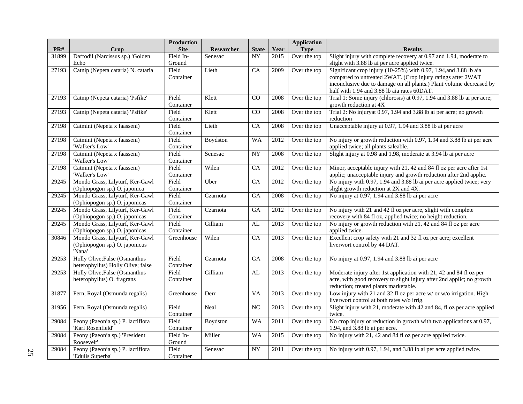| PR#   | Crop                                                                       | <b>Production</b><br><b>Site</b> | Researcher | <b>State</b>    | Year              | <b>Application</b><br><b>Type</b> | <b>Results</b>                                                                                                                                                                                                                                          |
|-------|----------------------------------------------------------------------------|----------------------------------|------------|-----------------|-------------------|-----------------------------------|---------------------------------------------------------------------------------------------------------------------------------------------------------------------------------------------------------------------------------------------------------|
| 31899 | Daffodil (Narcissus sp.) 'Golden<br>Echo'                                  | Field In-<br>Ground              | Senesac    | $\overline{NY}$ | 2015              | Over the top                      | Slight injury with complete recovery at 0.97 and 1.94, moderate to<br>slight with 3.88 lb ai per acre applied twice.                                                                                                                                    |
| 27193 | Catnip (Nepeta cataria) N. cataria                                         | Field<br>Container               | Lieth      | CA              | 2009              | Over the top                      | Significant crop injury (10-25%) with 0.97, 1.94, and 3.88 lb aia<br>compared to untreated 2WAT. (Crop injury ratings after 2WAT<br>inconclusive due to damage on all plants.) Plant volume decreased by<br>half with 1.94 and 3.88 lb aia rates 60DAT. |
| 27193 | Catnip (Nepeta cataria) 'Psfike'                                           | Field<br>Container               | Klett      | CO              | 2008              | Over the top                      | Trial 1: Some injury (chlorosis) at 0.97, 1.94 and 3.88 lb ai per acre;<br>growth reduction at 4X                                                                                                                                                       |
| 27193 | Catnip (Nepeta cataria) 'Psfike'                                           | Field<br>Container               | Klett      | CO              | 2008              | Over the top                      | Trial 2: No injuryat 0.97, 1.94 and 3.88 lb ai per acre; no growth<br>reduction                                                                                                                                                                         |
| 27198 | Catmint (Nepeta x faasseni)                                                | Field<br>Container               | Lieth      | CA              | 2008              | Over the top                      | Unacceptable injury at 0.97, 1.94 and 3.88 lb ai per acre                                                                                                                                                                                               |
| 27198 | Catmint (Nepeta x faasseni)<br>'Walker's Low'                              | Field<br>Container               | Boydston   | <b>WA</b>       | 2012              | Over the top                      | No injury or growth reduction with 0.97, 1.94 and 3.88 lb ai per acre<br>applied twice; all plants saleable.                                                                                                                                            |
| 27198 | Catmint (Nepeta x faasseni)<br>'Walker's Low'                              | Field<br>Container               | Senesac    | $\overline{NY}$ | 2008              | Over the top                      | Slight injury at 0.98 and 1.98, moderate at 3.94 lb ai per acre                                                                                                                                                                                         |
| 27198 | Catmint (Nepeta x faasseni)<br>'Walker's Low'                              | Field<br>Container               | Wilen      | CA              | 2012              | Over the top                      | Minor, acceptable injury with 21, 42 and 84 fl oz per acre after 1st<br>applic; unacceptable injury and growth reduction after 2nd applic.                                                                                                              |
| 29245 | Mondo Grass, Lilyturf, Ker-Gawl<br>(Ophiopogon sp.) O. japonica            | Field<br>Container               | Uber       | CA              | 2012              | Over the top                      | No injury with 0.97, 1.94 and 3.88 lb ai per acre applied twice; very<br>slight growth reduction at 2X and 4X.                                                                                                                                          |
| 29245 | Mondo Grass, Lilyturf, Ker-Gawl<br>(Ophiopogon sp.) O. japonicas           | Field<br>Container               | Czarnota   | GA              | $2008\,$          | Over the top                      | No injury at 0.97, 1.94 and 3.88 lb ai per acre                                                                                                                                                                                                         |
| 29245 | Mondo Grass, Lilyturf, Ker-Gawl<br>(Ophiopogon sp.) O. japonicas           | Field<br>Container               | Czarnota   | GA              | 2012              | Over the top                      | No injury with 21 and 42 fl oz per acre, slight with complete<br>recovery with 84 fl oz, applied twice; no height reduction.                                                                                                                            |
| 29245 | Mondo Grass, Lilyturf, Ker-Gawl<br>(Ophiopogon sp.) O. japonicas           | Field<br>Container               | Gilliam    | AL              | 2013              | Over the top                      | No injury or growth reduction with 21, 42 and 84 fl oz per acre<br>applied twice.                                                                                                                                                                       |
| 30846 | Mondo Grass, Lilyturf, Ker-Gawl<br>(Ophiopogon sp.) O. japonicus<br>'Nana' | Greenhouse                       | Wilen      | CA              | 2013              | Over the top                      | Excellent crop safety with 21 and 32 fl oz per acre; excellent<br>liverwort control by 44 DAT.                                                                                                                                                          |
| 29253 | Holly Olive; False (Osmanthus<br>heterophyllus) Holly Olive; false         | Field<br>Container               | Czarnota   | GA              | 2008              | Over the top                      | No injury at 0.97, 1.94 and 3.88 lb ai per acre                                                                                                                                                                                                         |
| 29253 | Holly Olive; False (Osmanthus<br>heterophyllus) O. fragrans                | Field<br>Container               | Gilliam    | AL              | 2013              | Over the top                      | Moderate injury after 1st application with 21, 42 and 84 fl oz per<br>acre, with good recovery to slight injury after 2nd applic; no growth<br>reduction; treated plants marketable.                                                                    |
| 31877 | Fern, Royal (Osmunda regalis)                                              | Greenhouse                       | Derr       | VA              | 2013              | Over the top                      | Low injury with 21 and 32 fl oz per acre w/ or w/o irrigation. High<br>liverwort control at both rates w/o irrig.                                                                                                                                       |
| 31956 | Fern, Royal (Osmunda regalis)                                              | Field<br>Container               | Neal       | $\overline{NC}$ | 2013              | Over the top                      | Slight injury with 21, moderate with 42 and 84, fl oz per acre applied<br>twice.                                                                                                                                                                        |
| 29084 | Peony (Paeonia sp.) P. lactiflora<br>'Karl Rosenfield'                     | Field<br>Container               | Boydston   | WA              | 2011              | Over the top                      | No crop injury or reduction in growth with two applications at 0.97,<br>1.94, and 3.88 lb ai per acre.                                                                                                                                                  |
| 29084 | Peony (Paeonia sp.) 'President<br>Roosevelt'                               | Field In-<br>Ground              | Miller     | <b>WA</b>       | 2015              | Over the top                      | No injury with 21, 42 and 84 fl oz per acre applied twice.                                                                                                                                                                                              |
| 29084 | Peony (Paeonia sp.) P. lactiflora<br>'Edulis Superba'                      | Field<br>Container               | Senesac    | $\overline{NY}$ | $\overline{2011}$ | Over the top                      | No injury with 0.97, 1.94, and 3.88 lb ai per acre applied twice.                                                                                                                                                                                       |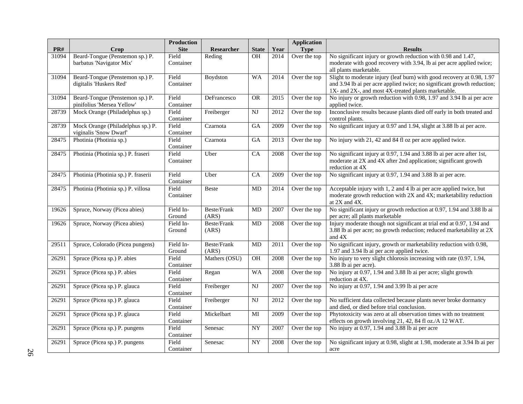|       |                                     | <b>Production</b>  |                    |                        |      | <b>Application</b> |                                                                                                                                          |
|-------|-------------------------------------|--------------------|--------------------|------------------------|------|--------------------|------------------------------------------------------------------------------------------------------------------------------------------|
| PR#   | Crop                                | <b>Site</b>        | Researcher         | <b>State</b>           | Year | <b>Type</b>        | <b>Results</b>                                                                                                                           |
| 31094 | Beard-Tongue (Penstemon sp.) P.     | Field              | Reding             | <b>OH</b>              | 2014 | Over the top       | No significant injury or growth reduction with 0.98 and 1.47,                                                                            |
|       | barbatus 'Navigator Mix'            | Container          |                    |                        |      |                    | moderate with good recovery with 3.94, lb ai per acre applied twice;                                                                     |
|       |                                     |                    |                    |                        |      |                    | all plants marketable.                                                                                                                   |
| 31094 | Beard-Tongue (Penstemon sp.) P.     | Field              | Boydston           | <b>WA</b>              | 2014 | Over the top       | Slight to moderate injury (leaf burn) with good recovery at 0.98, 1.97                                                                   |
|       | digitalis 'Huskers Red'             | Container          |                    |                        |      |                    | and 3.94 lb ai per acre applied twice; no significant growth reduction;                                                                  |
| 31094 | Beard-Tongue (Penstemon sp.) P.     | Field              | DeFrancesco        | <b>OR</b>              | 2015 | Over the top       | 1X- and 2X-, and most 4X-treated plants marketable.<br>No injury or growth reduction with 0.98, 1.97 and 3.94 lb ai per acre             |
|       | pinifolius 'Mersea Yellow'          | Container          |                    |                        |      |                    | applied twice.                                                                                                                           |
| 28739 | Mock Orange (Philadelphus sp.)      | Field              | Freiberger         | NJ                     | 2012 | Over the top       | Inconclusive results because plants died off early in both treated and                                                                   |
|       |                                     | Container          |                    |                        |      |                    | control plants.                                                                                                                          |
| 28739 | Mock Orange (Philadelphus sp.) P.   | Field              | Czarnota           | GA                     | 2009 | Over the top       | No significant injury at 0.97 and 1.94, slight at 3.88 lb ai per acre.                                                                   |
|       | viginalis 'Snow Dwarf'              | Container          |                    |                        |      |                    |                                                                                                                                          |
| 28475 | Photinia (Photinia sp.)             | Field              | Czarnota           | GA                     | 2013 | Over the top       | No injury with 21, 42 and 84 fl oz per acre applied twice.                                                                               |
|       |                                     | Container          |                    |                        |      |                    |                                                                                                                                          |
| 28475 | Photinia (Photinia sp.) P. fraseri  | Field              | Uber               | CA                     | 2008 | Over the top       | No significant injury at 0.97, 1.94 and 3.88 lb ai per acre after 1st,                                                                   |
|       |                                     | Container          |                    |                        |      |                    | moderate at 2X and 4X after 2nd application; significant growth                                                                          |
|       |                                     |                    |                    |                        |      |                    | reduction at 4X                                                                                                                          |
| 28475 | Photinia (Photinia sp.) P. fraserii | Field              | Uber               | CA                     | 2009 | Over the top       | No significant injury at 0.97, 1.94 and 3.88 lb ai per acre.                                                                             |
|       |                                     | Container          |                    |                        |      |                    |                                                                                                                                          |
| 28475 | Photinia (Photinia sp.) P. villosa  | Field<br>Container | <b>Beste</b>       | MD                     | 2014 | Over the top       | Acceptable injury with 1, 2 and 4 lb ai per acre applied twice, but<br>moderate growth reduction with 2X and 4X; marketability reduction |
|       |                                     |                    |                    |                        |      |                    | at 2X and 4X.                                                                                                                            |
| 19626 | Spruce, Norway (Picea abies)        | Field In-          | Beste/Frank        | MD                     | 2007 | Over the top       | No significant injury or growth reduction at 0.97, 1.94 and 3.88 lb ai                                                                   |
|       |                                     | Ground             | (ARS)              |                        |      |                    | per acre; all plants marketable                                                                                                          |
| 19626 | Spruce, Norway (Picea abies)        | Field In-          | <b>Beste/Frank</b> | MD                     | 2008 | Over the top       | Injury moderate though not significant at trial end at 0.97, 1.94 and                                                                    |
|       |                                     | Ground             | (ARS)              |                        |      |                    | 3.88 lb ai per acre; no growth reduction; reduced marketability at 2X                                                                    |
|       |                                     |                    |                    |                        |      |                    | and 4X                                                                                                                                   |
| 29511 | Spruce, Colorado (Picea pungens)    | Field In-          | Beste/Frank        | MD                     | 2011 | Over the top       | No significant injury, growth or marketability reduction with 0.98,                                                                      |
|       |                                     | Ground             | (ARS)              |                        |      |                    | 1.97 and 3.94 lb ai per acre applied twice.                                                                                              |
| 26291 | Spruce (Picea sp.) P. abies         | Field              | Mathers (OSU)      | OH                     | 2008 | Over the top       | No injury to very slight chlorosis increasing with rate (0.97, 1.94,                                                                     |
|       |                                     | Container          |                    |                        |      |                    | 3.88 lb ai per acre).                                                                                                                    |
| 26291 | Spruce (Picea sp.) P. abies         | Field              | Regan              | <b>WA</b>              | 2008 | Over the top       | No injury at 0.97, 1.94 and 3.88 lb ai per acre; slight growth                                                                           |
| 26291 |                                     | Container<br>Field |                    | $\overline{\text{NJ}}$ |      |                    | reduction at 4X.                                                                                                                         |
|       | Spruce (Picea sp.) P. glauca        | Container          | Freiberger         |                        | 2007 | Over the top       | No injury at 0.97, 1.94 and 3.99 lb ai per acre                                                                                          |
| 26291 | Spruce (Picea sp.) P. glauca        | Field              | Freiberger         | $_{\rm NJ}$            | 2012 | Over the top       | No sufficient data collected because plants never broke dormancy                                                                         |
|       |                                     | Container          |                    |                        |      |                    | and died, or died before trial conclusion.                                                                                               |
| 26291 | Spruce (Picea sp.) P. glauca        | Field              | Mickelbart         | MI                     | 2009 | Over the top       | Phytotoxicity was zero at all observation times with no treatment                                                                        |
|       |                                     | Container          |                    |                        |      |                    | effects on growth involving 21, 42, 84 fl oz./A 12 WAT.                                                                                  |
| 26291 | Spruce (Picea sp.) P. pungens       | Field              | Senesac            | ${\rm NY}$             | 2007 | Over the top       | No injury at 0.97, 1.94 and 3.88 lb ai per acre                                                                                          |
|       |                                     | Container          |                    |                        |      |                    |                                                                                                                                          |
| 26291 | Spruce (Picea sp.) P. pungens       | Field              | Senesac            | $\overline{NY}$        | 2008 | Over the top       | No significant injury at 0.98, slight at 1.98, moderate at 3.94 lb ai per                                                                |
|       |                                     | Container          |                    |                        |      |                    | acre                                                                                                                                     |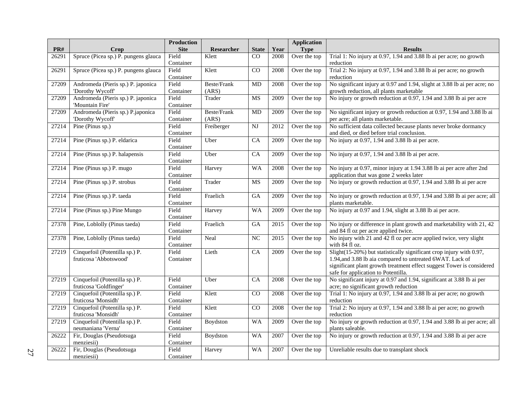|       |                                      | <b>Production</b> |                   |                 |      | <b>Application</b> |                                                                           |
|-------|--------------------------------------|-------------------|-------------------|-----------------|------|--------------------|---------------------------------------------------------------------------|
| PR#   | Crop                                 | <b>Site</b>       | <b>Researcher</b> | <b>State</b>    | Year | <b>Type</b>        | <b>Results</b>                                                            |
| 26291 | Spruce (Picea sp.) P. pungens glauca | Field             | Klett             | CO              | 2008 | Over the top       | Trial 1: No injury at 0.97, 1.94 and 3.88 lb ai per acre; no growth       |
|       |                                      | Container         |                   |                 |      |                    | reduction                                                                 |
| 26291 | Spruce (Picea sp.) P. pungens glauca | Field             | Klett             | $\overline{CO}$ | 2008 | Over the top       | Trial 2: No injury at 0.97, 1.94 and 3.88 lb ai per acre; no growth       |
|       |                                      | Container         |                   |                 |      |                    | reduction                                                                 |
| 27209 | Andromeda (Pieris sp.) P. japonica   | Field             | Beste/Frank       | <b>MD</b>       | 2008 | Over the top       | No significant injury at 0.97 and 1.94, slight at 3.88 lb ai per acre; no |
|       | 'Dorothy Wycoff'                     | Container         | (ARS)             |                 |      |                    | growth reduction, all plants marketable                                   |
| 27209 | Andromeda (Pieris sp.) P. japonica   | Field             | Trader            | MS              | 2009 | Over the top       | No injury or growth reduction at 0.97, 1.94 and 3.88 lb ai per acre       |
|       | 'Mountain Fire'                      | Container         |                   |                 |      |                    |                                                                           |
| 27209 | Andromeda (Pieris sp.) P.japonica    | Field             | Beste/Frank       | MD              | 2009 | Over the top       | No significant injury or growth reduction at 0.97, 1.94 and 3.88 lb ai    |
|       | 'Dorothy Wycoff'                     | Container         | (ARS)             |                 |      |                    | per acre; all plants marketable.                                          |
| 27214 | Pine (Pinus sp.)                     | Field             | Freiberger        | NJ              | 2012 | Over the top       | No sufficient data collected because plants never broke dormancy          |
|       |                                      | Container         |                   |                 |      |                    | and died, or died before trial conclusion.                                |
| 27214 | Pine (Pinus sp.) P. eldarica         | Field             | Uber              | CA              | 2009 | Over the top       | No injury at 0.97, 1.94 and 3.88 lb ai per acre.                          |
|       |                                      | Container         |                   |                 |      |                    |                                                                           |
| 27214 | Pine (Pinus sp.) P. halapensis       | Field             | Uber              | CA              | 2009 | Over the top       | No injury at 0.97, 1.94 and 3.88 lb ai per acre.                          |
|       |                                      | Container         |                   |                 |      |                    |                                                                           |
| 27214 | Pine (Pinus sp.) P. mugo             | Field             | Harvey            | <b>WA</b>       | 2008 | Over the top       | No injury at 0.97, minor injury at 1.94 3.88 lb ai per acre after 2nd     |
|       |                                      | Container         |                   |                 |      |                    | application that was gone 2 weeks later                                   |
| 27214 | Pine (Pinus sp.) P. strobus          | Field             | Trader            | MS              | 2009 | Over the top       | No injury or growth reduction at 0.97, 1.94 and 3.88 lb ai per acre       |
|       |                                      | Container         |                   |                 |      |                    |                                                                           |
| 27214 | Pine (Pinus sp.) P. taeda            | Field             | Fraelich          | GA              | 2009 | Over the top       | No injury or growth reduction at 0.97, 1.94 and 3.88 lb ai per acre; all  |
|       |                                      | Container         |                   |                 |      |                    | plants marketable.                                                        |
| 27214 | Pine (Pinus sp.) Pine Mungo          | Field             | Harvey            | <b>WA</b>       | 2009 | Over the top       | No injury at 0.97 and 1.94, slight at 3.88 lb ai per acre.                |
|       |                                      | Container         |                   |                 |      |                    |                                                                           |
| 27378 | Pine, Loblolly (Pinus taeda)         | Field             | Fraelich          | $\overline{GA}$ | 2015 | Over the top       | No injury or difference in plant growth and marketability with 21, 42     |
|       |                                      | Container         |                   |                 |      |                    | and 84 fl oz per acre applied twice.                                      |
| 27378 | Pine, Loblolly (Pinus taeda)         | Field             | Neal              | NC              | 2015 | Over the top       | No injury with 21 and 42 fl oz per acre applied twice, very slight        |
|       |                                      | Container         |                   |                 |      |                    | with 84 fl oz.                                                            |
| 27219 | Cinquefoil (Potentilla sp.) P.       | Field             | Lieth             | $\overline{CA}$ | 2009 | Over the top       | Slight(15-20%) but statistically significant crop injury with 0.97,       |
|       | fruticosa 'Abbotswood'               | Container         |                   |                 |      |                    | 1.94, and 3.88 lb aia compared to untreated 6WAT. Lack of                 |
|       |                                      |                   |                   |                 |      |                    | significant plant growth treatment effect suggest Tower is considered     |
|       |                                      |                   |                   |                 |      |                    | safe for application to Potentilla.                                       |
| 27219 | Cinquefoil (Potentilla sp.) P.       | Field             | Uber              | CA              | 2008 | Over the top       | No significant injury at 0.97 and 1.94, significant at 3.88 lb ai per     |
|       | fruticosa 'Goldfinger'               | Container         |                   |                 |      |                    | acre; no significant growth reduction                                     |
| 27219 | Cinquefoil (Potentilla sp.) P.       | Field             | Klett             | $\overline{CO}$ | 2008 | Over the top       | Trial 1: No injury at 0.97, 1.94 and 3.88 lb ai per acre; no growth       |
|       | fruticosa 'Monsidh'                  | Container         |                   |                 |      |                    | reduction                                                                 |
| 27219 | Cinquefoil (Potentilla sp.) P.       | Field             | Klett             | CO              | 2008 | Over the top       | Trial 2: No injury at 0.97, 1.94 and 3.88 lb ai per acre; no growth       |
|       | fruticosa 'Monsidh'                  | Container         |                   |                 |      |                    | reduction                                                                 |
| 27219 | Cinquefoil (Potentilla sp.) P.       | Field             | Boydston          | <b>WA</b>       | 2009 | Over the top       | No injury or growth reduction at 0.97, 1.94 and 3.88 lb ai per acre; all  |
|       | neumaniana 'Verna'                   | Container         |                   |                 |      |                    | plants saleable.                                                          |
| 26222 | Fir, Douglas (Pseudotsuga            | Field             | Boydston          | <b>WA</b>       | 2007 | Over the top       | No injury or growth reduction at 0.97, 1.94 and 3.88 lb ai per acre       |
|       | menziesii)                           | Container         |                   |                 |      |                    |                                                                           |
| 26222 | Fir, Douglas (Pseudotsuga            | Field             | Harvey            | <b>WA</b>       | 2007 | Over the top       | Unreliable results due to transplant shock                                |
|       | menziesii)                           | Container         |                   |                 |      |                    |                                                                           |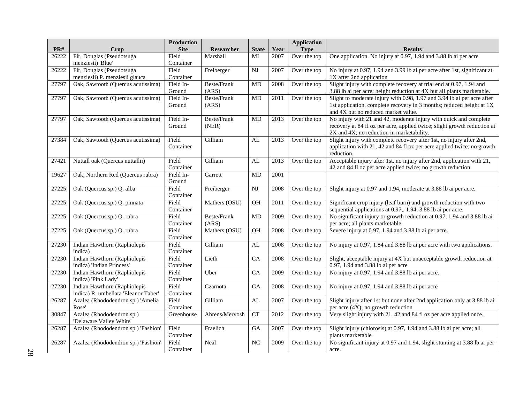|       |                                      | <b>Production</b>  |                        |                        |      | <b>Application</b> |                                                                                                             |
|-------|--------------------------------------|--------------------|------------------------|------------------------|------|--------------------|-------------------------------------------------------------------------------------------------------------|
| PR#   | Crop                                 | <b>Site</b>        | Researcher             | <b>State</b>           | Year | <b>Type</b>        | <b>Results</b>                                                                                              |
| 26222 | Fir, Douglas (Pseudotsuga            | Field              | Marshall               | MI                     | 2007 | Over the top       | One application. No injury at 0.97, 1.94 and 3.88 lb ai per acre                                            |
|       | menziesii) 'Blue'                    | Container          |                        |                        |      |                    |                                                                                                             |
| 26222 | Fir, Douglas (Pseudotsuga            | Field              | Freiberger             | <b>NJ</b>              | 2007 | Over the top       | No injury at 0.97, 1.94 and 3.99 lb ai per acre after 1st, significant at                                   |
|       | menziesii) P. menziesii glauca       | Container          |                        |                        |      |                    | 1X after 2nd application                                                                                    |
| 27797 | Oak, Sawtooth (Quercus acutissima)   | Field In-          | Beste/Frank            | $\overline{MD}$        | 2008 | Over the top       | Slight injury with complete recovery at trial end at 0.97, 1.94 and                                         |
|       |                                      | Ground             | (ARS)                  |                        |      |                    | 3.88 lb ai per acre; height reduction at 4X but all plants marketable.                                      |
| 27797 | Oak, Sawtooth (Quercus acutissima)   | Field In-          | Beste/Frank            | <b>MD</b>              | 2011 | Over the top       | Slight to moderate injury with 0.98, 1.97 and 3.94 lb ai per acre after                                     |
|       |                                      | Ground             | (ARS)                  |                        |      |                    | 1st application, complete recovery in 3 months; reduced height at 1X<br>and 4X but no reduced market value. |
| 27797 | Oak, Sawtooth (Quercus acutissima)   | Field In-          | Beste/Frank            | MD                     | 2013 | Over the top       | No injury with 21 and 42, moderate injury with quick and complete                                           |
|       |                                      | Ground             | (NER)                  |                        |      |                    | recovery at 84 fl oz per acre, applied twice; slight growth reduction at                                    |
|       |                                      |                    |                        |                        |      |                    | 2X and 4X; no reduction in marketability.                                                                   |
| 27384 | Oak, Sawtooth (Quercus acutissima)   | Field              | Gilliam                | AL                     | 2013 | Over the top       | Slight injury with complete recovery after 1st, no injury after 2nd,                                        |
|       |                                      | Container          |                        |                        |      |                    | application with 21, 42 and 84 fl oz per acre applied twice; no growth                                      |
|       |                                      |                    |                        |                        |      |                    | reduction.                                                                                                  |
| 27421 | Nuttall oak (Quercus nuttallii)      | Field              | Gilliam                | AL                     | 2013 | Over the top       | Acceptable injury after 1st, no injury after 2nd, application with 21,                                      |
|       |                                      | Container          |                        |                        |      |                    | 42 and 84 fl oz per acre applied twice; no growth reduction.                                                |
| 19627 | Oak, Northern Red (Quercus rubra)    | Field In-          | Garrett                | <b>MD</b>              | 2001 |                    |                                                                                                             |
|       |                                      | Ground             |                        |                        |      |                    |                                                                                                             |
| 27225 | Oak (Quercus sp.) Q. alba            | Field              | Freiberger             | $\mathbf{N}\mathbf{J}$ | 2008 | Over the top       | Slight injury at 0.97 and 1.94, moderate at 3.88 lb ai per acre.                                            |
|       |                                      | Container          |                        |                        |      |                    |                                                                                                             |
| 27225 | Oak (Quercus sp.) Q. pinnata         | Field              | Mathers (OSU)          | OH                     | 2011 | Over the top       | Significant crop injury (leaf burn) and growth reduction with two                                           |
|       |                                      | Container          |                        |                        |      |                    | sequential applications at 0.97,, 1.94, 3.88 lb ai per acre.                                                |
| 27225 | Oak (Quercus sp.) Q. rubra           | Field              | Beste/Frank            | <b>MD</b>              | 2009 | Over the top       | No significant injury or growth reduction at 0.97, 1.94 and 3.88 lb ai                                      |
|       |                                      | Container<br>Field | (ARS)<br>Mathers (OSU) | OH                     |      |                    | per acre; all plants marketable.                                                                            |
| 27225 | Oak (Quercus sp.) Q. rubra           | Container          |                        |                        | 2008 | Over the top       | Severe injury at 0.97, 1.94 and 3.88 lb ai per acre.                                                        |
| 27230 | Indian Hawthorn (Raphiolepis         | Field              | Gilliam                | AL                     | 2008 | Over the top       | No injury at 0.97, 1.84 and 3.88 lb ai per acre with two applications.                                      |
|       | indica)                              | Container          |                        |                        |      |                    |                                                                                                             |
| 27230 | Indian Hawthorn (Raphiolepis         | Field              | Lieth                  | $\overline{CA}$        | 2008 | Over the top       | Slight, acceptable injury at 4X but unacceptable growth reduction at                                        |
|       | indica) 'Indian Princess'            | Container          |                        |                        |      |                    | 0.97, 1.94 and 3.88 lb ai per acre                                                                          |
| 27230 | Indian Hawthorn (Raphiolepis         | Field              | Uber                   | CA                     | 2009 | Over the top       | No injury at 0.97, 1.94 and 3.88 lb ai per acre.                                                            |
|       | indica) 'Pink Lady'                  | Container          |                        |                        |      |                    |                                                                                                             |
| 27230 | Indian Hawthorn (Raphiolepis         | Field              | Czarnota               | GA                     | 2008 | Over the top       | No injury at 0.97, 1.94 and 3.88 lb ai per acre                                                             |
|       | indica) R. umbellata 'Eleanor Taber' | Container          |                        |                        |      |                    |                                                                                                             |
| 26287 | Azalea (Rhododendron sp.) 'Amelia    | Field              | Gilliam                | AL                     | 2007 | Over the top       | Slight injury after 1st but none after 2nd application only at 3.88 lb ai                                   |
|       | Rose'                                | Container          |                        |                        |      |                    | per acre $(4X)$ ; no growth reduction                                                                       |
| 30847 | Azalea (Rhododendron sp.)            | Greenhouse         | Ahrens/Mervosh         | <b>CT</b>              | 2012 | Over the top       | Very slight injury with 21, 42 and 84 fl oz per acre applied once.                                          |
|       | 'Delaware Valley White'              |                    |                        |                        |      |                    |                                                                                                             |
| 26287 | Azalea (Rhododendron sp.) 'Fashion'  | Field              | Fraelich               | GA                     | 2007 | Over the top       | Slight injury (chlorosis) at 0.97, 1.94 and 3.88 lb ai per acre; all                                        |
|       |                                      | Container          |                        |                        |      |                    | plants marketable                                                                                           |
| 26287 | Azalea (Rhododendron sp.) 'Fashion'  | Field              | Neal                   | $\overline{NC}$        | 2009 | Over the top       | No significant injury at 0.97 and 1.94, slight stunting at 3.88 lb ai per                                   |
|       |                                      | Container          |                        |                        |      |                    | acre.                                                                                                       |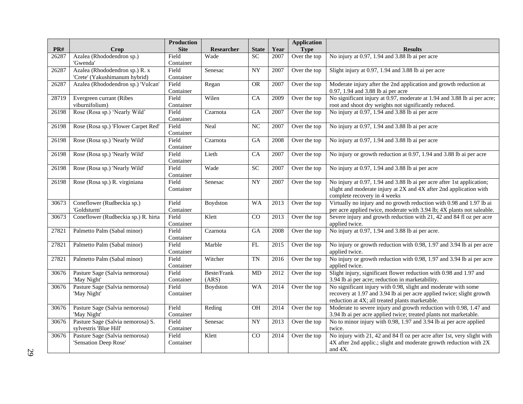| PR#   | Crop                                      | <b>Production</b><br><b>Site</b> | Researcher  | <b>State</b>    | Year | <b>Application</b><br><b>Type</b> | <b>Results</b>                                                                                                                                 |
|-------|-------------------------------------------|----------------------------------|-------------|-----------------|------|-----------------------------------|------------------------------------------------------------------------------------------------------------------------------------------------|
| 26287 | Azalea (Rhododendron sp.)                 | Field                            | Wade        | $\overline{SC}$ | 2007 | Over the top                      | No injury at 0.97, 1.94 and 3.88 lb ai per acre                                                                                                |
|       | 'Gwenda'                                  | Container                        |             |                 |      |                                   |                                                                                                                                                |
| 26287 | Azalea (Rhododendron sp.) R. x            | Field                            | Senesac     | $\overline{NY}$ | 2007 | Over the top                      | Slight injury at 0.97, 1.94 and 3.88 lb ai per acre                                                                                            |
|       | 'Crete' (Yakushimanum hybrid)             | Container                        |             |                 |      |                                   |                                                                                                                                                |
| 26287 | Azalea (Rhododendron sp.) 'Vulcan'        | Field                            | Regan       | <b>OR</b>       | 2007 | Over the top                      | Moderate injury after the 2nd application and growth reduction at                                                                              |
|       |                                           | Container                        |             |                 |      |                                   | 0.97, 1.94 and 3.88 lb ai per acre                                                                                                             |
| 28719 | Evergreen currant (Ribes                  | Field                            | Wilen       | CA              | 2009 | Over the top                      | No significant injury at 0.97, moderate at 1.94 and 3.88 lb ai per acre;                                                                       |
|       | viburnifolium)                            | Container                        |             |                 |      |                                   | root and shoot dry weights not significantly reduced.                                                                                          |
| 26198 | Rose (Rosa sp.) 'Nearly Wild'             | Field                            | Czarnota    | GA              | 2007 | Over the top                      | No injury at 0.97, 1.94 and 3.88 lb ai per acre                                                                                                |
|       |                                           | Container                        |             |                 |      |                                   |                                                                                                                                                |
| 26198 | Rose (Rosa sp.) 'Flower Carpet Red'       | Field                            | Neal        | NC              | 2007 | Over the top                      | No injury at 0.97, 1.94 and 3.88 lb ai per acre                                                                                                |
|       |                                           | Container                        |             |                 |      |                                   |                                                                                                                                                |
| 26198 | Rose (Rosa sp.) 'Nearly Wild'             | Field                            | Czarnota    | <b>GA</b>       | 2008 | Over the top                      | No injury at 0.97, 1.94 and 3.88 lb ai per acre                                                                                                |
|       |                                           | Container                        |             |                 |      |                                   |                                                                                                                                                |
| 26198 | Rose (Rosa sp.) 'Nearly Wild'             | Field                            | Lieth       | CA              | 2007 | Over the top                      | No injury or growth reduction at 0.97, 1.94 and 3.88 lb ai per acre                                                                            |
|       |                                           | Container                        |             |                 |      |                                   |                                                                                                                                                |
| 26198 | Rose (Rosa sp.) 'Nearly Wild'             | Field                            | Wade        | <b>SC</b>       | 2007 | Over the top                      | No injury at 0.97, 1.94 and 3.88 lb ai per acre                                                                                                |
|       |                                           | Container                        |             |                 |      |                                   |                                                                                                                                                |
| 26198 | Rose (Rosa sp.) R. virginiana             | Field                            | Senesac     | <b>NY</b>       | 2007 | Over the top                      | No injury at 0.97, 1.94 and 3.88 lb ai per acre after 1st application;                                                                         |
|       |                                           | Container                        |             |                 |      |                                   | slight and moderate injury at 2X and 4X after 2nd application with                                                                             |
|       |                                           |                                  |             |                 |      |                                   | complete recovery in 4 weeks                                                                                                                   |
| 30673 | Coneflower (Rudbeckia sp.)<br>'Goldsturm' | Field<br>Container               | Boydston    | <b>WA</b>       | 2013 | Over the top                      | Virtually no injury and no growth reduction with 0.98 and 1.97 lb ai                                                                           |
| 30673 | Coneflower (Rudbeckia sp.) R. hirta       | Field                            | Klett       | $\overline{CO}$ | 2013 | Over the top                      | per acre applied twice, moderate with 3.94 lb; 4X plants not saleable.<br>Severe injury and growth reduction with 21, 42 and 84 fl oz per acre |
|       |                                           | Container                        |             |                 |      |                                   | applied twice.                                                                                                                                 |
| 27821 | Palmetto Palm (Sabal minor)               | Field                            | Czarnota    | <b>GA</b>       | 2008 | Over the top                      | No injury at 0.97, 1.94 and 3.88 lb ai per acre.                                                                                               |
|       |                                           | Container                        |             |                 |      |                                   |                                                                                                                                                |
| 27821 | Palmetto Palm (Sabal minor)               | Field                            | Marble      | FL              | 2015 | Over the top                      | No injury or growth reduction with 0.98, 1.97 and 3.94 lb ai per acre                                                                          |
|       |                                           | Container                        |             |                 |      |                                   | applied twice.                                                                                                                                 |
| 27821 | Palmetto Palm (Sabal minor)               | Field                            | Witcher     | <b>TN</b>       | 2016 | Over the top                      | No injury or growth reduction with 0.98, 1.97 and 3.94 lb ai per acre                                                                          |
|       |                                           | Container                        |             |                 |      |                                   | applied twice.                                                                                                                                 |
| 30676 | Pasture Sage (Salvia nemorosa)            | Field                            | Beste/Frank | MD              | 2012 | Over the top                      | Slight injury, significant flower reduction with 0.98 and 1.97 and                                                                             |
|       | 'May Night'                               | Container                        | (ARS)       |                 |      |                                   | 3.94 lb ai per acre; reduction in marketability.                                                                                               |
| 30676 | Pasture Sage (Salvia nemorosa)            | Field                            | Boydston    | WA              | 2014 | Over the top                      | No significant injury with 0.98, slight and moderate with some                                                                                 |
|       | 'May Night'                               | Container                        |             |                 |      |                                   | recovery at 1.97 and 3.94 lb ai per acre applied twice; slight growth                                                                          |
|       |                                           |                                  |             |                 |      |                                   | reduction at 4X; all treated plants marketable.                                                                                                |
| 30676 | Pasture Sage (Salvia nemorosa)            | Field                            | Reding      | <b>OH</b>       | 2014 | Over the top                      | Moderate to severe injury and growth reduction with 0.98, 1.47 and                                                                             |
|       | 'May Night'                               | Container                        |             |                 |      |                                   | 3.94 lb ai per acre applied twice; treated plants not marketable.                                                                              |
| 30676 | Pasture Sage (Salvia nemorosa) S.         | Field                            | Senesac     | <b>NY</b>       | 2013 | Over the top                      | No to minor injury with 0.98, 1.97 and 3.94 lb ai per acre applied                                                                             |
|       | sylvestris 'Blue Hill'                    | Container                        |             |                 |      |                                   | twice.                                                                                                                                         |
| 30676 | Pasture Sage (Salvia nemorosa)            | Field                            | Klett       | CO              | 2014 | Over the top                      | No injury with 21, 42 and 84 fl oz per acre after 1st, very slight with                                                                        |
|       | 'Sensation Deep Rose'                     | Container                        |             |                 |      |                                   | 4X after 2nd applic.; slight and moderate growth reduction with 2X                                                                             |
|       |                                           |                                  |             |                 |      |                                   | and $4X$ .                                                                                                                                     |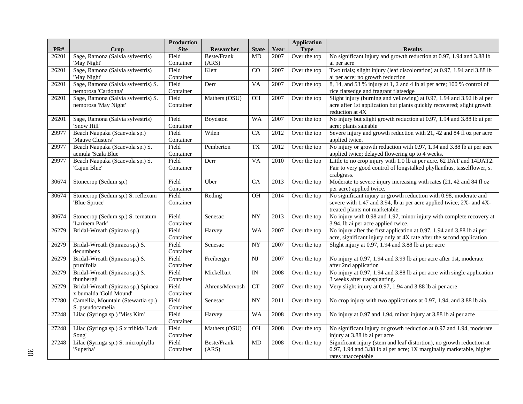|       |                                             | <b>Production</b>  |                |                        |                   | <b>Application</b> |                                                                                                  |
|-------|---------------------------------------------|--------------------|----------------|------------------------|-------------------|--------------------|--------------------------------------------------------------------------------------------------|
| PR#   | Crop                                        | <b>Site</b>        | Researcher     | <b>State</b>           | Year              | <b>Type</b>        | <b>Results</b>                                                                                   |
| 26201 | Sage, Ramona (Salvia sylvestris)            | Field              | Beste/Frank    | MD                     | 2007              | Over the top       | No significant injury and growth reduction at 0.97, 1.94 and 3.88 lb                             |
|       | 'May Night'                                 | Container          | (ARS)          |                        |                   |                    | ai per acre                                                                                      |
| 26201 | Sage, Ramona (Salvia sylvestris)            | Field              | Klett          | CO                     | 2007              | Over the top       | Two trials; slight injury (leaf discoloration) at 0.97, 1.94 and 3.88 lb                         |
|       | 'May Night'                                 | Container          |                |                        |                   |                    | ai per acre; no growth reduction                                                                 |
| 26201 | Sage, Ramona (Salvia sylvestris) S.         | Field              | Derr           | <b>VA</b>              | 2007              | Over the top       | 8, 14, and 53 % injury at 1, 2 and 4 lb ai per acre; 100 % control of                            |
|       | nemorosa 'Cardonna'                         | Container          |                |                        |                   |                    | rice flatsedge and fragrant flatsedge                                                            |
| 26201 | Sage, Ramona (Salvia sylvestris) S.         | Field              | Mathers (OSU)  | <b>OH</b>              | 2007              | Over the top       | Slight injury (burning and yellowing) at 0.97, 1.94 and 3.92 lb ai per                           |
|       | nemorosa 'May Night'                        | Container          |                |                        |                   |                    | acre after 1st application but plants quickly recovered; slight growth                           |
|       |                                             |                    |                |                        |                   |                    | reduction at 4X                                                                                  |
| 26201 | Sage, Ramona (Salvia sylvestris)            | Field              | Boydston       | <b>WA</b>              | 2007              | Over the top       | No injury but slight growth reduction at 0.97, 1.94 and 3.88 lb ai per                           |
|       | 'Snow Hill'                                 | Container          |                |                        |                   |                    | acre; plants saleable                                                                            |
| 29977 | Beach Naupaka (Scaevola sp.)                | Field              | Wilen          | CA                     | 2012              | Over the top       | Severe injury and growth reduction with 21, 42 and 84 fl oz per acre                             |
|       | 'Mauve Clusters'                            | Container          |                |                        |                   |                    | applied twice.                                                                                   |
| 29977 | Beach Naupaka (Scaevola sp.) S.             | Field              | Pemberton      | <b>TX</b>              | 2012              | Over the top       | No injury or growth reduction with 0.97, 1.94 and 3.88 lb ai per acre                            |
|       | aemula 'Scala Blue'                         | Container          |                |                        |                   |                    | applied twice; delayed flowering up to 4 weeks.                                                  |
| 29977 | Beach Naupaka (Scaevola sp.) S.             | Field              | Derr           | <b>VA</b>              | $\overline{2010}$ | Over the top       | Little to no crop injury with 1.0 lb ai per acre. 62 DAT and 14DAT2.                             |
|       | 'Cajun Blue'                                | Container          |                |                        |                   |                    | Fair to very good control of longstalked phyllanthus, tasselflower, s.                           |
|       |                                             |                    |                |                        |                   |                    | crabgrass.                                                                                       |
| 30674 | Stonecrop (Sedum sp.)                       | Field              | Uber           | CA                     | 2013              | Over the top       | Moderate to severe injury increasing with rates (21, 42 and 84 fl oz                             |
|       |                                             | Container          |                |                        |                   |                    | per acre) applied twice.                                                                         |
| 30674 | Stonecrop (Sedum sp.) S. reflexum           | Field              | Reding         | <b>OH</b>              | 2014              | Over the top       | No significant injury or growth reduction with 0.98, moderate and                                |
|       | 'Blue Spruce'                               | Container          |                |                        |                   |                    | severe with 1.47 and 3.94, lb ai per acre applied twice; 2X- and 4X-                             |
|       |                                             |                    |                |                        |                   |                    | treated plants not marketable.                                                                   |
| 30674 | Stonecrop (Sedum sp.) S. ternatum           | Field              | Senesac        | <b>NY</b>              | 2013              | Over the top       | No injury with 0.98 and 1.97, minor injury with complete recovery at                             |
|       | 'Larinem Park'                              | Container          |                |                        |                   |                    | 3.94, lb ai per acre applied twice.                                                              |
| 26279 | Bridal-Wreath (Spiraea sp.)                 | Field              | Harvey         | <b>WA</b>              | 2007              | Over the top       | No injury after the first application at 0.97, 1.94 and 3.88 lb ai per                           |
|       |                                             | Container          |                |                        |                   |                    | acre, significant injury only at 4X rate after the second application                            |
| 26279 | Bridal-Wreath (Spiraea sp.) S.              | Field              | Senesac        | <b>NY</b>              | 2007              | Over the top       | Slight injury at 0.97, 1.94 and 3.88 lb ai per acre                                              |
|       | decumbens<br>Bridal-Wreath (Spiraea sp.) S. | Container<br>Field |                | $\overline{\text{NJ}}$ |                   |                    |                                                                                                  |
| 26279 | prunifolia                                  | Container          | Freiberger     |                        | 2007              | Over the top       | No injury at 0.97, 1.94 and 3.99 lb ai per acre after 1st, moderate                              |
| 26279 | Bridal-Wreath (Spiraea sp.) S.              | Field              | Mickelbart     | $\overline{IN}$        | 2008              | Over the top       | after 2nd application<br>No injury at 0.97, 1.94 and 3.88 lb ai per acre with single application |
|       | thunbergii                                  | Container          |                |                        |                   |                    | 3 weeks after transplanting.                                                                     |
| 26279 | Bridal-Wreath (Spiraea sp.) Spiraea         | Field              | Ahrens/Mervosh | CT                     | 2007              | Over the top       | Very slight injury at 0.97, 1.94 and 3.88 lb ai per acre                                         |
|       | x bumalda 'Gold Mound'                      | Container          |                |                        |                   |                    |                                                                                                  |
| 27280 | Camellia, Mountain (Stewartia sp.)          | Field              | Senesac        | $\overline{NY}$        | 2011              | Over the top       | No crop injury with two applications at 0.97, 1.94, and 3.88 lb aia.                             |
|       | S. pseudocamelia                            | Container          |                |                        |                   |                    |                                                                                                  |
| 27248 | Lilac (Syringa sp.) 'Miss Kim'              | Field              | Harvey         | WA                     | 2008              | Over the top       | No injury at 0.97 and 1.94, minor injury at 3.88 lb ai per acre                                  |
|       |                                             | Container          |                |                        |                   |                    |                                                                                                  |
| 27248 | Lilac (Syringa sp.) S x tribida 'Lark       | Field              | Mathers (OSU)  | $\overline{OH}$        | 2008              | Over the top       | No significant injury or growth reduction at 0.97 and 1.94, moderate                             |
|       | Song'                                       | Container          |                |                        |                   |                    | injury at 3.88 lb ai per acre                                                                    |
| 27248 | Lilac (Syringa sp.) S. microphylla          | Field              | Beste/Frank    | MD                     | 2008              | Over the top       | Significant injury (stem and leaf distortion), no growth reduction at                            |
|       | 'Superba'                                   | Container          | (ARS)          |                        |                   |                    | 0.97, 1.94 and 3.88 lb ai per acre; 1X marginally marketable, higher                             |
|       |                                             |                    |                |                        |                   |                    | rates unacceptable                                                                               |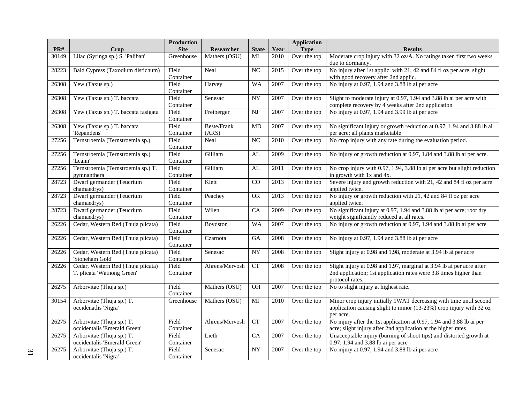|       |                                                                  | Production         |                             |                        |      | <b>Application</b> |                                                                                                                                                                 |
|-------|------------------------------------------------------------------|--------------------|-----------------------------|------------------------|------|--------------------|-----------------------------------------------------------------------------------------------------------------------------------------------------------------|
| PR#   | Crop                                                             | <b>Site</b>        | Researcher                  | <b>State</b>           | Year | <b>Type</b>        | <b>Results</b>                                                                                                                                                  |
| 30149 | Lilac (Syringa sp.) S. 'Paliban'                                 | Greenhouse         | Mathers (OSU)               | MI                     | 2010 | Over the top       | Moderate crop injury with 32 oz/A. No ratings taken first two weeks<br>due to dormancy.                                                                         |
| 28223 | Bald Cypress (Taxodium distichum)                                | Field<br>Container | Neal                        | NC                     | 2015 | Over the top       | No injury after 1st applic. with 21, 42 and 84 fl oz per acre, slight<br>with good recovery after 2nd applic.                                                   |
| 26308 | Yew (Taxus sp.)                                                  | Field<br>Container | Harvey                      | <b>WA</b>              | 2007 | Over the top       | No injury at 0.97, 1.94 and 3.88 lb ai per acre                                                                                                                 |
| 26308 | Yew (Taxus sp.) T. baccata                                       | Field<br>Container | Senesac                     | $\overline{NY}$        | 2007 | Over the top       | Slight to moderate injury at 0.97, 1.94 and 3.88 lb ai per acre with<br>complete recovery by 4 weeks after 2nd application                                      |
| 26308 | Yew (Taxus sp.) T. baccata fasigata                              | Field<br>Container | Freiberger                  | <b>NJ</b>              | 2007 | Over the top       | No injury at 0.97, 1.94 and 3.99 lb ai per acre                                                                                                                 |
| 26308 | Yew (Taxus sp.) T. baccata<br>'Repandens'                        | Field<br>Container | <b>Beste/Frank</b><br>(ARS) | MD                     | 2007 | Over the top       | No significant injury or growth reduction at 0.97, 1.94 and 3.88 lb ai<br>per acre; all plants marketable                                                       |
| 27256 | Ternstroemia (Ternstroemia sp.)                                  | Field<br>Container | Neal                        | $\overline{NC}$        | 2010 | Over the top       | No crop injury with any rate during the evaluation period.                                                                                                      |
| 27256 | Ternstroemia (Ternstroemia sp.)<br>'Leann'                       | Field<br>Container | Gilliam                     | AL                     | 2009 | Over the top       | No injury or growth reduction at 0.97, 1.84 and 3.88 lb ai per acre.                                                                                            |
| 27256 | Ternstroemia (Ternstroemia sp.) T.<br>gymnanthera                | Field<br>Container | Gilliam                     | AL                     | 2011 | Over the top       | No crop injury with 0.97, 1.94, 3.88 lb ai per acre but slight reduction<br>in growth with 1x and 4x.                                                           |
| 28723 | Dwarf germander (Teucrium<br>chamaedrys)                         | Field<br>Container | Klett                       | CO                     | 2013 | Over the top       | Severe injury and growth reduction with 21, 42 and 84 fl oz per acre<br>applied twice.                                                                          |
| 28723 | Dwarf germander (Teucrium<br>chamaedrys)                         | Field<br>Container | Peachey                     | <b>OR</b>              | 2013 | Over the top       | No injury or growth reduction with 21, 42 and 84 fl oz per acre<br>applied twice.                                                                               |
| 28723 | Dwarf germander (Teucrium<br>chamaedrys)                         | Field<br>Container | Wilen                       | CA                     | 2009 | Over the top       | No significant injury at 0.97, 1.94 and 3.88 lb ai per acre; root dry<br>weight significantly reduced at all rates.                                             |
| 26226 | Cedar, Western Red (Thuja plicata)                               | Field<br>Container | Boydston                    | <b>WA</b>              | 2007 | Over the top       | No injury or growth reduction at $\overline{0.97}$ , 1.94 and 3.88 lb ai per acre                                                                               |
| 26226 | Cedar, Western Red (Thuja plicata)                               | Field<br>Container | Czarnota                    | GA                     | 2008 | Over the top       | No injury at 0.97, 1.94 and 3.88 lb ai per acre                                                                                                                 |
| 26226 | Cedar, Western Red (Thuja plicata)<br>'Stoneham Gold'            | Field<br>Container | Senesac                     | $\overline{NY}$        | 2008 | Over the top       | Slight injury at 0.98 and 1.98, moderate at 3.94 lb ai per acre                                                                                                 |
| 26226 | Cedar, Western Red (Thuja plicata)<br>T. plicata 'Watnong Green' | Field<br>Container | Ahrens/Mervosh              | CT                     | 2008 | Over the top       | Slight injury at $0.98$ and 1.97, marginal at 3.94 lb ai per acre after<br>2nd application; 1st application rates were 3.8 times higher than<br>protocol rates. |
| 26275 | Arborvitae (Thuja sp.)                                           | Field<br>Container | Mathers (OSU)               | <b>OH</b>              | 2007 | Over the top       | No to slight injury at highest rate.                                                                                                                            |
| 30154 | Arborvitae (Thuja sp.) T.<br>occidenatlis 'Nigra'                | Greenhouse         | Mathers (OSU)               | MI                     | 2010 | Over the top       | Minor crop injury initially 1WAT decreasing with time until second<br>application causing slight to minor (13-23%) crop injury with 32 oz<br>per acre.          |
| 26275 | Arborvitae (Thuja sp.) T.<br>occidentalis 'Emerald Green'        | Field<br>Container | Ahrens/Mervosh              | $\overline{\text{CT}}$ | 2007 | Over the top       | No injury after the 1st application at 0.97, 1.94 and 3.88 lb ai per<br>acre; slight injury after 2nd application at the higher rates                           |
| 26275 | Arborvitae (Thuja sp.) T.<br>occidentalis 'Emerald Green'        | Field<br>Container | Lieth                       | $\overline{CA}$        | 2007 | Over the top       | Unacceptable injury (burning of shoot tips) and distorted growth at<br>0.97, 1.94 and 3.88 lb ai per acre                                                       |
| 26275 | Arborvitae (Thuja sp.) T.<br>occidentalis 'Nigra'                | Field<br>Container | Senesac                     | $\overline{NY}$        | 2007 | Over the top       | No injury at 0.97, 1.94 and 3.88 lb ai per acre                                                                                                                 |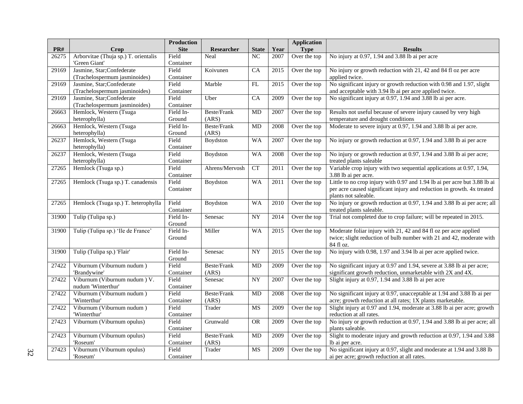|       |                                      | <b>Production</b> |                    |                    |      | <b>Application</b> |                                                                           |
|-------|--------------------------------------|-------------------|--------------------|--------------------|------|--------------------|---------------------------------------------------------------------------|
| PR#   | Crop                                 | <b>Site</b>       | Researcher         | <b>State</b>       | Year | <b>Type</b>        | <b>Results</b>                                                            |
| 26275 | Arborvitae (Thuja sp.) T. orientalis | Field             | Neal               | NC                 | 2007 | Over the top       | No injury at 0.97, 1.94 and 3.88 lb ai per acre                           |
|       | 'Green Giant'                        | Container         |                    |                    |      |                    |                                                                           |
| 29169 | Jasmine, Star;Confederate            | Field             | Koivunen           | CA                 | 2015 | Over the top       | No injury or growth reduction with 21, 42 and 84 fl oz per acre           |
|       | (Trachelospermum jasminoides)        | Container         |                    |                    |      |                    | applied twice.                                                            |
| 29169 | Jasmine, Star;Confederate            | Field             | Marble             | $\mathbf{FL}$      | 2015 | Over the top       | No significant injury or growth reduction with 0.98 and 1.97, slight      |
|       | (Trachelospermum jasminoides)        | Container         |                    |                    |      |                    | and acceptable with 3.94 lb ai per acre applied twice.                    |
| 29169 | Jasmine, Star;Confederate            | Field             | Uber               | CA                 | 2009 | Over the top       | No significant injury at 0.97, 1.94 and 3.88 lb ai per acre.              |
|       | (Trachelospermum jasminoides)        | Container         |                    |                    |      |                    |                                                                           |
| 26663 | Hemlock, Western (Tsuga              | Field In-         | Beste/Frank        | MD                 | 2007 | Over the top       | Results not useful because of severe injury caused by very high           |
|       | heterophylla)                        | Ground            | (ARS)              |                    |      |                    | temperature and drought conditions                                        |
| 26663 | Hemlock, Western (Tsuga              | Field In-         | Beste/Frank        | MD                 | 2008 | Over the top       | Moderate to severe injury at 0.97, 1.94 and 3.88 lb ai per acre.          |
|       | heterophylla)                        | Ground            | (ARS)              |                    |      |                    |                                                                           |
| 26237 | Hemlock, Western (Tsuga              | Field             | Boydston           | <b>WA</b>          | 2007 | Over the top       | No injury or growth reduction at 0.97, 1.94 and 3.88 lb ai per acre       |
|       | heterophylla)                        | Container         |                    |                    |      |                    |                                                                           |
| 26237 | Hemlock, Western (Tsuga              | Field             | Boydston           | <b>WA</b>          | 2008 | Over the top       | No injury or growth reduction at 0.97, 1.94 and 3.88 lb ai per acre;      |
|       | heterophylla)                        | Container         |                    |                    |      |                    | treated plants saleable                                                   |
| 27265 | Hemlock (Tsuga sp.)                  | Field             | Ahrens/Mervosh     | ${\cal C}{\cal T}$ | 2011 | Over the top       | Variable crop injury with two sequential applications at 0.97, 1.94,      |
|       |                                      | Container         |                    |                    |      |                    | 3.88 lb ai per acre.                                                      |
| 27265 | Hemlock (Tsuga sp.) T. canadensis    | Field             | Boydston           | <b>WA</b>          | 2011 | Over the top       | Little to no crop injury with 0.97 and 1.94 lb ai per acre but 3.88 lb ai |
|       |                                      | Container         |                    |                    |      |                    | per acre caused significant injury and reduction in growth. 4x treated    |
|       |                                      |                   |                    |                    |      |                    | plants not saleable.                                                      |
| 27265 | Hemlock (Tsuga sp.) T. heterophylla  | Field             | Boydston           | <b>WA</b>          | 2010 | Over the top       | No injury or growth reduction at 0.97, 1.94 and 3.88 lb ai per acre; all  |
|       |                                      | Container         |                    |                    |      |                    | treated plants saleable.                                                  |
| 31900 | Tulip (Tulipa sp.)                   | Field In-         | Senesac            | <b>NY</b>          | 2014 | Over the top       | Trial not completed due to crop failure; will be repeated in 2015.        |
|       |                                      | Ground            |                    |                    |      |                    |                                                                           |
| 31900 | Tulip (Tulipa sp.) 'Ile de France'   | Field In-         | Miller             | <b>WA</b>          | 2015 | Over the top       | Moderate foliar injury with 21, 42 and 84 fl oz per acre applied          |
|       |                                      | Ground            |                    |                    |      |                    | twice; slight reduction of bulb number with 21 and 42, moderate with      |
|       |                                      |                   |                    |                    |      |                    | 84 fl oz.                                                                 |
| 31900 | Tulip (Tulipa sp.) 'Flair'           | Field In-         | Senesac            | <b>NY</b>          | 2015 | Over the top       | No injury with 0.98, 1.97 and 3.94 lb ai per acre applied twice.          |
|       |                                      | Ground            |                    |                    |      |                    |                                                                           |
| 27422 | Viburnum (Viburnum nudum)            | Field             | Beste/Frank        | MD                 | 2009 | Over the top       | No significant injury at 0.97 and 1.94, severe at 3.88 lb ai per acre;    |
|       | 'Brandywine'                         | Container         | (ARS)              |                    |      |                    | significant growth reduction, unmarketable with 2X and 4X.                |
| 27422 | Viburnum (Viburnum nudum) V.         | Field             | Senesac            | <b>NY</b>          | 2007 | Over the top       | Slight injury at 0.97, 1.94 and 3.88 lb ai per acre                       |
|       | nudum 'Winterthur'                   | Container         |                    |                    |      |                    |                                                                           |
| 27422 | Viburnum (Viburnum nudum)            | Field             | <b>Beste/Frank</b> | MD                 | 2008 | Over the top       | No significant injury at 0.97, unacceptable at 1.94 and 3.88 lb ai per    |
|       | 'Winterthur'                         | Container         | (ARS)              |                    |      |                    | acre; growth reduction at all rates; 1X plants marketable.                |
| 27422 | Viburnum (Viburnum nudum)            | Field             | Trader             | MS                 | 2009 | Over the top       | Slight injury at 0.97 and 1.94, moderate at 3.88 lb ai per acre; growth   |
|       | 'Winterthur'                         | Container         |                    |                    |      |                    | reduction at all rates.                                                   |
| 27423 | Viburnum (Viburnum opulus)           | Field             | Grunwald           | <b>OR</b>          | 2009 | Over the top       | No injury or growth reduction at 0.97, 1.94 and 3.88 lb ai per acre; all  |
|       |                                      | Container         |                    |                    |      |                    | plants saleable.                                                          |
| 27423 | Viburnum (Viburnum opulus)           | Field             | <b>Beste/Frank</b> | MD                 | 2009 | Over the top       | Slight to moderate injury and growth reduction at 0.97, 1.94 and 3.88     |
|       | 'Roseum'                             | Container         | (ARS)              |                    |      |                    | lb ai per acre.                                                           |
| 27423 | Viburnum (Viburnum opulus)           | Field             | Trader             | <b>MS</b>          | 2009 | Over the top       | No significant injury at 0.97, slight and moderate at 1.94 and 3.88 lb    |
|       | 'Roseum'                             | Container         |                    |                    |      |                    | ai per acre; growth reduction at all rates.                               |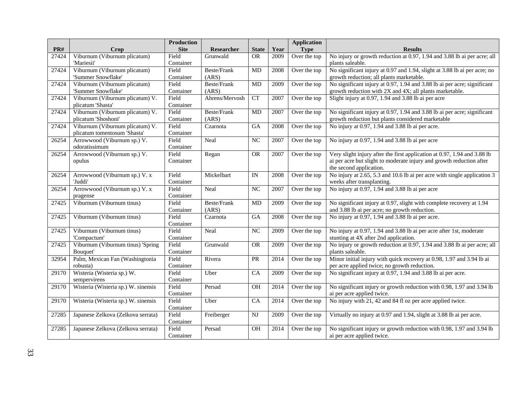|       |                                     | <b>Production</b> |                   |                 |      | <b>Application</b> |                                                                           |
|-------|-------------------------------------|-------------------|-------------------|-----------------|------|--------------------|---------------------------------------------------------------------------|
| PR#   | Crop                                | <b>Site</b>       | <b>Researcher</b> | <b>State</b>    | Year | <b>Type</b>        | <b>Results</b>                                                            |
| 27424 | Viburnum (Viburnum plicatum)        | Field             | Grunwald          | <b>OR</b>       | 2009 | Over the top       | No injury or growth reduction at 0.97, 1.94 and 3.88 lb ai per acre; all  |
|       | 'Mariesii'                          | Container         |                   |                 |      |                    | plants saleable.                                                          |
| 27424 | Viburnum (Viburnum plicatum)        | Field             | Beste/Frank       | MD              | 2008 | Over the top       | No significant injury at 0.97 and 1.94, slight at 3.88 lb ai per acre; no |
|       | 'Summer Snowflake'                  | Container         | (ARS)             |                 |      |                    | growth reduction; all plants marketable.                                  |
| 27424 | Viburnum (Viburnum plicatum)        | Field             | Beste/Frank       | MD              | 2009 | Over the top       | No significant injury at 0.97, 1.94 and 3.88 lb ai per acre; significant  |
|       | 'Summer Snowflake'                  | Container         | (ARS)             |                 |      |                    | growth reduction with 2X and 4X; all plants marketable.                   |
| 27424 | Viburnum (Viburnum plicatum) V.     | Field             | Ahrens/Mervosh    | CT              | 2007 | Over the top       | Slight injury at 0.97, 1.94 and 3.88 lb ai per acre                       |
|       | plicatum 'Shasta'                   | Container         |                   |                 |      |                    |                                                                           |
| 27424 | Viburnum (Viburnum plicatum) V.     | Field             | Beste/Frank       | MD              | 2007 | Over the top       | No significant injury at 0.97, 1.94 and 3.88 lb ai per acre; significant  |
|       | plicatum 'Shoshoni'                 | Container         | (ARS)             |                 |      |                    | growth reduction but plants considered marketable                         |
| 27424 | Viburnum (Viburnum plicatum) V.     | Field             | Czarnota          | GA              | 2008 | Over the top       | No injury at 0.97, 1.94 and 3.88 lb ai per acre.                          |
|       | plicatum tomentosum 'Shasta'        | Container         |                   |                 |      |                    |                                                                           |
| 26254 | Arrowwood (Viburnum sp.) V.         | Field             | Neal              | NC              | 2007 | Over the top       | No injury at 0.97, 1.94 and 3.88 lb ai per acre                           |
|       | odoratissimum                       | Container         |                   |                 |      |                    |                                                                           |
| 26254 | Arrowwood (Viburnum sp.) V.         | Field             | Regan             | OR              | 2007 | Over the top       | Very slight injury after the first application at 0.97, 1.94 and 3.88 lb  |
|       | opulus                              | Container         |                   |                 |      |                    | ai per acre but slight to moderate injury and growth reduction after      |
|       |                                     |                   |                   |                 |      |                    | the second application.                                                   |
| 26254 | Arrowwood (Viburnum sp.) V. x       | Field             | Mickelbart        | IN              | 2008 | Over the top       | No injury at 2.65, 5.3 and 10.6 lb ai per acre with single application 3  |
|       | 'Juddi'                             | Container         |                   |                 |      |                    | weeks after transplanting.                                                |
| 26254 | Arrowwood (Viburnum sp.) V. x       | Field             | Neal              | NC              | 2007 | Over the top       | No injury at 0.97, 1.94 and 3.88 lb ai per acre                           |
|       | pragense                            | Container         |                   |                 |      |                    |                                                                           |
| 27425 | Viburnum (Viburnum tinus)           | Field             | Beste/Frank       | MD              | 2009 | Over the top       | No significant injury at 0.97, slight with complete recovery at 1.94      |
|       |                                     | Container         | (ARS)             |                 |      |                    | and 3.88 lb ai per acre; no growth reduction.                             |
| 27425 | Viburnum (Viburnum tinus)           | Field             | Czarnota          | G A             | 2008 | Over the top       | No injury at 0.97, 1.94 and 3.88 lb ai per acre.                          |
|       |                                     | Container         |                   |                 |      |                    |                                                                           |
| 27425 | Viburnum (Viburnum tinus)           | Field             | Neal              | NC              | 2009 | Over the top       | No injury at 0.97, 1.94 and 3.88 lb ai per acre after 1st, moderate       |
|       | 'Compactum'                         | Container         |                   |                 |      |                    | stunting at 4X after 2nd application.                                     |
| 27425 | Viburnum (Viburnum tinus) 'Spring   | Field             | Grunwald          | <b>OR</b>       | 2009 | Over the top       | No injury or growth reduction at 0.97, 1.94 and 3.88 lb ai per acre; all  |
|       | Bouquet'                            | Container         |                   |                 |      |                    | plants saleable.                                                          |
| 32954 | Palm, Mexican Fan (Washingtonia     | Field             | Rivera            | <b>PR</b>       | 2014 | Over the top       | Minor initial injury with quick recovery at 0.98, 1.97 and 3.94 lb ai     |
|       | robusta)                            | Container         |                   |                 |      |                    | per acre applied twice; no growth reduction.                              |
| 29170 | Wisteria (Wisteria sp.) W.          | Field             | Uber              | $\overline{CA}$ | 2009 | Over the top       | No significant injury at 0.97, 1.94 and 3.88 lb ai per acre.              |
|       | sempervirens                        | Container         |                   |                 |      |                    |                                                                           |
| 29170 | Wisteria (Wisteria sp.) W. sinensis | Field             | Persad            | OH              | 2014 | Over the top       | No significant injury or growth reduction with 0.98, 1.97 and 3.94 lb     |
|       |                                     | Container         |                   |                 |      |                    | ai per acre applied twice.                                                |
| 29170 | Wisteria (Wisteria sp.) W. sinensis | Field             | Uber              | CA              | 2014 | Over the top       | No injury with 21, 42 and 84 fl oz per acre applied twice.                |
|       |                                     | Container         |                   |                 |      |                    |                                                                           |
| 27285 | Japanese Zelkova (Zelkova serrata)  | Field             | Freiberger        | NJ              | 2009 | Over the top       | Virtually no injury at 0.97 and 1.94, slight at 3.88 lb ai per acre.      |
|       |                                     | Container         |                   |                 |      |                    |                                                                           |
| 27285 | Japanese Zelkova (Zelkova serrata)  | Field             | Persad            | OH              | 2014 | Over the top       | No significant injury or growth reduction with 0.98, 1.97 and 3.94 lb     |
|       |                                     | Container         |                   |                 |      |                    | ai per acre applied twice.                                                |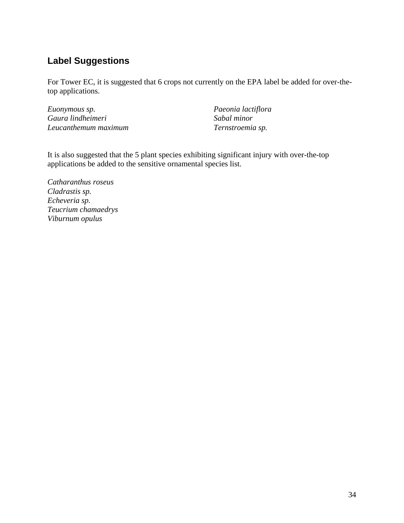## <span id="page-33-0"></span>**Label Suggestions**

For Tower EC, it is suggested that 6 crops not currently on the EPA label be added for over-thetop applications.

*Euonymous sp. Gaura lindheimeri Leucanthemum maximum* *Paeonia lactiflora Sabal minor Ternstroemia sp.*

It is also suggested that the 5 plant species exhibiting significant injury with over-the-top applications be added to the sensitive ornamental species list.

*Catharanthus roseus Cladrastis sp. Echeveria sp. Teucrium chamaedrys Viburnum opulus*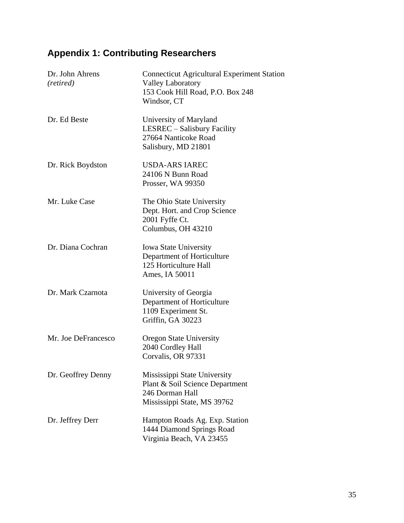# <span id="page-34-0"></span>**Appendix 1: Contributing Researchers**

| Dr. John Ahrens<br>(retired) | <b>Connecticut Agricultural Experiment Station</b><br><b>Valley Laboratory</b><br>153 Cook Hill Road, P.O. Box 248<br>Windsor, CT |
|------------------------------|-----------------------------------------------------------------------------------------------------------------------------------|
| Dr. Ed Beste                 | University of Maryland<br>LESREC – Salisbury Facility<br>27664 Nanticoke Road<br>Salisbury, MD 21801                              |
| Dr. Rick Boydston            | <b>USDA-ARS IAREC</b><br>24106 N Bunn Road<br>Prosser, WA 99350                                                                   |
| Mr. Luke Case                | The Ohio State University<br>Dept. Hort. and Crop Science<br>2001 Fyffe Ct.<br>Columbus, OH 43210                                 |
| Dr. Diana Cochran            | <b>Iowa State University</b><br>Department of Horticulture<br>125 Horticulture Hall<br>Ames, IA 50011                             |
| Dr. Mark Czarnota            | University of Georgia<br>Department of Horticulture<br>1109 Experiment St.<br>Griffin, GA 30223                                   |
| Mr. Joe DeFrancesco          | <b>Oregon State University</b><br>2040 Cordley Hall<br>Corvalis, OR 97331                                                         |
| Dr. Geoffrey Denny           | Mississippi State University<br>Plant & Soil Science Department<br>246 Dorman Hall<br>Mississippi State, MS 39762                 |
| Dr. Jeffrey Derr             | Hampton Roads Ag. Exp. Station<br>1444 Diamond Springs Road<br>Virginia Beach, VA 23455                                           |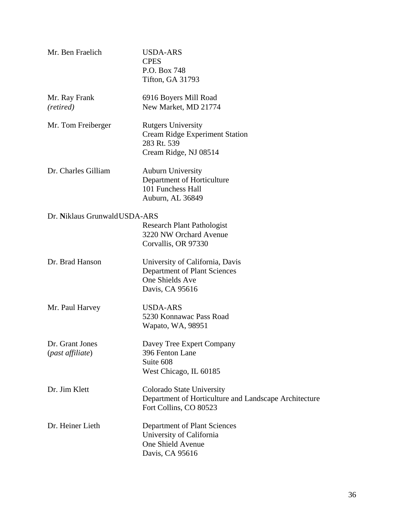| Mr. Ben Fraelich                    | <b>USDA-ARS</b><br><b>CPES</b><br>P.O. Box 748<br>Tifton, GA 31793                                           |
|-------------------------------------|--------------------------------------------------------------------------------------------------------------|
| Mr. Ray Frank<br>(retired)          | 6916 Boyers Mill Road<br>New Market, MD 21774                                                                |
| Mr. Tom Freiberger                  | <b>Rutgers University</b><br><b>Cream Ridge Experiment Station</b><br>283 Rt. 539<br>Cream Ridge, NJ 08514   |
| Dr. Charles Gilliam                 | <b>Auburn University</b><br>Department of Horticulture<br>101 Funchess Hall<br>Auburn, AL 36849              |
| Dr. Niklaus Grunwald USDA-ARS       | <b>Research Plant Pathologist</b><br>3220 NW Orchard Avenue<br>Corvallis, OR 97330                           |
| Dr. Brad Hanson                     | University of California, Davis<br><b>Department of Plant Sciences</b><br>One Shields Ave<br>Davis, CA 95616 |
| Mr. Paul Harvey                     | <b>USDA-ARS</b><br>5230 Konnawac Pass Road<br>Wapato, WA, 98951                                              |
| Dr. Grant Jones<br>(past affiliate) | Davey Tree Expert Company<br>396 Fenton Lane<br>Suite 608<br>West Chicago, IL 60185                          |
| Dr. Jim Klett                       | Colorado State University<br>Department of Horticulture and Landscape Architecture<br>Fort Collins, CO 80523 |
| Dr. Heiner Lieth                    | Department of Plant Sciences<br>University of California<br>One Shield Avenue<br>Davis, CA 95616             |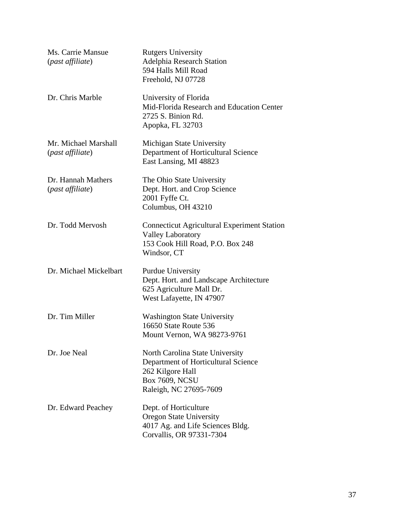| Ms. Carrie Mansue<br>(past affiliate)    | <b>Rutgers University</b><br><b>Adelphia Research Station</b><br>594 Halls Mill Road<br>Freehold, NJ 07728                                    |
|------------------------------------------|-----------------------------------------------------------------------------------------------------------------------------------------------|
| Dr. Chris Marble                         | University of Florida<br>Mid-Florida Research and Education Center<br>2725 S. Binion Rd.<br>Apopka, FL 32703                                  |
| Mr. Michael Marshall<br>(past affiliate) | Michigan State University<br>Department of Horticultural Science<br>East Lansing, MI 48823                                                    |
| Dr. Hannah Mathers<br>(past affiliate)   | The Ohio State University<br>Dept. Hort. and Crop Science<br>2001 Fyffe Ct.<br>Columbus, OH 43210                                             |
| Dr. Todd Mervosh                         | <b>Connecticut Agricultural Experiment Station</b><br><b>Valley Laboratory</b><br>153 Cook Hill Road, P.O. Box 248<br>Windsor, CT             |
| Dr. Michael Mickelbart                   | <b>Purdue University</b><br>Dept. Hort. and Landscape Architecture<br>625 Agriculture Mall Dr.<br>West Lafayette, IN 47907                    |
| Dr. Tim Miller                           | <b>Washington State University</b><br>16650 State Route 536<br>Mount Vernon, WA 98273-9761                                                    |
| Dr. Joe Neal                             | North Carolina State University<br>Department of Horticultural Science<br>262 Kilgore Hall<br><b>Box 7609, NCSU</b><br>Raleigh, NC 27695-7609 |
| Dr. Edward Peachey                       | Dept. of Horticulture<br><b>Oregon State University</b><br>4017 Ag. and Life Sciences Bldg.<br>Corvallis, OR 97331-7304                       |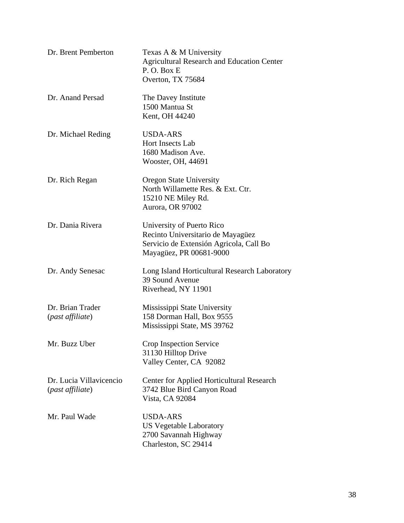| Dr. Brent Pemberton                         | Texas A & M University<br><b>Agricultural Research and Education Center</b><br>P.O. Box E<br>Overton, TX 75684                       |
|---------------------------------------------|--------------------------------------------------------------------------------------------------------------------------------------|
| Dr. Anand Persad                            | The Davey Institute<br>1500 Mantua St<br>Kent, OH 44240                                                                              |
| Dr. Michael Reding                          | USDA-ARS<br>Hort Insects Lab<br>1680 Madison Ave.<br>Wooster, OH, 44691                                                              |
| Dr. Rich Regan                              | <b>Oregon State University</b><br>North Willamette Res. & Ext. Ctr.<br>15210 NE Miley Rd.<br>Aurora, OR 97002                        |
| Dr. Dania Rivera                            | University of Puerto Rico<br>Recinto Universitario de Mayagüez<br>Servicio de Extensión Agricola, Call Bo<br>Mayagüez, PR 00681-9000 |
| Dr. Andy Senesac                            | Long Island Horticultural Research Laboratory<br>39 Sound Avenue<br>Riverhead, NY 11901                                              |
| Dr. Brian Trader<br>(past affiliate)        | Mississippi State University<br>158 Dorman Hall, Box 9555<br>Mississippi State, MS 39762                                             |
| Mr. Buzz Uber                               | Crop Inspection Service<br>31130 Hilltop Drive<br>Valley Center, CA 92082                                                            |
| Dr. Lucia Villavicencio<br>(past affiliate) | Center for Applied Horticultural Research<br>3742 Blue Bird Canyon Road<br>Vista, CA 92084                                           |
| Mr. Paul Wade                               | <b>USDA-ARS</b><br><b>US Vegetable Laboratory</b><br>2700 Savannah Highway<br>Charleston, SC 29414                                   |